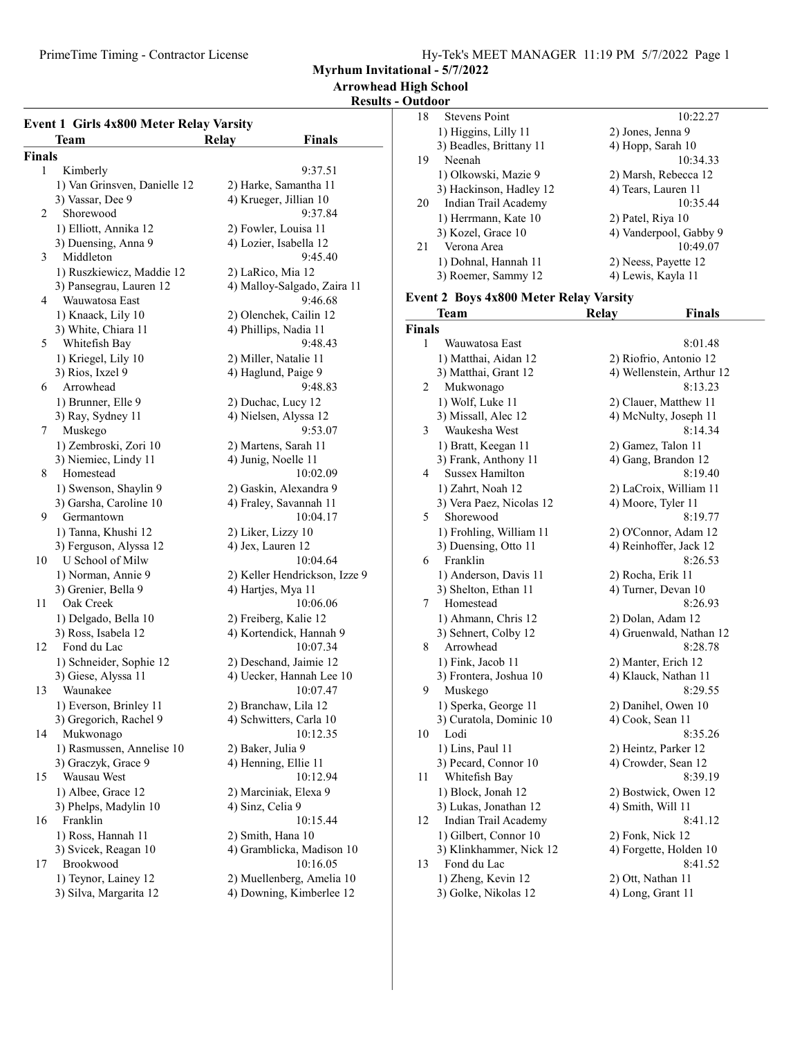PrimeTime Timing - Contractor License

Myrhum Invitational - 5/7/2022

Arrowhead High School

### Results - Outdoor

| <b>Event 1 Girls 4x800 Meter Relay Varsity</b> |                                    |                                     |  |  |  |
|------------------------------------------------|------------------------------------|-------------------------------------|--|--|--|
|                                                | Team                               | <b>Finals</b><br>Relay              |  |  |  |
| <b>Finals</b>                                  |                                    |                                     |  |  |  |
| 1                                              | Kimberly                           | 9:37.51                             |  |  |  |
|                                                | 1) Van Grinsven, Danielle 12       | 2) Harke, Samantha 11               |  |  |  |
|                                                | 3) Vassar, Dee 9                   | 4) Krueger, Jillian 10              |  |  |  |
| 2                                              | Shorewood                          | 9:37.84                             |  |  |  |
|                                                | 1) Elliott, Annika 12              | 2) Fowler, Louisa 11                |  |  |  |
|                                                | 3) Duensing, Anna 9                | 4) Lozier, Isabella 12              |  |  |  |
| 3                                              | Middleton                          | 9:45.40                             |  |  |  |
|                                                | 1) Ruszkiewicz, Maddie 12          | 2) LaRico, Mia 12                   |  |  |  |
|                                                | 3) Pansegrau, Lauren 12            | 4) Malloy-Salgado, Zaira 11         |  |  |  |
| 4                                              | Wauwatosa East                     | 9:46.68                             |  |  |  |
|                                                | 1) Knaack, Lily 10                 | 2) Olenchek, Cailin 12              |  |  |  |
|                                                | 3) White, Chiara 11                | 4) Phillips, Nadia 11               |  |  |  |
| 5                                              | Whitefish Bay                      | 9:48.43                             |  |  |  |
|                                                | 1) Kriegel, Lily 10                | 2) Miller, Natalie 11               |  |  |  |
|                                                | 3) Rios, Ixzel 9                   | 4) Haglund, Paige 9                 |  |  |  |
| 6                                              | Arrowhead                          | 9:48.83                             |  |  |  |
|                                                | 1) Brunner, Elle 9                 | 2) Duchac, Lucy 12                  |  |  |  |
|                                                | 3) Ray, Sydney 11                  | 4) Nielsen, Alyssa 12               |  |  |  |
| 7                                              | Muskego                            | 9:53.07                             |  |  |  |
|                                                | 1) Zembroski, Zori 10              | 2) Martens, Sarah 11                |  |  |  |
|                                                | 3) Niemiec, Lindy 11               | 4) Junig, Noelle 11                 |  |  |  |
| 8                                              | Homestead                          | 10:02.09                            |  |  |  |
|                                                | 1) Swenson, Shaylin 9              | 2) Gaskin, Alexandra 9              |  |  |  |
|                                                | 3) Garsha, Caroline 10             | 4) Fraley, Savannah 11              |  |  |  |
| 9                                              | Germantown                         | 10:04.17                            |  |  |  |
|                                                | 1) Tanna, Khushi 12                | 2) Liker, Lizzy 10                  |  |  |  |
|                                                | 3) Ferguson, Alyssa 12             | 4) Jex, Lauren 12                   |  |  |  |
| 10                                             | U School of Milw                   | 10:04.64                            |  |  |  |
|                                                | 1) Norman, Annie 9                 | 2) Keller Hendrickson, Izze 9       |  |  |  |
|                                                | 3) Grenier, Bella 9                | 4) Hartjes, Mya 11                  |  |  |  |
| 11                                             | Oak Creek                          | 10:06.06                            |  |  |  |
|                                                | 1) Delgado, Bella 10               | 2) Freiberg, Kalie 12               |  |  |  |
| 12                                             | 3) Ross, Isabela 12<br>Fond du Lac | 4) Kortendick, Hannah 9<br>10:07.34 |  |  |  |
|                                                | 1) Schneider, Sophie 12            | 2) Deschand, Jaimie 12              |  |  |  |
|                                                | 3) Giese, Alyssa 11                | 4) Uecker, Hannah Lee 10            |  |  |  |
| 13                                             | Waunakee                           | 10:07.47                            |  |  |  |
|                                                | 1) Everson, Brinley 11             | 2) Branchaw, Lila 12                |  |  |  |
|                                                | 3) Gregorich, Rachel 9             | 4) Schwitters, Carla 10             |  |  |  |
| 14                                             | Mukwonago                          | 10:12.35                            |  |  |  |
|                                                | 1) Rasmussen, Annelise 10          | 2) Baker, Julia 9                   |  |  |  |
|                                                | 3) Graczyk, Grace 9                | 4) Henning, Ellie 11                |  |  |  |
| 15                                             | Wausau West                        | 10:12.94                            |  |  |  |
|                                                | 1) Albee, Grace 12                 | 2) Marciniak, Elexa 9               |  |  |  |
|                                                | 3) Phelps, Madylin 10              | 4) Sinz, Celia 9                    |  |  |  |
| 16                                             | Franklin                           | 10:15.44                            |  |  |  |
|                                                | 1) Ross, Hannah 11                 | 2) Smith, Hana 10                   |  |  |  |
|                                                | 3) Svicek, Reagan 10               | 4) Gramblicka, Madison 10           |  |  |  |
| 17                                             | Brookwood                          | 10:16.05                            |  |  |  |
|                                                | 1) Teynor, Lainey 12               | 2) Muellenberg, Amelia 10           |  |  |  |
|                                                | 3) Silva, Margarita 12             | 4) Downing, Kimberlee 12            |  |  |  |
|                                                |                                    |                                     |  |  |  |

| 18 | <b>Stevens Point</b>    | 10:22.27               |
|----|-------------------------|------------------------|
|    | 1) Higgins, Lilly 11    | 2) Jones, Jenna 9      |
|    | 3) Beadles, Brittany 11 | 4) Hopp, Sarah 10      |
| 19 | Neenah                  | 10:34.33               |
|    | 1) Olkowski, Mazie 9    | 2) Marsh, Rebecca 12   |
|    | 3) Hackinson, Hadley 12 | 4) Tears, Lauren 11    |
| 20 | Indian Trail Academy    | 10:35.44               |
|    | 1) Herrmann, Kate 10    | 2) Patel, Riya 10      |
|    | 3) Kozel, Grace 10      | 4) Vanderpool, Gabby 9 |
| 21 | Verona Area             | 10:49.07               |
|    | 1) Dohnal, Hannah 11    | 2) Neess, Payette 12   |
|    | 3) Roemer, Sammy 12     | 4) Lewis, Kayla 11     |

#### Event 2 Boys 4x800 Meter Relay Varsity

|               | Team                     | <b>Relay</b>      | <b>Finals</b>             |
|---------------|--------------------------|-------------------|---------------------------|
| <b>Finals</b> |                          |                   |                           |
| 1             | Wauwatosa East           |                   | 8:01.48                   |
|               | 1) Matthai, Aidan 12     |                   | 2) Riofrio, Antonio 12    |
|               | 3) Matthai, Grant 12     |                   | 4) Wellenstein, Arthur 12 |
| 2             | Mukwonago                |                   | 8:13.23                   |
|               | 1) Wolf, Luke 11         |                   | 2) Clauer, Matthew 11     |
|               | 3) Missall, Alec 12      |                   | 4) McNulty, Joseph 11     |
| 3             | Waukesha West            |                   | 8:14.34                   |
|               | 1) Bratt, Keegan 11      |                   | 2) Gamez, Talon 11        |
|               | 3) Frank, Anthony 11     |                   | 4) Gang, Brandon 12       |
| 4             | <b>Sussex Hamilton</b>   |                   | 8:19.40                   |
|               | 1) Zahrt, Noah 12        |                   | 2) LaCroix, William 11    |
|               | 3) Vera Paez, Nicolas 12 |                   | 4) Moore, Tyler 11        |
| 5             | Shorewood                |                   | 8:19.77                   |
|               | 1) Frohling, William 11  |                   | 2) O'Connor, Adam 12      |
|               | 3) Duensing, Otto 11     |                   | 4) Reinhoffer, Jack 12    |
| 6             | Franklin                 |                   | 8:26.53                   |
|               | 1) Anderson, Davis 11    | 2) Rocha, Erik 11 |                           |
|               | 3) Shelton, Ethan 11     |                   | 4) Turner, Devan 10       |
| 7             | Homestead                |                   | 8:26.93                   |
|               | 1) Ahmann, Chris 12      |                   | 2) Dolan, Adam 12         |
|               | 3) Sehnert, Colby 12     |                   | 4) Gruenwald, Nathan 12   |
| 8             | Arrowhead                |                   | 8:28.78                   |
|               | 1) Fink, Jacob 11        |                   | 2) Manter, Erich 12       |
|               | 3) Frontera, Joshua 10   |                   | 4) Klauck, Nathan 11      |
| 9             | Muskego                  |                   | 8:29.55                   |
|               | 1) Sperka, George 11     |                   | 2) Danihel, Owen 10       |
|               | 3) Curatola, Dominic 10  | 4) Cook, Sean 11  |                           |
| 10            | Lodi                     |                   | 8:35.26                   |
|               | 1) Lins, Paul 11         |                   | 2) Heintz, Parker 12      |
|               | 3) Pecard, Connor 10     |                   | 4) Crowder, Sean 12       |
| 11            | Whitefish Bay            |                   | 8:39.19                   |
|               | 1) Block, Jonah 12       |                   | 2) Bostwick, Owen 12      |
|               | 3) Lukas, Jonathan 12    | 4) Smith, Will 11 |                           |
| 12            | Indian Trail Academy     |                   | 8:41.12                   |
|               | 1) Gilbert, Connor 10    | 2) Fonk, Nick 12  |                           |
|               | 3) Klinkhammer, Nick 12  |                   | 4) Forgette, Holden 10    |
| 13            | Fond du Lac              |                   | 8:41.52                   |
|               | 1) Zheng, Kevin 12       | 2) Ott, Nathan 11 |                           |
|               | 3) Golke, Nikolas 12     | 4) Long, Grant 11 |                           |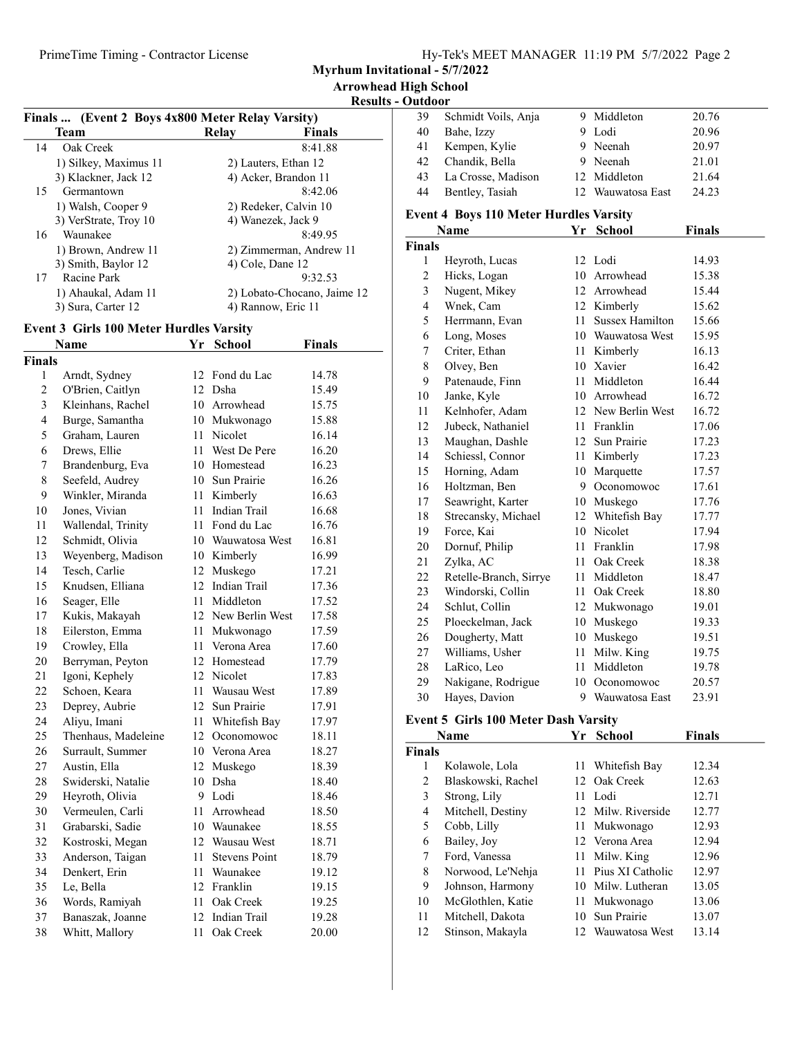Myrhum Invitational - 5/7/2022

### Results - Outdoor

|                | Finals  (Event 2 Boys 4x800 Meter Relay Varsity) |    |                         |                             | 39             | Schmidt Voils, Anja                           |              | 9 Middleton         | 20.76         |
|----------------|--------------------------------------------------|----|-------------------------|-----------------------------|----------------|-----------------------------------------------|--------------|---------------------|---------------|
|                | <b>Team</b>                                      |    | Relay                   | <b>Finals</b>               | 40             | Bahe, Izzy                                    |              | 9 Lodi              | 20.96         |
| 14             | Oak Creek                                        |    |                         | 8:41.88                     | 41             | Kempen, Kylie                                 |              | 9 Neenah            | 20.97         |
|                | 1) Silkey, Maximus 11                            |    | 2) Lauters, Ethan 12    |                             | 42             | Chandik, Bella                                |              | 9 Neenah            | 21.01         |
|                | 3) Klackner, Jack 12                             |    | 4) Acker, Brandon 11    |                             | 43             | La Crosse, Madison                            |              | 12 Middleton        | 21.64         |
| 15             | Germantown                                       |    |                         | 8:42.06                     | 44             | Bentley, Tasiah                               |              | 12 Wauwatosa East   | 24.23         |
|                | 1) Walsh, Cooper 9                               |    | 2) Redeker, Calvin 10   |                             |                | <b>Event 4 Boys 110 Meter Hurdles Varsity</b> |              |                     |               |
|                | 3) VerStrate, Troy 10                            |    | 4) Wanezek, Jack 9      |                             |                | <b>Name</b>                                   |              | Yr School           | <b>Finals</b> |
| 16             | Waunakee                                         |    |                         | 8:49.95                     | <b>Finals</b>  |                                               |              |                     |               |
|                | 1) Brown, Andrew 11                              |    | 2) Zimmerman, Andrew 11 |                             | $\mathbf{1}$   | Heyroth, Lucas                                |              | 12 Lodi             | 14.93         |
|                | 3) Smith, Baylor 12                              |    | 4) Cole, Dane 12        |                             | $\overline{2}$ | Hicks, Logan                                  |              | 10 Arrowhead        | 15.38         |
| 17             | Racine Park                                      |    |                         | 9:32.53                     | 3              | Nugent, Mikey                                 |              | 12 Arrowhead        | 15.44         |
|                | 1) Ahaukal, Adam 11                              |    |                         | 2) Lobato-Chocano, Jaime 12 | 4              | Wnek, Cam                                     |              | 12 Kimberly         | 15.62         |
|                | 3) Sura, Carter 12                               |    | 4) Rannow, Eric 11      |                             | 5              | Herrmann, Evan                                |              | 11 Sussex Hamilton  | 15.66         |
|                | <b>Event 3 Girls 100 Meter Hurdles Varsity</b>   |    |                         |                             | 6              | Long, Moses                                   |              | 10 Wauwatosa West   | 15.95         |
|                | <b>Name</b>                                      |    | Yr School               | <b>Finals</b>               | 7              | Criter, Ethan                                 |              | 11 Kimberly         | 16.13         |
| <b>Finals</b>  |                                                  |    |                         |                             | $\,8\,$        | Olvey, Ben                                    |              | 10 Xavier           | 16.42         |
| -1             | Arndt, Sydney                                    |    | 12 Fond du Lac          | 14.78                       | 9              | Patenaude, Finn                               |              | 11 Middleton        | 16.44         |
| $\overline{2}$ | O'Brien, Caitlyn                                 |    | 12 Dsha                 | 15.49                       | 10             | Janke, Kyle                                   |              | 10 Arrowhead        | 16.72         |
| $\mathfrak{Z}$ | Kleinhans, Rachel                                |    | 10 Arrowhead            | 15.75                       | 11             | Kelnhofer, Adam                               |              | 12 New Berlin West  | 16.72         |
| 4              | Burge, Samantha                                  |    | 10 Mukwonago            | 15.88                       | 12             | Jubeck, Nathaniel                             | 11           | Franklin            | 17.06         |
| 5              | Graham, Lauren                                   |    | 11 Nicolet              | 16.14                       | 13             | Maughan, Dashle                               |              | 12 Sun Prairie      | 17.23         |
| 6              | Drews, Ellie                                     | 11 | West De Pere            | 16.20                       | 14             | Schiessl, Connor                              |              | 11 Kimberly         | 17.23         |
| 7              | Brandenburg, Eva                                 |    | 10 Homestead            | 16.23                       | 15             | Horning, Adam                                 |              | 10 Marquette        | 17.57         |
| 8              | Seefeld, Audrey                                  |    | 10 Sun Prairie          | 16.26                       | 16             | Holtzman, Ben                                 | 9            | Oconomowoc          | 17.61         |
| 9              | Winkler, Miranda                                 |    | 11 Kimberly             | 16.63                       | 17             | Seawright, Karter                             |              | 10 Muskego          | 17.76         |
| 10             | Jones, Vivian                                    |    | 11 Indian Trail         | 16.68                       | 18             | Strecansky, Michael                           |              | 12 Whitefish Bay    | 17.77         |
| 11             | Wallendal, Trinity                               |    | 11 Fond du Lac          | 16.76                       | 19             | Force, Kai                                    |              | 10 Nicolet          | 17.94         |
| 12             | Schmidt, Olivia                                  |    | 10 Wauwatosa West       | 16.81                       | 20             | Dornuf, Philip                                |              | 11 Franklin         | 17.98         |
| 13             | Weyenberg, Madison                               |    | 10 Kimberly             | 16.99                       | 21             | Zylka, AC                                     |              | 11 Oak Creek        | 18.38         |
| 14             | Tesch, Carlie                                    |    | 12 Muskego              | 17.21                       | 22             | Retelle-Branch, Sirrye                        |              | 11 Middleton        | 18.47         |
| 15             | Knudsen, Elliana                                 |    | 12 Indian Trail         | 17.36                       | 23             | Windorski, Collin                             |              | 11 Oak Creek        | 18.80         |
| 16             | Seager, Elle                                     |    | 11 Middleton            | 17.52                       | 24             | Schlut, Collin                                |              | 12 Mukwonago        | 19.01         |
| 17             | Kukis, Makayah                                   |    | 12 New Berlin West      | 17.58                       | 25             | Ploeckelman, Jack                             |              | 10 Muskego          | 19.33         |
| 18             | Eilerston, Emma                                  |    | 11 Mukwonago            | 17.59                       | 26             | Dougherty, Matt                               |              | 10 Muskego          | 19.51         |
| 19             | Crowley, Ella                                    |    | 11 Verona Area          | 17.60                       | 27             | Williams, Usher                               |              | 11 Milw. King       | 19.75         |
| 20             | Berryman, Peyton                                 |    | 12 Homestead            | 17.79                       | 28             | LaRico, Leo                                   |              | 11 Middleton        | 19.78         |
| 21             | Igoni, Kephely                                   |    | 12 Nicolet              | 17.83                       | 29             | Nakigane, Rodrigue                            |              | 10 Oconomowoc       | 20.57         |
| 22             | Schoen, Keara                                    |    | 11 Wausau West          | 17.89                       | 30             | Hayes, Davion                                 |              | 9 Wauwatosa East    | 23.91         |
| 23             | Deprey, Aubrie                                   |    | 12 Sun Prairie          | 17.91                       |                |                                               |              |                     |               |
| 24             | Aliyu, Imani                                     | 11 | Whitefish Bay           | 17.97                       |                | <b>Event 5 Girls 100 Meter Dash Varsity</b>   |              |                     |               |
| 25             | Thenhaus, Madeleine                              | 12 | Oconomowoc              | 18.11                       |                | <b>Name</b>                                   |              | Yr School           | Finals        |
| 26             | Surrault, Summer                                 |    | 10 Verona Area          | 18.27                       | <b>Finals</b>  |                                               |              |                     |               |
| $27\,$         | Austin, Ella                                     |    | 12 Muskego              | 18.39                       | $\mathbf{1}$   | Kolawole, Lola                                |              | 11 Whitefish Bay    | 12.34         |
| 28             | Swiderski, Natalie                               |    | 10 Dsha                 | 18.40                       | $\overline{2}$ | Blaskowski, Rachel                            | 12           | Oak Creek           | 12.63         |
| 29             | Heyroth, Olivia                                  |    | 9 Lodi                  | 18.46                       | 3              | Strong, Lily                                  | 11           | Lodi                | 12.71         |
| $30\,$         | Vermeulen, Carli                                 | 11 | Arrowhead               | 18.50                       | $\overline{4}$ | Mitchell, Destiny                             | 12           | Milw. Riverside     | 12.77         |
| 31             | Grabarski, Sadie                                 | 10 | Waunakee                | 18.55                       | 5              | Cobb, Lilly                                   | $11^{\circ}$ | Mukwonago           | 12.93         |
| 32             | Kostroski, Megan                                 | 12 | Wausau West             | 18.71                       | 6              | Bailey, Joy                                   |              | 12 Verona Area      | 12.94         |
| 33             | Anderson, Taigan                                 | 11 | <b>Stevens Point</b>    | 18.79                       | $\tau$         | Ford, Vanessa                                 |              | 11 Milw. King       | 12.96         |
| 34             | Denkert, Erin                                    |    | 11 Waunakee             | 19.12                       | 8              | Norwood, Le'Nehja                             |              | 11 Pius XI Catholic | 12.97         |
| 35             | Le, Bella                                        |    | 12 Franklin             | 19.15                       | 9              | Johnson, Harmony                              |              | 10 Milw. Lutheran   | 13.05         |
| 36             | Words, Ramiyah                                   | 11 | Oak Creek               | 19.25                       | 10             | McGlothlen, Katie                             | 11           | Mukwonago           | 13.06         |
| 37             | Banaszak, Joanne                                 | 12 | Indian Trail            | 19.28                       | 11             | Mitchell, Dakota                              | 10           | Sun Prairie         | 13.07         |
| 38             | Whitt, Mallory                                   |    | 11 Oak Creek            | 20.00                       | 12             | Stinson, Makayla                              |              | 12 Wauwatosa West   | 13.14         |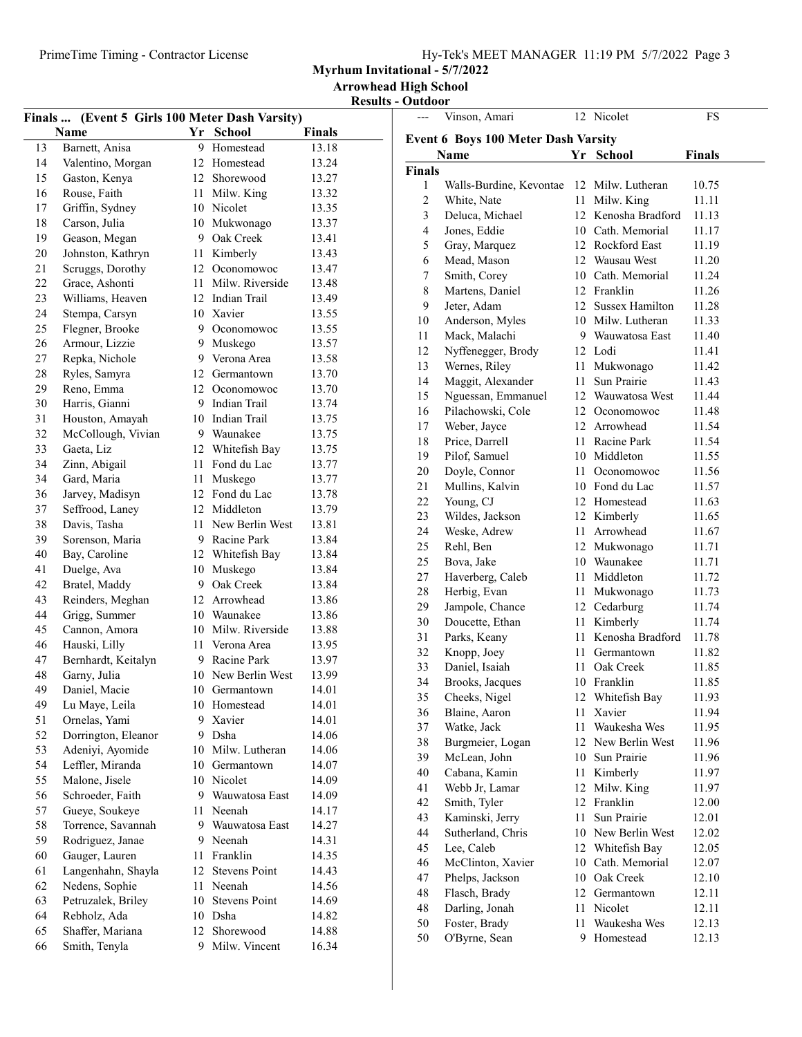| Hy-Tek's MEET MANAGER 11:19 PM 5/7/2022 Page 3 |  |  |  |  |
|------------------------------------------------|--|--|--|--|
|------------------------------------------------|--|--|--|--|

Myrhum Invitational - 5/7/2022

Arrowhead High School Results - Outdoor

|    | Finals  (Event 5 Girls 100 Meter Dash Varsity) |      |                    |        |
|----|------------------------------------------------|------|--------------------|--------|
|    | Name                                           | Yr   | <b>School</b>      | Finals |
| 13 | Barnett, Anisa                                 | 9    | Homestead          | 13.18  |
| 14 | Valentino, Morgan                              |      | 12 Homestead       | 13.24  |
| 15 | Gaston, Kenya                                  |      | 12 Shorewood       | 13.27  |
| 16 | Rouse, Faith                                   | 11 - | Milw. King         | 13.32  |
| 17 | Griffin, Sydney                                |      | 10 Nicolet         | 13.35  |
| 18 | Carson, Julia                                  |      | 10 Mukwonago       | 13.37  |
| 19 | Geason, Megan                                  |      | 9 Oak Creek        | 13.41  |
| 20 | Johnston, Kathryn                              |      | 11 Kimberly        | 13.43  |
| 21 | Scruggs, Dorothy                               |      | 12 Oconomowoc      | 13.47  |
| 22 | Grace, Ashonti                                 | 11   | Milw. Riverside    | 13.48  |
| 23 | Williams, Heaven                               |      | 12 Indian Trail    | 13.49  |
| 24 | Stempa, Carsyn                                 |      | 10 Xavier          | 13.55  |
| 25 | Flegner, Brooke                                |      | 9 Oconomowoc       | 13.55  |
|    |                                                |      |                    |        |
| 26 | Armour, Lizzie                                 |      | 9 Muskego          | 13.57  |
| 27 | Repka, Nichole                                 |      | 9 Verona Area      | 13.58  |
| 28 | Ryles, Samyra                                  |      | 12 Germantown      | 13.70  |
| 29 | Reno, Emma                                     |      | 12 Oconomowoc      | 13.70  |
| 30 | Harris, Gianni                                 |      | 9 Indian Trail     | 13.74  |
| 31 | Houston, Amayah                                |      | 10 Indian Trail    | 13.75  |
| 32 | McCollough, Vivian                             |      | 9 Waunakee         | 13.75  |
| 33 | Gaeta, Liz                                     |      | 12 Whitefish Bay   | 13.75  |
| 34 | Zinn, Abigail                                  | 11   | Fond du Lac        | 13.77  |
| 34 | Gard, Maria                                    | 11   | Muskego            | 13.77  |
| 36 | Jarvey, Madisyn                                |      | 12 Fond du Lac     | 13.78  |
| 37 | Seffrood, Laney                                |      | 12 Middleton       | 13.79  |
| 38 | Davis, Tasha                                   |      | 11 New Berlin West | 13.81  |
| 39 | Sorenson, Maria                                |      | 9 Racine Park      | 13.84  |
| 40 | Bay, Caroline                                  |      | 12 Whitefish Bay   | 13.84  |
| 41 | Duelge, Ava                                    |      | 10 Muskego         | 13.84  |
| 42 | Bratel, Maddy                                  |      | 9 Oak Creek        | 13.84  |
| 43 | Reinders, Meghan                               |      | 12 Arrowhead       | 13.86  |
| 44 | Grigg, Summer                                  |      | 10 Waunakee        | 13.86  |
| 45 | Cannon, Amora                                  |      | 10 Milw. Riverside | 13.88  |
| 46 | Hauski, Lilly                                  | 11   | Verona Area        | 13.95  |
| 47 | Bernhardt, Keitalyn                            | 9    | Racine Park        | 13.97  |
| 48 | Garny, Julia                                   |      | 10 New Berlin West | 13.99  |
| 49 | Daniel, Macie                                  | 10   | Germantown         | 14.01  |
| 49 | Lu Maye, Leila                                 |      | 10 Homestead       | 14.01  |
| 51 | Ornelas, Yami                                  | 9    | Xavier             | 14.01  |
| 52 | Dorrington, Eleanor                            | 9    | Dsha               | 14.06  |
| 53 | Adeniyi, Ayomide                               |      | 10 Milw. Lutheran  | 14.06  |
| 54 | Leffler, Miranda                               |      | 10 Germantown      | 14.07  |
| 55 | Malone, Jisele                                 |      | 10 Nicolet         | 14.09  |
| 56 | Schroeder, Faith                               | 9    | Wauwatosa East     | 14.09  |
| 57 | Gueye, Soukeye                                 | 11   | Neenah             | 14.17  |
| 58 | Torrence, Savannah                             | 9    | Wauwatosa East     | 14.27  |
| 59 | Rodriguez, Janae                               |      | 9 Neenah           | 14.31  |
| 60 | Gauger, Lauren                                 | 11   | Franklin           | 14.35  |
| 61 | Langenhahn, Shayla                             |      | 12 Stevens Point   | 14.43  |
| 62 | Nedens, Sophie                                 | 11   | Neenah             | 14.56  |
| 63 | Petruzalek, Briley                             |      | 10 Stevens Point   | 14.69  |
|    |                                                |      |                    |        |
| 64 | Rebholz, Ada                                   |      | 10 Dsha            | 14.82  |
| 65 | Shaffer, Mariana                               | 12   | Shorewood          | 14.88  |
| 66 | Smith, Tenyla                                  | 9    | Milw. Vincent      | 16.34  |

| ---           | Vinson, Amari                              |      | 12 Nicolet          | FS            |
|---------------|--------------------------------------------|------|---------------------|---------------|
|               | <b>Event 6 Boys 100 Meter Dash Varsity</b> |      |                     |               |
|               | Name                                       | Yr   | <b>School</b>       | <b>Finals</b> |
| <b>Finals</b> |                                            |      |                     |               |
| 1             | Walls-Burdine, Kevontae                    |      | 12 Milw. Lutheran   | 10.75         |
| 2             | White, Nate                                | 11   | Milw. King          | 11.11         |
| 3             | Deluca, Michael                            |      | 12 Kenosha Bradford | 11.13         |
| 4             | Jones, Eddie                               |      | 10 Cath. Memorial   | 11.17         |
| 5             | Gray, Marquez                              |      | 12 Rockford East    | 11.19         |
| 6             | Mead, Mason                                |      | 12 Wausau West      | 11.20         |
| 7             | Smith, Corey                               |      | 10 Cath. Memorial   | 11.24         |
| 8             | Martens, Daniel                            |      | 12 Franklin         | 11.26         |
| 9             | Jeter, Adam                                |      | 12 Sussex Hamilton  | 11.28         |
| 10            | Anderson, Myles                            |      | 10 Milw. Lutheran   | 11.33         |
| 11            | Mack, Malachi                              |      | 9 Wauwatosa East    | 11.40         |
| 12            | Nyffenegger, Brody                         |      | 12 Lodi             | 11.41         |
| 13            | Wernes, Riley                              |      | 11 Mukwonago        | 11.42         |
| 14            | Maggit, Alexander                          | 11   | Sun Prairie         | 11.43         |
| 15            | Nguessan, Emmanuel                         |      | 12 Wauwatosa West   | 11.44         |
| 16            | Pilachowski, Cole                          |      | 12 Oconomowoc       | 11.48         |
| 17            | Weber, Jayce                               |      | 12 Arrowhead        | 11.54         |
| 18            | Price, Darrell                             |      | 11 Racine Park      | 11.54         |
| 19            | Pilof, Samuel                              |      | 10 Middleton        | 11.55         |
| 20            | Doyle, Connor                              | 11 - | Oconomowoc          | 11.56         |
| 21            | Mullins, Kalvin                            |      | 10 Fond du Lac      | 11.57         |
| 22            | Young, CJ                                  |      | 12 Homestead        | 11.63         |
| 23            | Wildes, Jackson                            |      | 12 Kimberly         | 11.65         |
| 24            | Weske, Adrew                               |      | 11 Arrowhead        | 11.67         |
| 25            | Rehl, Ben                                  |      | 12 Mukwonago        | 11.71         |
| 25            | Bova, Jake                                 |      | 10 Waunakee         | 11.71         |
| 27            | Haverberg, Caleb                           |      | 11 Middleton        | 11.72         |
| 28            | Herbig, Evan                               |      | 11 Mukwonago        | 11.73         |
| 29            | Jampole, Chance                            |      | 12 Cedarburg        | 11.74         |
| 30            | Doucette, Ethan                            |      | 11 Kimberly         | 11.74         |
| 31            | Parks, Keany                               | 11 - | Kenosha Bradford    | 11.78         |
| 32            | Knopp, Joey                                | 11 - | Germantown          | 11.82         |
| 33            | Daniel, Isaiah                             | 11 - | Oak Creek           | 11.85         |
| 34            | Brooks, Jacques                            |      | 10 Franklin         | 11.85         |
| 35            | Cheeks, Nigel                              |      | 12 Whitefish Bay    | 11.93         |
| 36            | Blaine, Aaron                              | 11   | Xavier              | 11.94         |
| 37            | Watke, Jack                                | 11   | Waukesha Wes        | 11.95         |
| 38            | Burgmeier, Logan                           |      | 12 New Berlin West  | 11.96         |
| 39            | McLean, John                               |      | 10 Sun Prairie      | 11.96         |
| 40            | Cabana, Kamin                              | 11   | Kimberly            | 11.97         |
| 41            | Webb Jr, Lamar                             | 12   | Milw. King          | 11.97         |
| 42            | Smith, Tyler                               | 12   | Franklin            | 12.00         |
| 43            | Kaminski, Jerry                            | 11   | Sun Prairie         | 12.01         |
| 44            | Sutherland, Chris                          |      | 10 New Berlin West  | 12.02         |
| 45            | Lee, Caleb                                 |      | 12 Whitefish Bay    | 12.05         |
| 46            | McClinton, Xavier                          | 10   | Cath. Memorial      | 12.07         |
| 47            | Phelps, Jackson                            |      | 10 Oak Creek        | 12.10         |
| 48            | Flasch, Brady                              |      | 12 Germantown       | 12.11         |
| 48            | Darling, Jonah                             | 11   | Nicolet             | 12.11         |
| 50            | Foster, Brady                              | 11   | Waukesha Wes        | 12.13         |
| 50            | O'Byrne, Sean                              |      | 9 Homestead         | 12.13         |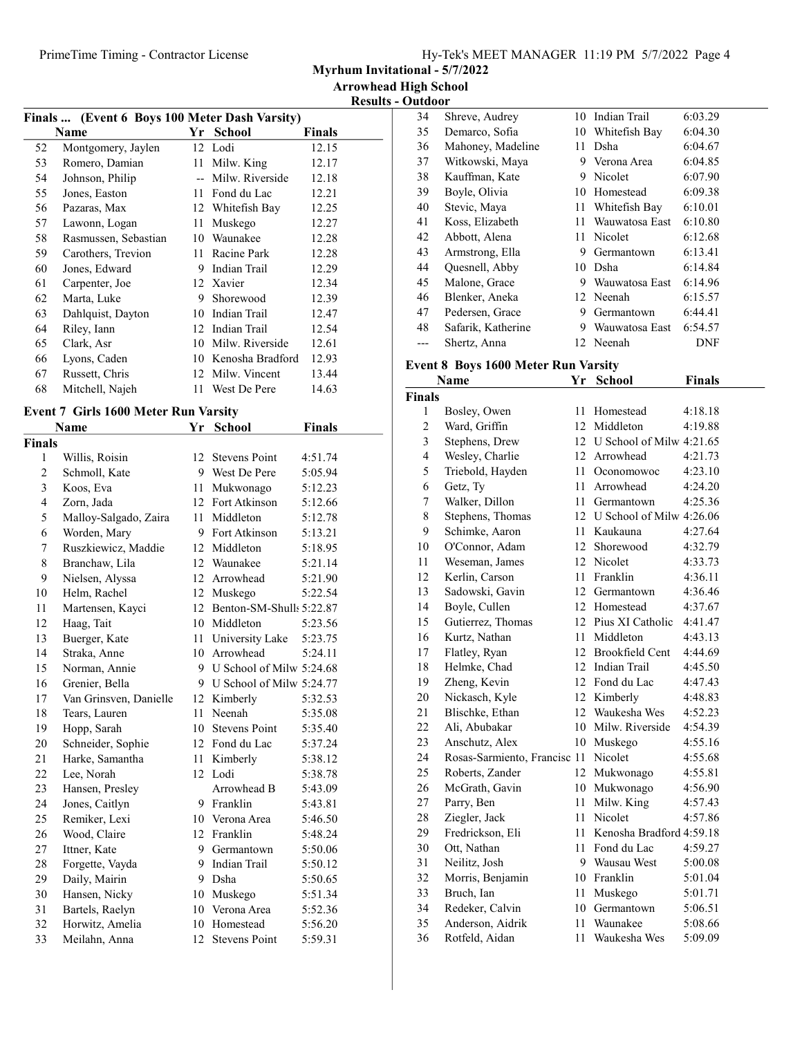| Hy-Tek's MEET MANAGER 11:19 PM 5/7/2022 Page 4 |  |  |  |
|------------------------------------------------|--|--|--|
|------------------------------------------------|--|--|--|

Myrhum Invitational - 5/7/2022

Results - Outdoor

| Finals  (Event 6 Boys 100 Meter Dash Varsity) |      |                 |                                                       |  |  |  |
|-----------------------------------------------|------|-----------------|-------------------------------------------------------|--|--|--|
|                                               |      | <b>School</b>   | Finals                                                |  |  |  |
| Montgomery, Jaylen                            |      |                 | 12.15                                                 |  |  |  |
| Romero, Damian                                | 11   | Milw. King      | 12.17                                                 |  |  |  |
| Johnson, Philip                               |      | Milw. Riverside | 12.18                                                 |  |  |  |
| Jones, Easton                                 | 11   | Fond du Lac     | 12.21                                                 |  |  |  |
| Pazaras, Max                                  |      |                 | 12.25                                                 |  |  |  |
| Lawonn, Logan                                 | 11   | Muskego         | 12.27                                                 |  |  |  |
| Rasmussen, Sebastian                          | 10   | Waunakee        | 12.28                                                 |  |  |  |
| Carothers, Trevion                            | 11   | Racine Park     | 12.28                                                 |  |  |  |
| Jones, Edward                                 | 9    | Indian Trail    | 12.29                                                 |  |  |  |
| Carpenter, Joe                                |      | Xavier          | 12.34                                                 |  |  |  |
| Marta, Luke                                   | 9    | Shorewood       | 12.39                                                 |  |  |  |
| Dahlquist, Dayton                             | 10   | Indian Trail    | 12.47                                                 |  |  |  |
| Riley, Iann                                   | 12   | Indian Trail    | 12.54                                                 |  |  |  |
| Clark, Asr                                    | 10   | Milw. Riverside | 12.61                                                 |  |  |  |
| Lyons, Caden                                  | 10   |                 | 12.93                                                 |  |  |  |
| Russett, Chris                                | 12   | Milw. Vincent   | 13.44                                                 |  |  |  |
| Mitchell, Najeh                               | 11   | West De Pere    | 14.63                                                 |  |  |  |
|                                               | Name | Yr              | 12 Lodi<br>12 Whitefish Bay<br>12<br>Kenosha Bradford |  |  |  |

## Event 7 Girls 1600 Meter Run Varsity

|                | Name                   | Yr | <b>School</b>               | <b>Finals</b> |
|----------------|------------------------|----|-----------------------------|---------------|
| Finals         |                        |    |                             |               |
| 1              | Willis, Roisin         | 12 | <b>Stevens Point</b>        | 4:51.74       |
| $\overline{c}$ | Schmoll, Kate          | 9  | West De Pere                | 5:05.94       |
| 3              | Koos, Eva              | 11 | Mukwonago                   | 5:12.23       |
| 4              | Zorn, Jada             |    | 12 Fort Atkinson            | 5:12.66       |
| 5              | Malloy-Salgado, Zaira  | 11 | Middleton                   | 5:12.78       |
| 6              | Worden, Mary           | 9  | Fort Atkinson               | 5:13.21       |
| 7              | Ruszkiewicz, Maddie    | 12 | Middleton                   | 5:18.95       |
| 8              | Branchaw, Lila         | 12 | Waunakee                    | 5:21.14       |
| 9              | Nielsen, Alyssa        | 12 | Arrowhead                   | 5:21.90       |
| 10             | Helm, Rachel           | 12 | Muskego                     | 5:22.54       |
| 11             | Martensen, Kayci       |    | 12 Benton-SM-Shulls 5:22.87 |               |
| 12             | Haag, Tait             |    | 10 Middleton                | 5:23.56       |
| 13             | Buerger, Kate          | 11 | University Lake             | 5:23.75       |
| 14             | Straka, Anne           | 10 | Arrowhead                   | 5:24.11       |
| 15             | Norman, Annie          | 9  | U School of Milw 5:24.68    |               |
| 16             | Grenier, Bella         |    | 9 U School of Milw 5:24.77  |               |
| 17             | Van Grinsven, Danielle |    | 12 Kimberly                 | 5:32.53       |
| 18             | Tears, Lauren          | 11 | Neenah                      | 5:35.08       |
| 19             | Hopp, Sarah            |    | 10 Stevens Point            | 5:35.40       |
| 20             | Schneider, Sophie      |    | 12 Fond du Lac              | 5:37.24       |
| 21             | Harke, Samantha        | 11 | Kimberly                    | 5:38.12       |
| 22             | Lee, Norah             | 12 | Lodi                        | 5:38.78       |
| 23             | Hansen, Presley        |    | Arrowhead B                 | 5:43.09       |
| 24             | Jones, Caitlyn         | 9  | Franklin                    | 5:43.81       |
| 25             | Remiker, Lexi          |    | 10 Verona Area              | 5:46.50       |
| 26             | Wood, Claire           | 12 | Franklin                    | 5:48.24       |
| 27             | Ittner, Kate           |    | 9 Germantown                | 5:50.06       |
| 28             | Forgette, Vayda        | 9  | Indian Trail                | 5:50.12       |
| 29             | Daily, Mairin          | 9  | Dsha                        | 5:50.65       |
| 30             | Hansen, Nicky          | 10 | Muskego                     | 5:51.34       |
| 31             | Bartels, Raelyn        | 10 | Verona Area                 | 5:52.36       |
| 32             | Horwitz, Amelia        | 10 | Homestead                   | 5:56.20       |
| 33             | Meilahn, Anna          | 12 | <b>Stevens Point</b>        | 5:59.31       |

| 34 | Shreve, Audrey     |     | 10 Indian Trail  | 6:03.29 |
|----|--------------------|-----|------------------|---------|
| 35 | Demarco, Sofia     |     | 10 Whitefish Bay | 6:04.30 |
| 36 | Mahoney, Madeline  | 11. | Dsha             | 6:04.67 |
| 37 | Witkowski, Maya    | 9   | Verona Area      | 6:04.85 |
| 38 | Kauffman, Kate     | 9   | Nicolet          | 6:07.90 |
| 39 | Boyle, Olivia      | 10  | Homestead        | 6:09.38 |
| 40 | Stevic, Maya       | 11  | Whitefish Bay    | 6:10.01 |
| 41 | Koss, Elizabeth    | 11  | Wauwatosa East   | 6:10.80 |
| 42 | Abbott, Alena      |     | 11 Nicolet       | 6:12.68 |
| 43 | Armstrong, Ella    | 9   | Germantown       | 6:13.41 |
| 44 | Quesnell, Abby     |     | 10 Dsha          | 6:14.84 |
| 45 | Malone, Grace      | 9   | Wauwatosa East   | 6:14.96 |
| 46 | Blenker, Aneka     |     | 12 Neenah        | 6:15.57 |
| 47 | Pedersen, Grace    | 9   | Germantown       | 6:44.41 |
| 48 | Safarik, Katherine | 9   | Wauwatosa East   | 6:54.57 |
|    | Shertz, Anna       |     | 12 Neenah        | DNF     |
|    |                    |     |                  |         |

# Event 8 Boys 1600 Meter Run Varsity

| Name           |                              | Yr | <b>School</b>               | <b>Finals</b> |
|----------------|------------------------------|----|-----------------------------|---------------|
| Finals         |                              |    |                             |               |
| 1              | Bosley, Owen                 | 11 | Homestead                   | 4:18.18       |
| $\overline{c}$ | Ward, Griffin                | 12 | Middleton                   | 4:19.88       |
| 3              | Stephens, Drew               |    | 12 U School of Milw 4:21.65 |               |
| $\overline{4}$ | Wesley, Charlie              |    | 12 Arrowhead                | 4:21.73       |
| 5              | Triebold, Hayden             |    | 11 Oconomowoc               | 4:23.10       |
| 6              | Getz, Ty                     | 11 | Arrowhead                   | 4:24.20       |
| 7              | Walker, Dillon               |    | 11 Germantown               | 4:25.36       |
| 8              | Stephens, Thomas             |    | 12 U School of Milw 4:26.06 |               |
| 9              | Schimke, Aaron               | 11 | Kaukauna                    | 4:27.64       |
| 10             | O'Connor, Adam               |    | 12 Shorewood                | 4:32.79       |
| 11             | Weseman, James               | 12 | Nicolet                     | 4:33.73       |
| 12             | Kerlin, Carson               | 11 | Franklin                    | 4:36.11       |
| 13             | Sadowski, Gavin              |    | 12 Germantown               | 4:36.46       |
| 14             | Boyle, Cullen                |    | 12 Homestead                | 4:37.67       |
| 15             | Gutierrez, Thomas            | 12 | Pius XI Catholic            | 4:41.47       |
| 16             | Kurtz, Nathan                | 11 | Middleton                   | 4:43.13       |
| 17             | Flatley, Ryan                | 12 | <b>Brookfield Cent</b>      | 4:44.69       |
| 18             | Helmke, Chad                 | 12 | Indian Trail                | 4:45.50       |
| 19             | Zheng, Kevin                 | 12 | Fond du Lac                 | 4:47.43       |
| 20             | Nickasch, Kyle               | 12 | Kimberly                    | 4:48.83       |
| 21             | Blischke, Ethan              | 12 | Waukesha Wes                | 4:52.23       |
| 22             | Ali, Abubakar                | 10 | Milw. Riverside             | 4:54.39       |
| 23             | Anschutz, Alex               | 10 | Muskego                     | 4:55.16       |
| 24             | Rosas-Sarmiento, Francisc 11 |    | Nicolet                     | 4:55.68       |
| 25             | Roberts, Zander              | 12 | Mukwonago                   | 4:55.81       |
| 26             | McGrath, Gavin               | 10 | Mukwonago                   | 4:56.90       |
| 27             | Parry, Ben                   | 11 | Milw. King                  | 4:57.43       |
| 28             | Ziegler, Jack                | 11 | Nicolet                     | 4:57.86       |
| 29             | Fredrickson, Eli             | 11 | Kenosha Bradford 4:59.18    |               |
| 30             | Ott, Nathan                  | 11 | Fond du Lac                 | 4:59.27       |
| 31             | Neilitz, Josh                | 9. | Wausau West                 | 5:00.08       |
| 32             | Morris, Benjamin             | 10 | Franklin                    | 5:01.04       |
| 33             | Bruch, Ian                   | 11 | Muskego                     | 5:01.71       |
| 34             | Redeker, Calvin              |    | 10 Germantown               | 5:06.51       |
| 35             | Anderson, Aidrik             | 11 | Waunakee                    | 5:08.66       |
| 36             | Rotfeld, Aidan               | 11 | Waukesha Wes                | 5:09.09       |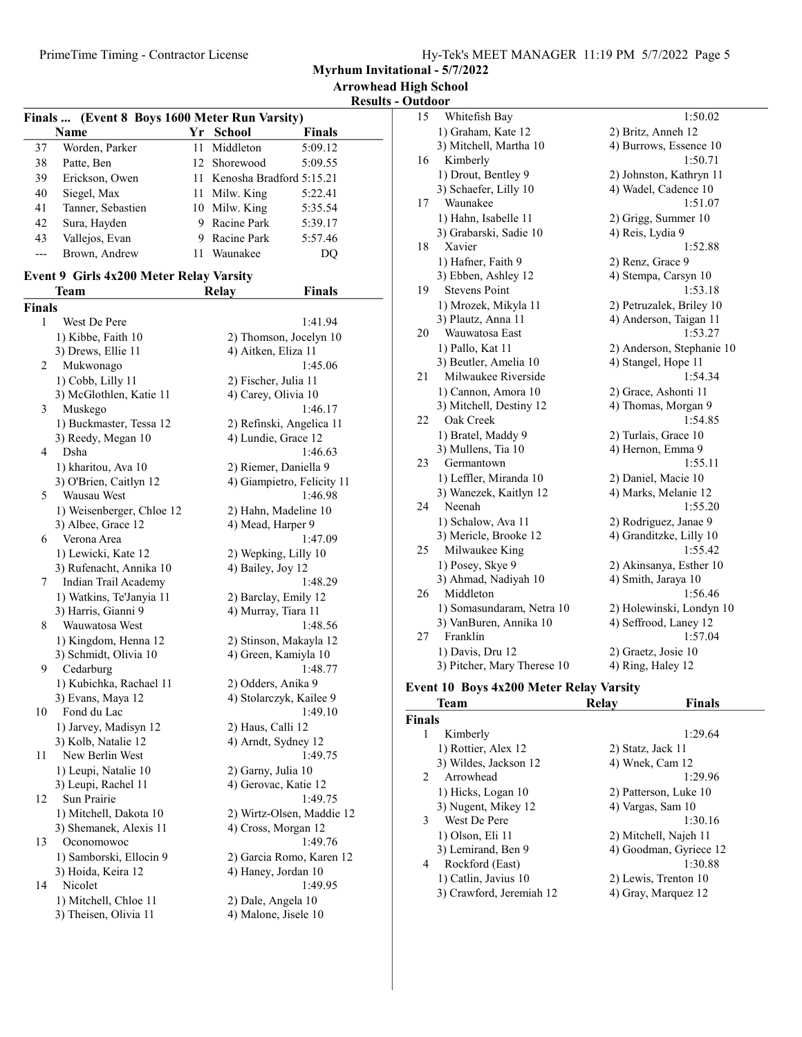Myrhum Invitational - 5/7/2022

Arrowhead High School

Results - Outdoor

| Finals  (Event 8 Boys 1600 Meter Run Varsity) |                   |    |                             |         |  |
|-----------------------------------------------|-------------------|----|-----------------------------|---------|--|
|                                               | Name              | Yr | <b>School</b>               | Finals  |  |
| 37                                            | Worden, Parker    |    | 11 Middleton                | 5:09.12 |  |
| 38                                            | Patte, Ben        |    | 12 Shorewood                | 5:09.55 |  |
| 39                                            | Erickson, Owen    |    | 11 Kenosha Bradford 5:15.21 |         |  |
| 40                                            | Siegel, Max       |    | 11 Milw. King               | 5:22.41 |  |
| 41                                            | Tanner, Sebastien |    | 10 Milw. King               | 5:35.54 |  |
| 42                                            | Sura, Hayden      |    | Racine Park                 | 5:39.17 |  |
| 43                                            | Vallejos, Evan    |    | Racine Park                 | 5:57.46 |  |
|                                               | Brown, Andrew     | 11 | Waunakee                    | DO)     |  |

Team Relay Finals

### Event 9 Girls 4x200 Meter Relay Varsity

| <b>Finals</b>  |                                                |                                            |
|----------------|------------------------------------------------|--------------------------------------------|
| 1              | West De Pere                                   | 1:41.94                                    |
|                | 1) Kibbe, Faith 10                             | 2) Thomson, Jocelyn 10                     |
|                | 3) Drews, Ellie 11                             | 4) Aitken, Eliza 11                        |
| 2              | Mukwonago                                      | 1:45.06                                    |
|                | 1) Cobb, Lilly 11                              | 2) Fischer, Julia 11                       |
|                | 3) McGlothlen, Katie 11                        | 4) Carey, Olivia 10                        |
| 3              | Muskego                                        | 1:46.17                                    |
|                | 1) Buckmaster, Tessa 12                        | 2) Refinski, Angelica 11                   |
|                | 3) Reedy, Megan 10                             | 4) Lundie, Grace 12                        |
| $\overline{4}$ | Dsha                                           | 1:46.63                                    |
|                | 1) kharitou, Ava 10                            | 2) Riemer, Daniella 9                      |
|                | 3) O'Brien, Caitlyn 12                         | 4) Giampietro, Felicity 11                 |
| 5              | Wausau West                                    | 1:46.98                                    |
|                | 1) Weisenberger, Chloe 12                      | 2) Hahn, Madeline 10                       |
|                | 3) Albee, Grace 12                             | 4) Mead, Harper 9                          |
| 6              | Verona Area                                    | 1:47.09                                    |
|                | 1) Lewicki, Kate 12                            | 2) Wepking, Lilly 10                       |
|                | 3) Rufenacht, Annika 10                        | 4) Bailey, Joy 12                          |
| 7              | Indian Trail Academy                           | 1:48.29                                    |
|                | 1) Watkins, Te'Janyia 11                       | 2) Barclay, Emily 12                       |
|                | 3) Harris, Gianni 9                            | 4) Murray, Tiara 11                        |
| 8              | Wauwatosa West                                 | 1:48.56                                    |
|                | 1) Kingdom, Henna 12                           | 2) Stinson, Makayla 12                     |
|                | 3) Schmidt, Olivia 10                          | 4) Green, Kamiyla 10                       |
| 9              | Cedarburg                                      | 1:48.77                                    |
|                | 1) Kubichka, Rachael 11                        | 2) Odders, Anika 9                         |
|                | 3) Evans, Maya 12                              | 4) Stolarczyk, Kailee 9                    |
| 10             | Fond du Lac                                    | 1:49.10                                    |
|                | 1) Jarvey, Madisyn 12                          | 2) Haus, Calli 12                          |
|                | 3) Kolb, Natalie 12                            | 4) Arndt, Sydney 12                        |
| 11             | New Berlin West                                | 1:49.75                                    |
|                | 1) Leupi, Natalie 10                           | 2) Garny, Julia 10                         |
|                | 3) Leupi, Rachel 11                            | 4) Gerovac, Katie 12                       |
| 12             | Sun Prairie                                    | 1:49.75                                    |
|                | 1) Mitchell, Dakota 10                         | 2) Wirtz-Olsen, Maddie 12                  |
| 13             | 3) Shemanek, Alexis 11                         | 4) Cross, Morgan 12<br>1:49.76             |
|                | Oconomowoc                                     |                                            |
|                | 1) Samborski, Ellocin 9                        | 2) Garcia Romo, Karen 12                   |
| 14             | 3) Hoida, Keira 12<br>Nicolet                  | 4) Haney, Jordan 10<br>1:49.95             |
|                |                                                |                                            |
|                | 1) Mitchell, Chloe 11<br>3) Theisen, Olivia 11 | 2) Dale, Angela 10<br>4) Malone, Jisele 10 |
|                |                                                |                                            |

| 15 | Whitefish Bay               | 1:50.02                   |
|----|-----------------------------|---------------------------|
|    | 1) Graham, Kate 12          | 2) Britz, Anneh 12        |
|    | 3) Mitchell, Martha 10      | 4) Burrows, Essence 10    |
| 16 | Kimberly                    | 1:50.71                   |
|    | 1) Drout, Bentley 9         | 2) Johnston, Kathryn 11   |
|    | 3) Schaefer, Lilly 10       | 4) Wadel, Cadence 10      |
| 17 | Waunakee                    | 1:51.07                   |
|    | 1) Hahn, Isabelle 11        | 2) Grigg, Summer 10       |
|    | 3) Grabarski, Sadie 10      | 4) Reis, Lydia 9          |
| 18 | Xavier                      | 1:52.88                   |
|    | 1) Hafner, Faith 9          | 2) Renz, Grace 9          |
|    | 3) Ebben, Ashley 12         | 4) Stempa, Carsyn 10      |
| 19 | <b>Stevens Point</b>        | 1:53.18                   |
|    | 1) Mrozek, Mikyla 11        | 2) Petruzalek, Briley 10  |
|    | 3) Plautz, Anna 11          | 4) Anderson, Taigan 11    |
| 20 | Wauwatosa East              | 1:53.27                   |
|    | 1) Pallo, Kat 11            | 2) Anderson, Stephanie 10 |
|    | 3) Beutler, Amelia 10       | 4) Stangel, Hope 11       |
| 21 | Milwaukee Riverside         | 1:54.34                   |
|    | 1) Cannon, Amora 10         | 2) Grace, Ashonti 11      |
|    | 3) Mitchell, Destiny 12     | 4) Thomas, Morgan 9       |
| 22 | Oak Creek                   | 1:54.85                   |
|    | 1) Bratel, Maddy 9          | 2) Turlais, Grace 10      |
|    | 3) Mullens, Tia 10          | 4) Hernon, Emma 9         |
| 23 | Germantown                  | 1:55.11                   |
|    | 1) Leffler, Miranda 10      | 2) Daniel, Macie 10       |
|    | 3) Wanezek, Kaitlyn 12      | 4) Marks, Melanie 12      |
| 24 | Neenah                      | 1:55.20                   |
|    | 1) Schalow, Ava 11          | 2) Rodriguez, Janae 9     |
|    | 3) Mericle, Brooke 12       | 4) Granditzke, Lilly 10   |
| 25 | Milwaukee King              | 1:55.42                   |
|    | 1) Posey, Skye 9            | 2) Akinsanya, Esther 10   |
|    | 3) Ahmad, Nadiyah 10        | 4) Smith, Jaraya 10       |
| 26 | Middleton                   | 1:56.46                   |
|    | 1) Somasundaram, Netra 10   | 2) Holewinski, Londyn 10  |
|    | 3) VanBuren, Annika 10      | 4) Seffrood, Laney 12     |
| 27 | Franklin                    | 1:57.04                   |
|    | 1) Davis, Dru 12            | 2) Graetz, Josie 10       |
|    | 3) Pitcher, Mary Therese 10 | 4) Ring, Haley 12         |
|    |                             |                           |

# Event 10 Boys 4x200 Meter Relay Varsity

| 1:29.64                |
|------------------------|
|                        |
|                        |
| 1:29.96                |
|                        |
|                        |
| 1:30.16                |
|                        |
| 4) Goodman, Gyriece 12 |
| 1:30.88                |
|                        |
|                        |
|                        |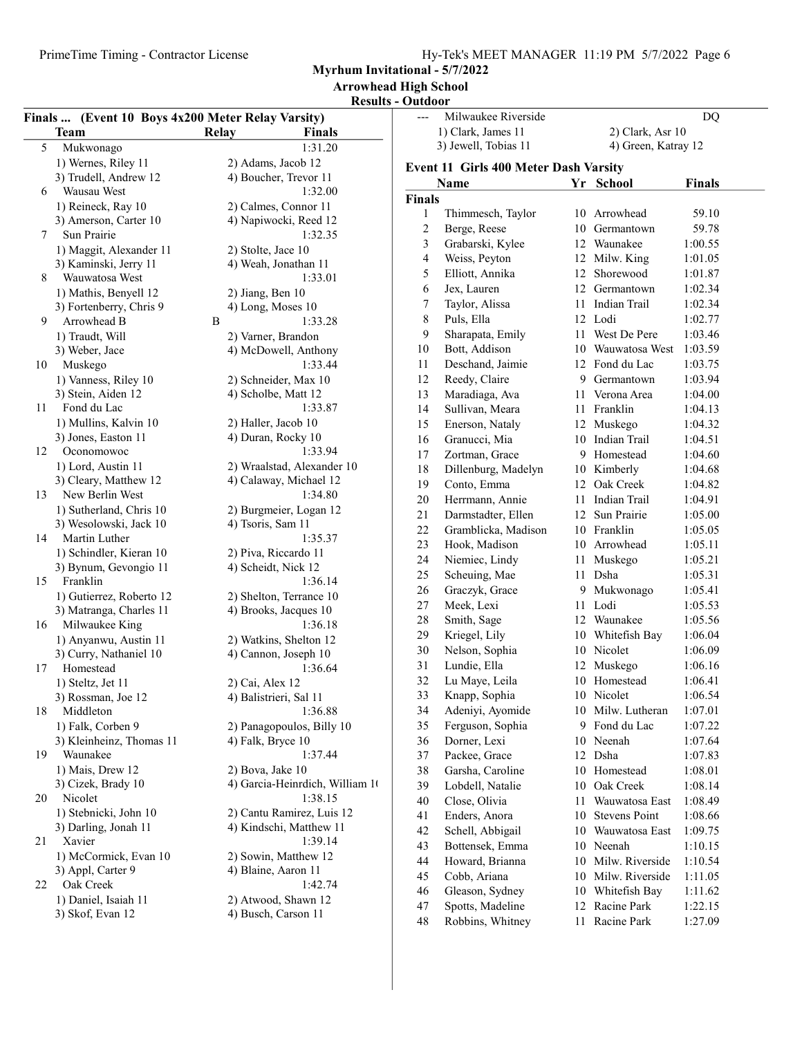Myrhum Invitational - 5/7/2022

Arrowhead High School

### Results - Outdoor

|    | Finals  (Event 10 Boys 4x200 Meter Relay Varsity) |                                                |                | Milwaukee Riverside                   |                     | <b>DQ</b>     |
|----|---------------------------------------------------|------------------------------------------------|----------------|---------------------------------------|---------------------|---------------|
|    | <b>Team</b>                                       | Relay<br>Finals                                |                | 1) Clark, James 11                    | 2) Clark, Asr 10    |               |
| 5  | Mukwonago                                         | 1:31.20                                        |                | 3) Jewell, Tobias 11                  | 4) Green, Katray 12 |               |
|    | 1) Wernes, Riley 11                               | 2) Adams, Jacob 12                             |                | Event 11 Girls 400 Meter Dash Varsity |                     |               |
|    | 3) Trudell, Andrew 12                             | 4) Boucher, Trevor 11                          |                | Name                                  | Yr School           | <b>Finals</b> |
| 6  | Wausau West                                       | 1:32.00                                        | <b>Finals</b>  |                                       |                     |               |
|    | 1) Reineck, Ray 10                                | 2) Calmes, Connor 11                           | $\mathbf{1}$   | Thimmesch, Taylor                     | 10 Arrowhead        | 59.10         |
|    | 3) Amerson, Carter 10                             | 4) Napiwocki, Reed 12                          | $\overline{c}$ | Berge, Reese                          | 10 Germantown       | 59.78         |
| 7  | Sun Prairie                                       | 1:32.35                                        | 3              | Grabarski, Kylee                      | 12 Waunakee         | 1:00.55       |
|    | 1) Maggit, Alexander 11                           | 2) Stolte, Jace 10                             | $\overline{4}$ | Weiss, Peyton                         | 12 Milw. King       | 1:01.05       |
|    | 3) Kaminski, Jerry 11                             | 4) Weah, Jonathan 11                           | 5              | Elliott, Annika                       | 12 Shorewood        | 1:01.87       |
| 8  | Wauwatosa West                                    | 1:33.01                                        | 6              | Jex, Lauren                           | 12 Germantown       | 1:02.34       |
|    | 1) Mathis, Benyell 12                             | 2) Jiang, Ben 10                               | $\overline{7}$ | Taylor, Alissa                        | 11 Indian Trail     | 1:02.34       |
|    | 3) Fortenberry, Chris 9                           | 4) Long, Moses 10<br>B                         | 8              | Puls, Ella                            | 12 Lodi             | 1:02.77       |
| 9  | Arrowhead B                                       | 1:33.28                                        | 9              | Sharapata, Emily                      | 11 West De Pere     | 1:03.46       |
|    | 1) Traudt, Will                                   | 2) Varner, Brandon                             | 10             | Bott, Addison                         | 10 Wauwatosa West   | 1:03.59       |
| 10 | 3) Weber, Jace<br>Muskego                         | 4) McDowell, Anthony<br>1:33.44                | 11             | Deschand, Jaimie                      | 12 Fond du Lac      | 1:03.75       |
|    | 1) Vanness, Riley 10                              | 2) Schneider, Max 10                           | 12             | Reedy, Claire                         | 9 Germantown        | 1:03.94       |
|    | 3) Stein, Aiden 12                                | 4) Scholbe, Matt 12                            | 13             | Maradiaga, Ava                        | 11 Verona Area      | 1:04.00       |
| 11 | Fond du Lac                                       | 1:33.87                                        | 14             | Sullivan, Meara                       | 11 Franklin         | 1:04.13       |
|    | 1) Mullins, Kalvin 10                             | 2) Haller, Jacob 10                            | 15             | Enerson, Nataly                       | 12 Muskego          | 1:04.32       |
|    | 3) Jones, Easton 11                               | 4) Duran, Rocky 10                             | 16             | Granucci, Mia                         | 10 Indian Trail     | 1:04.51       |
| 12 | Oconomowoc                                        | 1:33.94                                        | 17             | Zortman, Grace                        | 9 Homestead         | 1:04.60       |
|    | 1) Lord, Austin 11                                | 2) Wraalstad, Alexander 10                     | 18             | Dillenburg, Madelyn                   | 10 Kimberly         | 1:04.68       |
|    | 3) Cleary, Matthew 12                             | 4) Calaway, Michael 12                         | 19             | Conto, Emma                           | 12 Oak Creek        | 1:04.82       |
| 13 | New Berlin West                                   | 1:34.80                                        | 20             | Herrmann, Annie                       | 11 Indian Trail     | 1:04.91       |
|    | 1) Sutherland, Chris 10                           | 2) Burgmeier, Logan 12                         | 21             | Darmstadter, Ellen                    | 12 Sun Prairie      | 1:05.00       |
|    | 3) Wesolowski, Jack 10                            | 4) Tsoris, Sam 11                              | 22             | Gramblicka, Madison                   | 10 Franklin         | 1:05.05       |
| 14 | Martin Luther                                     | 1:35.37                                        | 23             | Hook, Madison                         | 10 Arrowhead        | 1:05.11       |
|    | 1) Schindler, Kieran 10                           | 2) Piva, Riccardo 11                           | 24             | Niemiec, Lindy                        | 11 Muskego          | 1:05.21       |
|    | 3) Bynum, Gevongio 11                             | 4) Scheidt, Nick 12                            | 25             | Scheuing, Mae                         | 11 Dsha             | 1:05.31       |
| 15 | Franklin                                          | 1:36.14                                        | 26             | Graczyk, Grace                        | 9 Mukwonago         | 1:05.41       |
|    | 1) Gutierrez, Roberto 12                          | 2) Shelton, Terrance 10                        | 27             | Meek, Lexi                            | 11 Lodi             | 1:05.53       |
|    | 3) Matranga, Charles 11                           | 4) Brooks, Jacques 10<br>1:36.18               | 28             | Smith, Sage                           | 12 Waunakee         | 1:05.56       |
| 16 | Milwaukee King                                    |                                                | 29             | Kriegel, Lily                         | 10 Whitefish Bay    | 1:06.04       |
|    | 1) Anyanwu, Austin 11<br>3) Curry, Nathaniel 10   | 2) Watkins, Shelton 12<br>4) Cannon, Joseph 10 | 30             | Nelson, Sophia                        | 10 Nicolet          | 1:06.09       |
| 17 | Homestead                                         | 1:36.64                                        | 31             | Lundie, Ella                          | 12 Muskego          | 1:06.16       |
|    | 1) Steltz, Jet 11                                 | 2) Cai, Alex 12                                | 32             | Lu Maye, Leila                        | 10 Homestead        | 1:06.41       |
|    | 3) Rossman, Joe 12                                | 4) Balistrieri, Sal 11                         | 33             | Knapp, Sophia                         | 10 Nicolet          | 1:06.54       |
| 18 | Middleton                                         | 1:36.88                                        | 34             | Adeniyi, Ayomide                      | 10 Milw. Lutheran   | 1:07.01       |
|    | 1) Falk, Corben 9                                 | 2) Panagopoulos, Billy 10                      | 35             | Ferguson, Sophia                      | 9 Fond du Lac       | 1:07.22       |
|    | 3) Kleinheinz, Thomas 11                          | 4) Falk, Bryce 10                              | 36             | Dorner, Lexi                          | 10 Neenah           | 1:07.64       |
| 19 | Waunakee                                          | 1:37.44                                        | 37             | Packee, Grace                         | 12 Dsha             | 1:07.83       |
|    | 1) Mais, Drew 12                                  | 2) Bova, Jake 10                               | 38             | Garsha, Caroline                      | 10 Homestead        | 1:08.01       |
|    | 3) Cizek, Brady 10                                | 4) Garcia-Heinrdich, William 10                | 39             | Lobdell, Natalie                      | 10 Oak Creek        | 1:08.14       |
| 20 | Nicolet                                           | 1:38.15                                        | 40             | Close, Olivia                         | 11 Wauwatosa East   | 1:08.49       |
|    | 1) Stebnicki, John 10                             | 2) Cantu Ramirez, Luis 12                      | 41             | Enders, Anora                         | 10 Stevens Point    | 1:08.66       |
|    | 3) Darling, Jonah 11                              | 4) Kindschi, Matthew 11                        | 42             | Schell, Abbigail                      | 10 Wauwatosa East   | 1:09.75       |
| 21 | Xavier                                            | 1:39.14                                        | 43             | Bottensek, Emma                       | 10 Neenah           | 1:10.15       |
|    | 1) McCormick, Evan 10                             | 2) Sowin, Matthew 12                           | 44             | Howard, Brianna                       | 10 Milw. Riverside  | 1:10.54       |
|    | 3) Appl, Carter 9                                 | 4) Blaine, Aaron 11                            | 45             | Cobb, Ariana                          | 10 Milw. Riverside  | 1:11.05       |
| 22 | Oak Creek                                         | 1:42.74                                        | 46             | Gleason, Sydney                       | 10 Whitefish Bay    | 1:11.62       |
|    | 1) Daniel, Isaiah 11                              | 2) Atwood, Shawn 12                            | 47             | Spotts, Madeline                      | 12 Racine Park      | 1:22.15       |
|    | 3) Skof, Evan 12                                  | 4) Busch, Carson 11                            | 48             | Robbins, Whitney                      | 11 Racine Park      | 1:27.09       |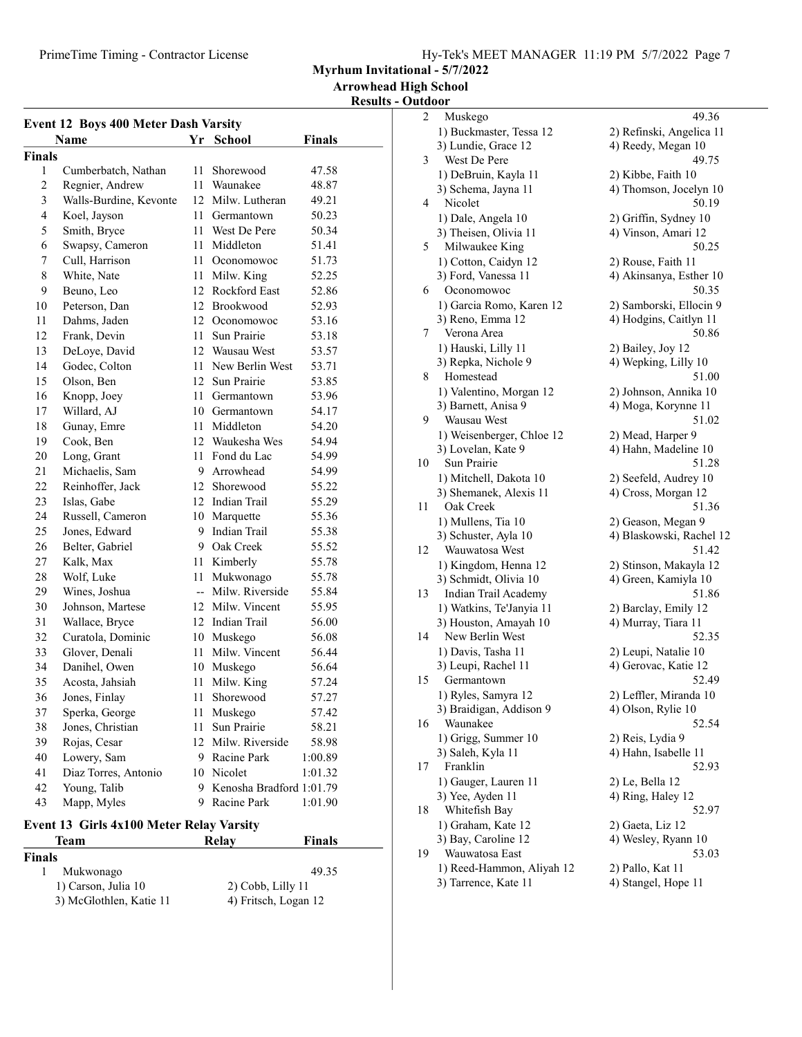Myrhum Invitational - 5/7/2022

Results - Outdoor

| <b>Event 12 Boys 400 Meter Dash Varsity</b> |                        |      |                            |               |
|---------------------------------------------|------------------------|------|----------------------------|---------------|
|                                             | <b>Name</b>            | Yr   | <b>School</b>              | <b>Finals</b> |
| Finals                                      |                        |      |                            |               |
| 1                                           | Cumberbatch, Nathan    | 11 - | Shorewood                  | 47.58         |
| $\sqrt{2}$                                  | Regnier, Andrew        |      | 11 Waunakee                | 48.87         |
| 3                                           | Walls-Burdine, Kevonte |      | 12 Milw. Lutheran          | 49.21         |
| $\overline{4}$                              | Koel, Jayson           |      | 11 Germantown              | 50.23         |
| 5                                           | Smith, Bryce           |      | 11 West De Pere            | 50.34         |
| 6                                           | Swapsy, Cameron        |      | 11 Middleton               | 51.41         |
| 7                                           | Cull, Harrison         |      | 11 Oconomowoc              | 51.73         |
| 8                                           | White, Nate            |      | 11 Milw. King              | 52.25         |
| 9                                           | Beuno, Leo             |      | 12 Rockford East           | 52.86         |
| 10                                          | Peterson, Dan          |      | 12 Brookwood               | 52.93         |
| 11                                          | Dahms, Jaden           |      | 12 Oconomowoc              | 53.16         |
| 12                                          | Frank, Devin           | 11 - | Sun Prairie                | 53.18         |
| 13                                          | DeLoye, David          |      | 12 Wausau West             | 53.57         |
| 14                                          | Godec, Colton          |      | 11 New Berlin West         | 53.71         |
| 15                                          | Olson, Ben             |      | 12 Sun Prairie             | 53.85         |
| 16                                          | Knopp, Joey            |      | 11 Germantown              | 53.96         |
| 17                                          | Willard, AJ            |      | 10 Germantown              | 54.17         |
| 18                                          | Gunay, Emre            |      | 11 Middleton               | 54.20         |
| 19                                          | Cook, Ben              |      | 12 Waukesha Wes            | 54.94         |
| 20                                          | Long, Grant            |      | 11 Fond du Lac             | 54.99         |
| 21                                          | Michaelis, Sam         |      | 9 Arrowhead                | 54.99         |
| 22                                          | Reinhoffer, Jack       |      | 12 Shorewood               | 55.22         |
| 23                                          | Islas, Gabe            |      | 12 Indian Trail            | 55.29         |
| 24                                          | Russell, Cameron       |      | 10 Marquette               | 55.36         |
| 25                                          | Jones, Edward          |      | 9 Indian Trail             | 55.38         |
| 26                                          | Belter, Gabriel        |      | 9 Oak Creek                | 55.52         |
| 27                                          | Kalk, Max              |      | 11 Kimberly                | 55.78         |
| 28                                          | Wolf, Luke             |      | 11 Mukwonago               | 55.78         |
| 29                                          | Wines, Joshua          |      | -- Milw. Riverside         | 55.84         |
| 30                                          | Johnson, Martese       |      | 12 Milw. Vincent           | 55.95         |
| 31                                          | Wallace, Bryce         |      | 12 Indian Trail            | 56.00         |
| 32                                          | Curatola, Dominic      |      | 10 Muskego                 | 56.08         |
| 33                                          | Glover, Denali         |      | 11 Milw. Vincent           | 56.44         |
| 34                                          | Danihel, Owen          |      | 10 Muskego                 | 56.64         |
| 35                                          | Acosta, Jahsiah        | 11   | Milw. King                 | 57.24         |
| 36                                          | Jones, Finlay          | 11   | Shorewood                  | 57.27         |
| 37                                          | Sperka, George         | 11   | Muskego                    | 57.42         |
| 38                                          | Jones, Christian       | 11   | Sun Prairie                | 58.21         |
| 39                                          | Rojas, Cesar           |      | 12 Milw. Riverside         | 58.98         |
| 40                                          | Lowery, Sam            |      | 9 Racine Park              | 1:00.89       |
| 41                                          | Diaz Torres, Antonio   |      | 10 Nicolet                 | 1:01.32       |
| 42                                          | Young, Talib           |      | 9 Kenosha Bradford 1:01.79 |               |
| 43                                          | Mapp, Myles            | 9    | Racine Park                | 1:01.90       |

## Event 13 Girls 4x100 Meter Relay Varsity

| <b>Finals</b>           |                      |
|-------------------------|----------------------|
| Mukwonago               | 49.35                |
| 1) Carson, Julia 10     | $2)$ Cobb, Lilly 11  |
| 3) McGlothlen, Katie 11 | 4) Fritsch, Logan 12 |

Team Relay Finals

| $\overline{c}$ | Muskego                                 | 49.36                        |
|----------------|-----------------------------------------|------------------------------|
|                | 1) Buckmaster, Tessa 12                 | 2) Refinski, Angelica 11     |
|                | 3) Lundie, Grace 12                     | 4) Reedy, Megan 10           |
| 3              | West De Pere                            | 49.75                        |
|                | 1) DeBruin, Kayla 11                    | 2) Kibbe, Faith 10           |
|                | 3) Schema, Jayna 11                     | 4) Thomson, Jocelyn 10       |
| 4              | Nicolet                                 | 50.19                        |
|                | 1) Dale, Angela 10                      | 2) Griffin, Sydney 10        |
|                |                                         |                              |
| 5              | 3) Theisen, Olivia 11<br>Milwaukee King | 4) Vinson, Amari 12<br>50.25 |
|                |                                         |                              |
|                | 1) Cotton, Caidyn 12                    | 2) Rouse, Faith 11           |
|                | 3) Ford, Vanessa 11                     | 4) Akinsanya, Esther 10      |
| 6              | Oconomowoc                              | 50.35                        |
|                | 1) Garcia Romo, Karen 12                | 2) Samborski, Ellocin 9      |
|                | 3) Reno, Emma 12                        | 4) Hodgins, Caitlyn 11       |
| 7              | Verona Area                             | 50.86                        |
|                | 1) Hauski, Lilly 11                     | 2) Bailey, Joy 12            |
|                | 3) Repka, Nichole 9                     | 4) Wepking, Lilly 10         |
| 8              | Homestead                               | 51.00                        |
|                | 1) Valentino, Morgan 12                 | 2) Johnson, Annika 10        |
|                | 3) Barnett, Anisa 9                     | 4) Moga, Korynne 11          |
| 9              | Wausau West                             | 51.02                        |
|                | 1) Weisenberger, Chloe 12               | 2) Mead, Harper 9            |
|                | 3) Lovelan, Kate 9                      | 4) Hahn, Madeline 10         |
| 10             | Sun Prairie                             | 51.28                        |
|                | 1) Mitchell, Dakota 10                  | 2) Seefeld, Audrey 10        |
|                | 3) Shemanek, Alexis 11                  | 4) Cross, Morgan 12          |
| 11             | Oak Creek                               | 51.36                        |
|                | 1) Mullens, Tia 10                      | 2) Geason, Megan 9           |
|                | 3) Schuster, Ayla 10                    | 4) Blaskowski, Rachel 12     |
| 12             | Wauwatosa West                          | 51.42                        |
|                | 1) Kingdom, Henna 12                    | 2) Stinson, Makayla 12       |
|                | 3) Schmidt, Olivia 10                   | 4) Green, Kamiyla 10         |
| 13             | Indian Trail Academy                    | 51.86                        |
|                | 1) Watkins, Te'Janyia 11                | 2) Barclay, Emily 12         |
|                | 3) Houston, Amayah 10                   | 4) Murray, Tiara 11          |
| 14             | New Berlin West                         | 52.35                        |
|                | 1) Davis, Tasha 11                      | 2) Leupi, Natalie 10         |
|                | 3) Leupi, Rachel 11                     | 4) Gerovac, Katie 12         |
| 15             | Germantown                              | 52.49                        |
|                | 1) Ryles, Samyra 12                     | 2) Leffler, Miranda 10       |
|                | 3) Braidigan, Addison 9                 | 4) Olson, Rylie 10           |
| 16             | Waunakee                                | 52.54                        |
|                | 1) Grigg, Summer 10                     | 2) Reis, Lydia 9             |
|                | 3) Saleh, Kyla 11                       | 4) Hahn, Isabelle 11         |
| 17             | Franklin                                | 52.93                        |
|                |                                         |                              |
|                | 1) Gauger, Lauren 11                    | 2) Le, Bella 12              |
|                | 3) Yee, Ayden 11                        | 4) Ring, Haley 12            |
| 18             | Whitefish Bay                           | 52.97                        |
|                | 1) Graham, Kate 12                      | 2) Gaeta, Liz 12             |
|                | 3) Bay, Caroline 12<br>Wauwatosa East   | 4) Wesley, Ryann 10          |
| 19             |                                         | 53.03                        |
|                | 1) Reed-Hammon, Aliyah 12               | 2) Pallo, Kat 11             |
|                | 3) Tarrence, Kate 11                    | 4) Stangel, Hope 11          |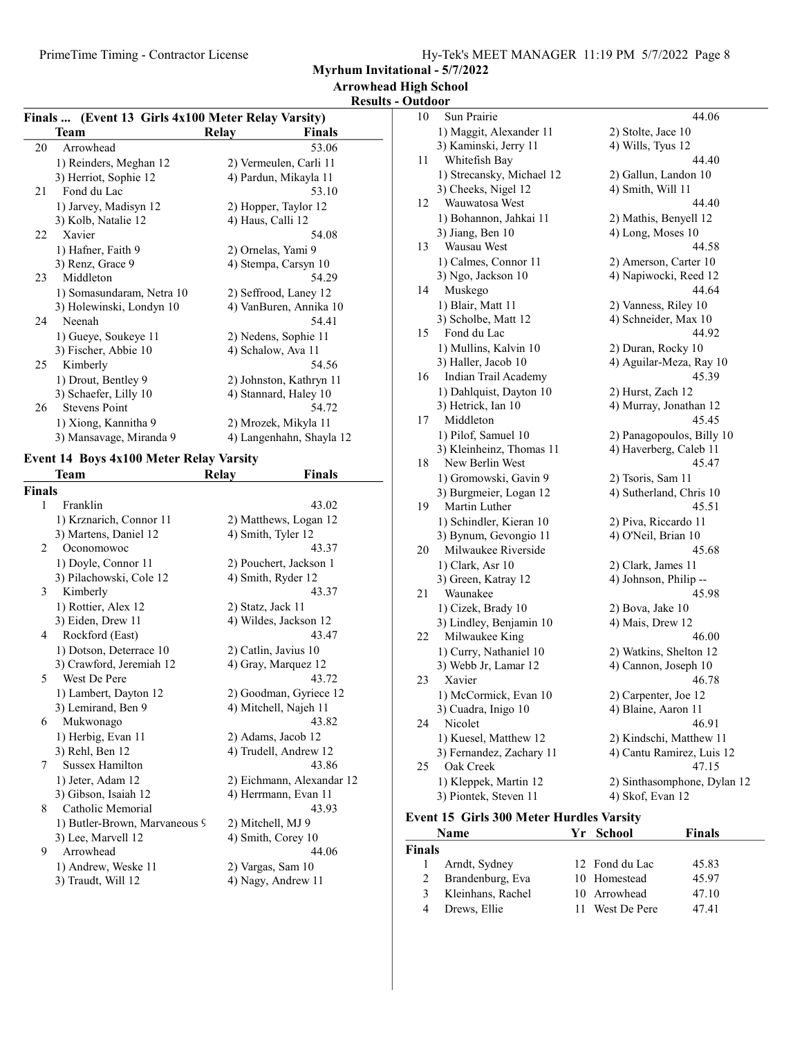PrimeTime Timing - Contractor License

Myrhum Invitational - 5/7/2022

Arrowhead High School

Results - Outdoor

| Finals  (Event 13 Girls 4x100 Meter Relay Varsity) |                           |       |                          |  |
|----------------------------------------------------|---------------------------|-------|--------------------------|--|
|                                                    | Team                      | Relay | Finals                   |  |
| 20                                                 | Arrowhead                 |       | 53.06                    |  |
|                                                    | 1) Reinders, Meghan 12    |       | 2) Vermeulen, Carli 11   |  |
|                                                    | 3) Herriot, Sophie 12     |       | 4) Pardun, Mikayla 11    |  |
| 21                                                 | Fond du Lac               |       | 53.10                    |  |
|                                                    | 1) Jarvey, Madisyn 12     |       | 2) Hopper, Taylor 12     |  |
|                                                    | 3) Kolb, Natalie 12       |       | 4) Haus, Calli 12        |  |
| 22                                                 | Xavier                    |       | 54.08                    |  |
|                                                    | 1) Hafner, Faith 9        |       | 2) Ornelas, Yami 9       |  |
|                                                    | 3) Renz, Grace 9          |       | 4) Stempa, Carsyn 10     |  |
| 23                                                 | Middleton                 |       | 54.29                    |  |
|                                                    | 1) Somasundaram, Netra 10 |       | 2) Seffrood, Laney 12    |  |
|                                                    | 3) Holewinski, Londyn 10  |       | 4) VanBuren, Annika 10   |  |
| 24                                                 | Neenah                    |       | 54.41                    |  |
|                                                    | 1) Gueye, Soukeye 11      |       | 2) Nedens, Sophie 11     |  |
|                                                    | 3) Fischer, Abbie 10      |       | 4) Schalow, Ava 11       |  |
| 25                                                 | Kimberly                  |       | 54.56                    |  |
|                                                    | 1) Drout, Bentley 9       |       | 2) Johnston, Kathryn 11  |  |
|                                                    | 3) Schaefer, Lilly 10     |       | 4) Stannard, Haley 10    |  |
| 26                                                 | <b>Stevens Point</b>      |       | 54.72                    |  |
|                                                    | 1) Xiong, Kannitha 9      |       | 2) Mrozek, Mikyla 11     |  |
|                                                    | 3) Mansavage, Miranda 9   |       | 4) Langenhahn, Shayla 12 |  |

#### Event 14 Boys 4x100 Meter Relay Varsity

|               | Team                          | Relav | Finals                    |
|---------------|-------------------------------|-------|---------------------------|
| <b>Finals</b> |                               |       |                           |
| 1             | Franklin                      |       | 43.02                     |
|               | 1) Krznarich, Connor 11       |       | 2) Matthews, Logan 12     |
|               | 3) Martens, Daniel 12         |       | 4) Smith, Tyler 12        |
| 2             | Oconomowoc                    |       | 43.37                     |
|               | 1) Doyle, Connor 11           |       | 2) Pouchert, Jackson 1    |
|               | 3) Pilachowski, Cole 12       |       | 4) Smith, Ryder 12        |
| 3             | Kimberly                      |       | 43.37                     |
|               | 1) Rottier, Alex 12           |       | 2) Statz, Jack 11         |
|               | 3) Eiden, Drew 11             |       | 4) Wildes, Jackson 12     |
| 4             | Rockford (East)               |       | 43.47                     |
|               | 1) Dotson, Deterrace 10       |       | 2) Catlin, Javius 10      |
|               | 3) Crawford, Jeremiah 12      |       | 4) Gray, Marquez 12       |
| 5             | West De Pere                  |       | 43.72                     |
|               | 1) Lambert, Dayton 12         |       | 2) Goodman, Gyriece 12    |
|               | 3) Lemirand, Ben 9            |       | 4) Mitchell, Najeh 11     |
| 6             | Mukwonago                     |       | 43.82                     |
|               | 1) Herbig, Evan 11            |       | 2) Adams, Jacob 12        |
|               | 3) Rehl, Ben 12               |       | 4) Trudell, Andrew 12     |
| 7             | <b>Sussex Hamilton</b>        |       | 43.86                     |
|               | 1) Jeter, Adam 12             |       | 2) Eichmann, Alexandar 12 |
|               | 3) Gibson, Isaiah 12          |       | 4) Herrmann, Evan 11      |
| 8             | Catholic Memorial             |       | 43.93                     |
|               | 1) Butler-Brown, Marvaneous 9 |       | 2) Mitchell, MJ 9         |
|               | 3) Lee, Marvell 12            |       | 4) Smith, Corey 10        |
| 9             | Arrowhead                     |       | 44.06                     |
|               | 1) Andrew, Weske 11           |       | 2) Vargas, Sam 10         |
|               | 3) Traudt, Will 12            |       | 4) Nagy, Andrew 11        |
|               |                               |       |                           |

| 10 | Sun Prairie               | 44.06                       |
|----|---------------------------|-----------------------------|
|    | 1) Maggit, Alexander 11   | 2) Stolte, Jace 10          |
|    | 3) Kaminski, Jerry 11     | 4) Wills, Tyus 12           |
| 11 | Whitefish Bay             | 44.40                       |
|    | 1) Strecansky, Michael 12 | 2) Gallun, Landon 10        |
|    | 3) Cheeks, Nigel 12       | 4) Smith, Will 11           |
| 12 | Wauwatosa West            | 44.40                       |
|    | 1) Bohannon, Jahkai 11    | 2) Mathis, Benyell 12       |
|    | 3) Jiang, Ben 10          | 4) Long, Moses 10           |
| 13 | Wausau West               | 44.58                       |
|    | 1) Calmes, Connor 11      | 2) Amerson, Carter 10       |
|    | 3) Ngo, Jackson 10        | 4) Napiwocki, Reed 12       |
| 14 | Muskego                   | 44.64                       |
|    | 1) Blair, Matt 11         | 2) Vanness, Riley 10        |
|    | 3) Scholbe, Matt 12       | 4) Schneider, Max 10        |
| 15 | Fond du Lac               | 44.92                       |
|    | 1) Mullins, Kalvin 10     | 2) Duran, Rocky 10          |
|    | 3) Haller, Jacob 10       | 4) Aguilar-Meza, Ray 10     |
| 16 | Indian Trail Academy      | 45.39                       |
|    | 1) Dahlquist, Dayton 10   | 2) Hurst, Zach 12           |
|    | 3) Hetrick, Ian 10        | 4) Murray, Jonathan 12      |
| 17 | Middleton                 | 45.45                       |
|    | 1) Pilof, Samuel 10       | 2) Panagopoulos, Billy 10   |
|    | 3) Kleinheinz, Thomas 11  | 4) Haverberg, Caleb 11      |
| 18 | New Berlin West           | 45.47                       |
|    | 1) Gromowski, Gavin 9     | 2) Tsoris, Sam 11           |
|    | 3) Burgmeier, Logan 12    | 4) Sutherland, Chris 10     |
| 19 | Martin Luther             | 45.51                       |
|    | 1) Schindler, Kieran 10   | 2) Piva, Riccardo 11        |
|    | 3) Bynum, Gevongio 11     | 4) O'Neil, Brian 10         |
| 20 | Milwaukee Riverside       | 45.68                       |
|    | 1) Clark, Asr 10          | 2) Clark, James 11          |
|    | 3) Green, Katray 12       | 4) Johnson, Philip --       |
| 21 | Waunakee                  | 45.98                       |
|    | 1) Cizek, Brady 10        | 2) Bova, Jake 10            |
|    | 3) Lindley, Benjamin 10   | 4) Mais, Drew 12            |
| 22 | Milwaukee King            | 46.00                       |
|    | 1) Curry, Nathaniel 10    | 2) Watkins, Shelton 12      |
|    | 3) Webb Jr, Lamar 12      | 4) Cannon, Joseph 10        |
| 23 | Xavier                    | 46.78                       |
|    | 1) McCormick, Evan 10     | 2) Carpenter, Joe 12        |
|    | 3) Cuadra, Inigo 10       | 4) Blaine, Aaron 11         |
| 24 | Nicolet                   | 46.91                       |
|    | 1) Kuesel, Matthew 12     | 2) Kindschi, Matthew 11     |
|    | 3) Fernandez, Zachary 11  | 4) Cantu Ramirez, Luis 12   |
| 25 | Oak Creek                 | 47.15                       |
|    | 1) Kleppek, Martin 12     | 2) Sinthasomphone, Dylan 12 |
|    | 3) Piontek, Steven 11     | 4) Skof, Evan 12            |
|    |                           |                             |

#### Event 15 Girls 300 Meter Hurdles Varsity  $Yr$  School Finals

|               | Name              | Y r<br>- SCHOOL | <b>Finals</b> |  |
|---------------|-------------------|-----------------|---------------|--|
| <b>Finals</b> |                   |                 |               |  |
| $\mathbf{I}$  | Arndt, Sydney     | 12 Fond du Lac  | 45.83         |  |
| 2             | Brandenburg, Eva  | 10 Homestead    | 45.97         |  |
| 3             | Kleinhans, Rachel | 10 Arrowhead    | 47.10         |  |
| 4             | Drews, Ellie      | 11 West De Pere | 47.41         |  |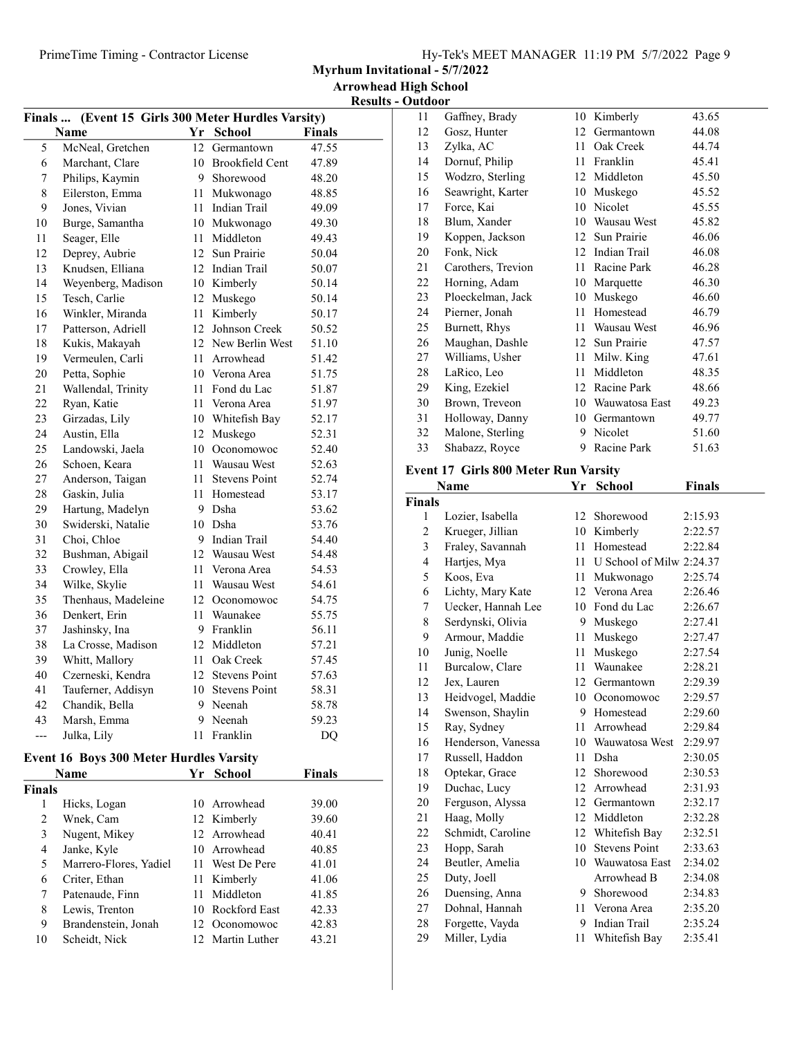Myrhum Invitational - 5/7/2022

Results - Outdoor

| Finals  (Event 15 Girls 300 Meter Hurdles Varsity) |                     |                 |                      |               |
|----------------------------------------------------|---------------------|-----------------|----------------------|---------------|
|                                                    | Name                |                 | Yr School            | <b>Finals</b> |
| 5                                                  | McNeal, Gretchen    | 12              | Germantown           | 47.55         |
| 6                                                  | Marchant, Clare     |                 | 10 Brookfield Cent   | 47.89         |
| 7                                                  | Philips, Kaymin     | 9               | Shorewood            | 48.20         |
| 8                                                  | Eilerston, Emma     | 11              | Mukwonago            | 48.85         |
| 9                                                  | Jones, Vivian       | 11              | <b>Indian Trail</b>  | 49.09         |
| 10                                                 | Burge, Samantha     | 10              | Mukwonago            | 49.30         |
| 11                                                 | Seager, Elle        | 11              | Middleton            | 49.43         |
| 12                                                 | Deprey, Aubrie      | 12 <sup>2</sup> | Sun Prairie          | 50.04         |
| 13                                                 | Knudsen, Elliana    | 12              | Indian Trail         | 50.07         |
| 14                                                 | Weyenberg, Madison  |                 | 10 Kimberly          | 50.14         |
| 15                                                 | Tesch, Carlie       | 12              | Muskego              | 50.14         |
| 16                                                 | Winkler, Miranda    | 11              | Kimberly             | 50.17         |
| 17                                                 | Patterson, Adriell  | 12              | Johnson Creek        | 50.52         |
| 18                                                 | Kukis, Makayah      | 12              | New Berlin West      | 51.10         |
| 19                                                 | Vermeulen, Carli    | 11              | Arrowhead            | 51.42         |
| 20                                                 | Petta, Sophie       | 10              | Verona Area          | 51.75         |
| 21                                                 | Wallendal, Trinity  | 11              | Fond du Lac          | 51.87         |
| 22                                                 | Ryan, Katie         | 11              | Verona Area          | 51.97         |
| 23                                                 | Girzadas, Lily      | 10              | Whitefish Bay        | 52.17         |
| 24                                                 | Austin, Ella        | 12              | Muskego              | 52.31         |
| 25                                                 | Landowski, Jaela    | 10              | Oconomowoc           | 52.40         |
| 26                                                 | Schoen, Keara       | 11              | Wausau West          | 52.63         |
| 27                                                 | Anderson, Taigan    | 11              | <b>Stevens Point</b> | 52.74         |
| 28                                                 | Gaskin, Julia       | 11              | Homestead            | 53.17         |
| 29                                                 | Hartung, Madelyn    | 9               | Dsha                 | 53.62         |
| 30                                                 | Swiderski, Natalie  |                 | 10 Dsha              | 53.76         |
| 31                                                 | Choi, Chloe         | 9               | Indian Trail         | 54.40         |
| 32                                                 | Bushman, Abigail    | 12              | Wausau West          | 54.48         |
| 33                                                 | Crowley, Ella       | 11              | Verona Area          | 54.53         |
| 34                                                 | Wilke, Skylie       | 11              | Wausau West          | 54.61         |
| 35                                                 | Thenhaus, Madeleine |                 | 12 Oconomowoc        | 54.75         |
| 36                                                 | Denkert, Erin       | 11              | Waunakee             | 55.75         |
| 37                                                 | Jashinsky, Ina      | 9               | Franklin             | 56.11         |
| 38                                                 | La Crosse, Madison  | 12              | Middleton            | 57.21         |
| 39                                                 | Whitt, Mallory      |                 | 11 Oak Creek         | 57.45         |
| 40                                                 | Czerneski, Kendra   | 12              | <b>Stevens Point</b> | 57.63         |
| 41                                                 | Tauferner, Addisyn  | 10              | <b>Stevens Point</b> | 58.31         |
| 42                                                 | Chandik, Bella      | 9               | Neenah               | 58.78         |
| 43                                                 | Marsh, Emma         | 9               | Neenah               | 59.23         |
| $---$                                              | Julka, Lily         | 11              | Franklin             | <b>DQ</b>     |
|                                                    |                     |                 |                      |               |

# Event 16 Boys 300 Meter Hurdles Varsity

|        | <b>Name</b>            | Yr. | <b>School</b>    | Finals |  |
|--------|------------------------|-----|------------------|--------|--|
| Finals |                        |     |                  |        |  |
|        | Hicks, Logan           |     | 10 Arrowhead     | 39.00  |  |
| 2      | Wnek, Cam              |     | 12 Kimberly      | 39.60  |  |
| 3      | Nugent, Mikey          |     | 12 Arrowhead     | 40.41  |  |
| 4      | Janke, Kyle            |     | 10 Arrowhead     | 40.85  |  |
| 5      | Marrero-Flores, Yadiel |     | 11 West De Pere  | 41.01  |  |
| 6      | Criter, Ethan          |     | 11 Kimberly      | 41.06  |  |
| 7      | Patenaude, Finn        | 11  | Middleton        | 41.85  |  |
| 8      | Lewis, Trenton         |     | 10 Rockford East | 42.33  |  |
| 9      | Brandenstein, Jonah    |     | 12 Oconomowoc    | 42.83  |  |
| 10     | Scheidt, Nick          |     | 12 Martin Luther | 43.21  |  |

| 11 | Gaffney, Brady     | 10 | Kimberly          | 43.65 |
|----|--------------------|----|-------------------|-------|
| 12 | Gosz, Hunter       | 12 | Germantown        | 44.08 |
| 13 | Zylka, AC          | 11 | Oak Creek         | 44.74 |
| 14 | Dornuf, Philip     | 11 | Franklin          | 45.41 |
| 15 | Wodzro, Sterling   | 12 | Middleton         | 45.50 |
| 16 | Seawright, Karter  | 10 | Muskego           | 45.52 |
| 17 | Force, Kai         | 10 | Nicolet           | 45.55 |
| 18 | Blum, Xander       | 10 | Wausau West       | 45.82 |
| 19 | Koppen, Jackson    | 12 | Sun Prairie       | 46.06 |
| 20 | Fonk, Nick         | 12 | Indian Trail      | 46.08 |
| 21 | Carothers, Trevion | 11 | Racine Park       | 46.28 |
| 22 | Horning, Adam      | 10 | Marquette         | 46.30 |
| 23 | Ploeckelman, Jack  | 10 | Muskego           | 46.60 |
| 24 | Pierner, Jonah     | 11 | Homestead         | 46.79 |
| 25 | Burnett, Rhys      | 11 | Wausau West       | 46.96 |
| 26 | Maughan, Dashle    | 12 | Sun Prairie       | 47.57 |
| 27 | Williams, Usher    | 11 | Milw. King        | 47.61 |
| 28 | LaRico, Leo        | 11 | Middleton         | 48.35 |
| 29 | King, Ezekiel      | 12 | Racine Park       | 48.66 |
| 30 | Brown, Treveon     |    | 10 Wauwatosa East | 49.23 |
| 31 | Holloway, Danny    | 10 | Germantown        | 49.77 |
| 32 | Malone, Sterling   | 9  | Nicolet           | 51.60 |
| 33 | Shabazz, Royce     | 9  | Racine Park       | 51.63 |
|    |                    |    |                   |       |

### Event 17 Girls 800 Meter Run Varsity

|                | Name               | Yr | School                   | <b>Finals</b> |
|----------------|--------------------|----|--------------------------|---------------|
| Finals         |                    |    |                          |               |
| 1              | Lozier, Isabella   | 12 | Shorewood                | 2:15.93       |
| $\mathfrak{2}$ | Krueger, Jillian   | 10 | Kimberly                 | 2:22.57       |
| 3              | Fraley, Savannah   | 11 | Homestead                | 2:22.84       |
| $\overline{4}$ | Hartjes, Mya       | 11 | U School of Milw 2:24.37 |               |
| 5              | Koos, Eva          | 11 | Mukwonago                | 2:25.74       |
| 6              | Lichty, Mary Kate  | 12 | Verona Area              | 2:26.46       |
| 7              | Uecker, Hannah Lee | 10 | Fond du Lac              | 2:26.67       |
| 8              | Serdynski, Olivia  | 9  | Muskego                  | 2:27.41       |
| 9              | Armour, Maddie     | 11 | Muskego                  | 2:27.47       |
| 10             | Junig, Noelle      | 11 | Muskego                  | 2:27.54       |
| 11             | Burcalow, Clare    | 11 | Waunakee                 | 2:28.21       |
| 12             | Jex, Lauren        | 12 | Germantown               | 2:29.39       |
| 13             | Heidvogel, Maddie  | 10 | Oconomowoc               | 2:29.57       |
| 14             | Swenson, Shaylin   | 9  | Homestead                | 2:29.60       |
| 15             | Ray, Sydney        | 11 | Arrowhead                | 2:29.84       |
| 16             | Henderson, Vanessa |    | 10 Wauwatosa West        | 2:29.97       |
| 17             | Russell, Haddon    | 11 | Dsha                     | 2:30.05       |
| 18             | Optekar, Grace     | 12 | Shorewood                | 2:30.53       |
| 19             | Duchac, Lucy       | 12 | Arrowhead                | 2:31.93       |
| 20             | Ferguson, Alyssa   |    | 12 Germantown            | 2:32.17       |
| 21             | Haag, Molly        | 12 | Middleton                | 2:32.28       |
| 22             | Schmidt, Caroline  |    | 12 Whitefish Bay         | 2:32.51       |
| 23             | Hopp, Sarah        | 10 | <b>Stevens Point</b>     | 2:33.63       |
| 24             | Beutler, Amelia    |    | 10 Wauwatosa East        | 2:34.02       |
| 25             | Duty, Joell        |    | Arrowhead B              | 2:34.08       |
| 26             | Duensing, Anna     | 9. | Shorewood                | 2:34.83       |
| 27             | Dohnal, Hannah     |    | 11 Verona Area           | 2:35.20       |
| 28             | Forgette, Vayda    | 9  | Indian Trail             | 2:35.24       |
| 29             | Miller, Lydia      | 11 | Whitefish Bay            | 2:35.41       |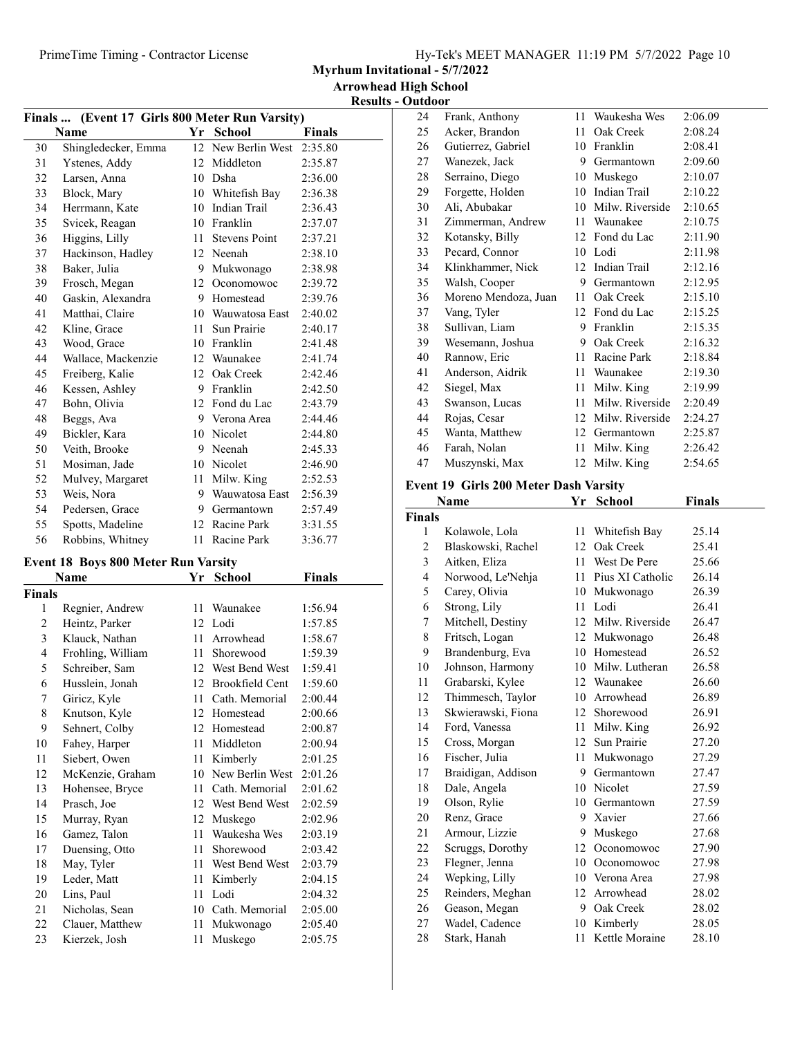| Hy-Tek's MEET MANAGER 11:19 PM 5/7/2022 Page 10 |  |  |
|-------------------------------------------------|--|--|
|                                                 |  |  |

Myrhum Invitational - 5/7/2022

Results - Outdoor

| Finals  (Event 17 Girls 800 Meter Run Varsity) |                     |    |                      |               |
|------------------------------------------------|---------------------|----|----------------------|---------------|
|                                                | Name                |    | Yr School            | <b>Finals</b> |
| 30                                             | Shingledecker, Emma | 12 | New Berlin West      | 2:35.80       |
| 31                                             | Ystenes, Addy       | 12 | Middleton            | 2:35.87       |
| 32                                             | Larsen, Anna        | 10 | Dsha                 | 2:36.00       |
| 33                                             | Block, Mary         |    | 10 Whitefish Bay     | 2:36.38       |
| 34                                             | Herrmann, Kate      | 10 | Indian Trail         | 2:36.43       |
| 35                                             | Svicek, Reagan      |    | 10 Franklin          | 2:37.07       |
| 36                                             | Higgins, Lilly      | 11 | <b>Stevens Point</b> | 2:37.21       |
| 37                                             | Hackinson, Hadley   | 12 | Neenah               | 2:38.10       |
| 38                                             | Baker, Julia        | 9  | Mukwonago            | 2:38.98       |
| 39                                             | Frosch, Megan       | 12 | Oconomowoc           | 2:39.72       |
| 40                                             | Gaskin, Alexandra   | 9  | Homestead            | 2:39.76       |
| 41                                             | Matthai, Claire     | 10 | Wauwatosa East       | 2:40.02       |
| 42                                             | Kline, Grace        | 11 | Sun Prairie          | 2:40.17       |
| 43                                             | Wood, Grace         | 10 | Franklin             | 2:41.48       |
| 44                                             | Wallace, Mackenzie  | 12 | Waunakee             | 2:41.74       |
| 45                                             | Freiberg, Kalie     | 12 | Oak Creek            | 2:42.46       |
| 46                                             | Kessen, Ashley      | 9  | Franklin             | 2:42.50       |
| 47                                             | Bohn, Olivia        | 12 | Fond du Lac          | 2:43.79       |
| 48                                             | Beggs, Ava          | 9  | Verona Area          | 2:44.46       |
| 49                                             | Bickler, Kara       | 10 | Nicolet              | 2:44.80       |
| 50                                             | Veith, Brooke       | 9  | Neenah               | 2:45.33       |
| 51                                             | Mosiman, Jade       | 10 | Nicolet              | 2:46.90       |
| 52                                             | Mulvey, Margaret    | 11 | Milw. King           | 2:52.53       |
| 53                                             | Weis, Nora          | 9  | Wauwatosa East       | 2:56.39       |
| 54                                             | Pedersen, Grace     | 9  | Germantown           | 2:57.49       |
| 55                                             | Spotts, Madeline    | 12 | Racine Park          | 3:31.55       |
| 56                                             | Robbins, Whitney    | 11 | Racine Park          | 3:36.77       |

#### Event 18 Boys 800 Meter Run Varsity

|                | Name              | Yr | School                 | <b>Finals</b> |
|----------------|-------------------|----|------------------------|---------------|
| <b>Finals</b>  |                   |    |                        |               |
| 1              | Regnier, Andrew   | 11 | Waunakee               | 1:56.94       |
| $\overline{c}$ | Heintz, Parker    | 12 | Lodi                   | 1:57.85       |
| 3              | Klauck, Nathan    | 11 | Arrowhead              | 1:58.67       |
| 4              | Frohling, William | 11 | Shorewood              | 1:59.39       |
| 5              | Schreiber, Sam    | 12 | West Bend West         | 1:59.41       |
| 6              | Husslein, Jonah   | 12 | <b>Brookfield Cent</b> | 1:59.60       |
| 7              | Giricz, Kyle      | 11 | Cath. Memorial         | 2:00.44       |
| 8              | Knutson, Kyle     | 12 | Homestead              | 2:00.66       |
| 9              | Sehnert, Colby    | 12 | Homestead              | 2:00.87       |
| 10             | Fahey, Harper     | 11 | Middleton              | 2:00.94       |
| 11             | Siebert, Owen     | 11 | Kimberly               | 2:01.25       |
| 12             | McKenzie, Graham  | 10 | New Berlin West        | 2:01.26       |
| 13             | Hohensee, Bryce   | 11 | Cath. Memorial         | 2:01.62       |
| 14             | Prasch, Joe       | 12 | West Bend West         | 2:02.59       |
| 15             | Murray, Ryan      | 12 | Muskego                | 2:02.96       |
| 16             | Gamez, Talon      | 11 | Waukesha Wes           | 2:03.19       |
| 17             | Duensing, Otto    | 11 | Shorewood              | 2:03.42       |
| 18             | May, Tyler        | 11 | West Bend West         | 2:03.79       |
| 19             | Leder, Matt       | 11 | Kimberly               | 2:04.15       |
| 20             | Lins, Paul        | 11 | Lodi                   | 2:04.32       |
| 21             | Nicholas, Sean    | 10 | Cath. Memorial         | 2:05.00       |
| 22             | Clauer, Matthew   | 11 | Mukwonago              | 2:05.40       |
| 23             | Kierzek, Josh     | 11 | Muskego                | 2:05.75       |

| 24 | Frank, Anthony       | 11              | Waukesha Wes    | 2:06.09 |
|----|----------------------|-----------------|-----------------|---------|
| 25 | Acker, Brandon       | 11              | Oak Creek       | 2:08.24 |
| 26 | Gutierrez, Gabriel   |                 | 10 Franklin     | 2:08.41 |
| 27 | Wanezek, Jack        | 9               | Germantown      | 2:09.60 |
| 28 | Serraino, Diego      | 10              | Muskego         | 2:10.07 |
| 29 | Forgette, Holden     | 10              | Indian Trail    | 2:10.22 |
| 30 | Ali, Abubakar        | 10              | Milw. Riverside | 2:10.65 |
| 31 | Zimmerman, Andrew    | 11              | Waunakee        | 2:10.75 |
| 32 | Kotansky, Billy      | 12              | Fond du Lac     | 2:11.90 |
| 33 | Pecard, Connor       |                 | 10 Lodi         | 2:11.98 |
| 34 | Klinkhammer, Nick    |                 | 12 Indian Trail | 2:12.16 |
| 35 | Walsh, Cooper        | 9               | Germantown      | 2:12.95 |
| 36 | Moreno Mendoza, Juan | 11              | Oak Creek       | 2:15.10 |
| 37 | Vang, Tyler          | 12 <sup>2</sup> | Fond du Lac     | 2:15.25 |
| 38 | Sullivan, Liam       | 9               | Franklin        | 2:15.35 |
| 39 | Wesemann, Joshua     | 9               | Oak Creek       | 2:16.32 |
| 40 | Rannow, Eric         | 11              | Racine Park     | 2:18.84 |
| 41 | Anderson, Aidrik     | 11              | Waunakee        | 2:19.30 |
| 42 | Siegel, Max          | 11              | Milw. King      | 2:19.99 |
| 43 | Swanson, Lucas       | 11              | Milw. Riverside | 2:20.49 |
| 44 | Rojas, Cesar         | 12              | Milw. Riverside | 2:24.27 |
| 45 | Wanta, Matthew       | 12              | Germantown      | 2:25.87 |
| 46 | Farah, Nolan         | 11              | Milw. King      | 2:26.42 |
| 47 | Muszynski, Max       |                 | 12 Milw. King   | 2:54.65 |

### Event 19 Girls 200 Meter Dash Varsity

| Name           |                    | Yr | School            | <b>Finals</b> |  |  |  |
|----------------|--------------------|----|-------------------|---------------|--|--|--|
| Finals         |                    |    |                   |               |  |  |  |
| 1              | Kolawole, Lola     | 11 | Whitefish Bay     | 25.14         |  |  |  |
| $\overline{c}$ | Blaskowski, Rachel | 12 | Oak Creek         | 25.41         |  |  |  |
| 3              | Aitken, Eliza      | 11 | West De Pere      | 25.66         |  |  |  |
| 4              | Norwood, Le'Nehja  | 11 | Pius XI Catholic  | 26.14         |  |  |  |
| 5              | Carey, Olivia      | 10 | Mukwonago         | 26.39         |  |  |  |
| 6              | Strong, Lily       | 11 | Lodi              | 26.41         |  |  |  |
| 7              | Mitchell, Destiny  | 12 | Milw. Riverside   | 26.47         |  |  |  |
| 8              | Fritsch, Logan     |    | 12 Mukwonago      | 26.48         |  |  |  |
| 9              | Brandenburg, Eva   | 10 | Homestead         | 26.52         |  |  |  |
| 10             | Johnson, Harmony   |    | 10 Milw. Lutheran | 26.58         |  |  |  |
| 11             | Grabarski, Kylee   |    | 12 Waunakee       | 26.60         |  |  |  |
| 12             | Thimmesch, Taylor  |    | 10 Arrowhead      | 26.89         |  |  |  |
| 13             | Skwierawski, Fiona | 12 | Shorewood         | 26.91         |  |  |  |
| 14             | Ford, Vanessa      | 11 | Milw. King        | 26.92         |  |  |  |
| 15             | Cross, Morgan      | 12 | Sun Prairie       | 27.20         |  |  |  |
| 16             | Fischer, Julia     | 11 | Mukwonago         | 27.29         |  |  |  |
| 17             | Braidigan, Addison | 9  | Germantown        | 27.47         |  |  |  |
| 18             | Dale, Angela       | 10 | Nicolet           | 27.59         |  |  |  |
| 19             | Olson, Rylie       | 10 | Germantown        | 27.59         |  |  |  |
| 20             | Renz, Grace        | 9  | Xavier            | 27.66         |  |  |  |
| 21             | Armour, Lizzie     | 9  | Muskego           | 27.68         |  |  |  |
| 22             | Scruggs, Dorothy   | 12 | Oconomowoc        | 27.90         |  |  |  |
| 23             | Flegner, Jenna     | 10 | Oconomowoc        | 27.98         |  |  |  |
| 24             | Wepking, Lilly     |    | 10 Verona Area    | 27.98         |  |  |  |
| 25             | Reinders, Meghan   | 12 | Arrowhead         | 28.02         |  |  |  |
| 26             | Geason, Megan      |    | 9 Oak Creek       | 28.02         |  |  |  |
| 27             | Wadel, Cadence     | 10 | Kimberly          | 28.05         |  |  |  |
| 28             | Stark, Hanah       | 11 | Kettle Moraine    | 28.10         |  |  |  |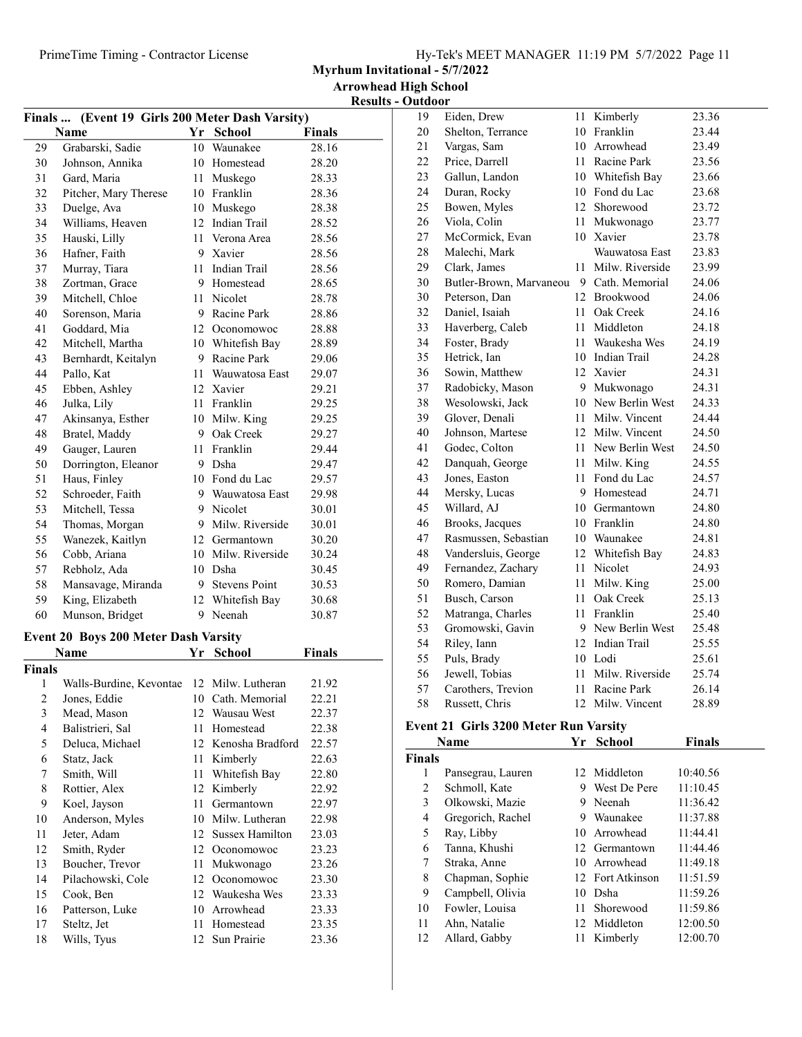Myrhum Invitational - 5/7/2022

| (Event 19 Girls 200 Meter Dash Varsity)<br>Finals |                                             |     |                        |               |
|---------------------------------------------------|---------------------------------------------|-----|------------------------|---------------|
|                                                   | Name                                        |     | Yr School              | <b>Finals</b> |
| 29                                                | Grabarski, Sadie                            | 10  | Waunakee               | 28.16         |
| 30                                                | Johnson, Annika                             |     | 10 Homestead           | 28.20         |
| 31                                                | Gard, Maria                                 |     | 11 Muskego             | 28.33         |
| 32                                                | Pitcher, Mary Therese                       |     | 10 Franklin            | 28.36         |
| 33                                                | Duelge, Ava                                 |     | 10 Muskego             | 28.38         |
| 34                                                | Williams, Heaven                            |     | 12 Indian Trail        | 28.52         |
| 35                                                | Hauski, Lilly                               |     | 11 Verona Area         | 28.56         |
| 36                                                | Hafner, Faith                               |     | 9 Xavier               | 28.56         |
| 37                                                | Murray, Tiara                               |     | 11 Indian Trail        | 28.56         |
| 38                                                | Zortman, Grace                              |     | 9 Homestead            | 28.65         |
| 39                                                | Mitchell, Chloe                             |     | 11 Nicolet             | 28.78         |
| 40                                                | Sorenson, Maria                             |     | 9 Racine Park          | 28.86         |
| 41                                                | Goddard, Mia                                |     | 12 Oconomowoc          | 28.88         |
| 42                                                | Mitchell, Martha                            |     | 10 Whitefish Bay       | 28.89         |
| 43                                                | Bernhardt, Keitalyn                         |     | 9 Racine Park          | 29.06         |
| 44                                                | Pallo, Kat                                  |     | 11 Wauwatosa East      | 29.07         |
| 45                                                | Ebben, Ashley                               |     | 12 Xavier              | 29.21         |
| 46                                                | Julka, Lily                                 |     | 11 Franklin            | 29.25         |
| 47                                                | Akinsanya, Esther                           |     | 10 Milw. King          | 29.25         |
| 48                                                | Bratel, Maddy                               |     | 9 Oak Creek            | 29.27         |
| 49                                                | Gauger, Lauren                              |     | 11 Franklin            | 29.44         |
| 50                                                | Dorrington, Eleanor                         |     | 9 Dsha                 | 29.47         |
| 51                                                | Haus, Finley                                |     | 10 Fond du Lac         | 29.57         |
| 52                                                | Schroeder, Faith                            |     | 9 Wauwatosa East       | 29.98         |
| 53                                                | Mitchell, Tessa                             |     | 9 Nicolet              | 30.01         |
| 54                                                | Thomas, Morgan                              |     | 9 Milw. Riverside      | 30.01         |
| 55                                                | Wanezek, Kaitlyn                            |     | 12 Germantown          | 30.20         |
| 56                                                | Cobb, Ariana                                |     | 10 Milw. Riverside     | 30.24         |
| 57                                                | Rebholz, Ada                                |     | 10 Dsha                | 30.45         |
| 58                                                | Mansavage, Miranda                          |     | 9 Stevens Point        | 30.53         |
| 59                                                | King, Elizabeth                             |     | 12 Whitefish Bay       | 30.68         |
| 60                                                | Munson, Bridget                             |     | 9 Neenah               | 30.87         |
|                                                   |                                             |     |                        |               |
|                                                   | <b>Event 20 Boys 200 Meter Dash Varsity</b> |     |                        |               |
|                                                   | Name                                        | Yr  | School                 | Finals        |
| <b>Finals</b>                                     |                                             |     |                        |               |
| 1                                                 | Walls-Burdine, Kevontae                     |     | 12 Milw. Lutheran      | 21.92         |
| 2                                                 | Jones, Eddie                                | 10- | Cath. Memorial         | 22.21         |
| 3                                                 | Mead, Mason                                 | 12  | Wausau West            | 22.37         |
| $\overline{4}$                                    | Balistrieri, Sal                            | 11  | Homestead              | 22.38         |
| 5                                                 | Deluca, Michael                             |     | 12 Kenosha Bradford    | 22.57         |
| 6                                                 | Statz, Jack                                 | 11  | Kimberly               | 22.63         |
| 7                                                 | Smith, Will                                 | 11  | Whitefish Bay          | 22.80         |
| 8                                                 | Rottier, Alex                               | 12  | Kimberly               | 22.92         |
| 9                                                 | Koel, Jayson                                | 11  | Germantown             | 22.97         |
| 10                                                | Anderson, Myles                             | 10  | Milw. Lutheran         | 22.98         |
| 11                                                | Jeter, Adam                                 | 12  | <b>Sussex Hamilton</b> | 23.03         |
| 12                                                | Smith, Ryder                                | 12  | Oconomowoc             | 23.23         |
| 13                                                | Boucher, Trevor                             | 11  | Mukwonago              | 23.26         |
| 14                                                | Pilachowski, Cole                           | 12  | Oconomowoc             | 23.30         |
| 15                                                | Cook, Ben                                   | 12  | Waukesha Wes           | 23.33         |
| 16                                                | Patterson, Luke                             | 10  | Arrowhead              | 23.33         |
| 17                                                | Steltz, Jet                                 | 11  | Homestead              | 23.35         |

18 Wills, Tyus 12 Sun Prairie 23.36

| 19 | Eiden, Drew             | 11              | Kimberly        | 23.36 |
|----|-------------------------|-----------------|-----------------|-------|
| 20 | Shelton, Terrance       | 10              | Franklin        | 23.44 |
| 21 | Vargas, Sam             | 10              | Arrowhead       | 23.49 |
| 22 | Price, Darrell          | 11              | Racine Park     | 23.56 |
| 23 | Gallun, Landon          | 10              | Whitefish Bay   | 23.66 |
| 24 | Duran, Rocky            | 10              | Fond du Lac     | 23.68 |
| 25 | Bowen, Myles            | 12              | Shorewood       | 23.72 |
| 26 | Viola, Colin            | 11              | Mukwonago       | 23.77 |
| 27 | McCormick, Evan         | 10              | Xavier          | 23.78 |
| 28 | Malechi, Mark           |                 | Wauwatosa East  | 23.83 |
| 29 | Clark, James            | 11              | Milw. Riverside | 23.99 |
| 30 | Butler-Brown, Marvaneou | 9               | Cath. Memorial  | 24.06 |
| 30 | Peterson, Dan           | 12              | Brookwood       | 24.06 |
| 32 | Daniel, Isaiah          | 11              | Oak Creek       | 24.16 |
| 33 | Haverberg, Caleb        | 11              | Middleton       | 24.18 |
| 34 | Foster, Brady           | 11              | Waukesha Wes    | 24.19 |
| 35 | Hetrick, Ian            | 10              | Indian Trail    | 24.28 |
| 36 | Sowin, Matthew          | 12              | Xavier          | 24.31 |
| 37 | Radobicky, Mason        | 9               | Mukwonago       | 24.31 |
| 38 | Wesolowski, Jack        | 10              | New Berlin West | 24.33 |
| 39 | Glover, Denali          | 11              | Milw. Vincent   | 24.44 |
| 40 | Johnson, Martese        | 12              | Milw. Vincent   | 24.50 |
| 41 | Godec, Colton           | 11              | New Berlin West | 24.50 |
| 42 | Danquah, George         | 11              | Milw. King      | 24.55 |
| 43 | Jones, Easton           | 11              | Fond du Lac     | 24.57 |
| 44 | Mersky, Lucas           | 9               | Homestead       | 24.71 |
| 45 | Willard, AJ             |                 | 10 Germantown   | 24.80 |
| 46 | Brooks, Jacques         | 10              | Franklin        | 24.80 |
| 47 | Rasmussen, Sebastian    | 10              | Waunakee        | 24.81 |
| 48 | Vandersluis, George     | 12              | Whitefish Bay   | 24.83 |
| 49 | Fernandez, Zachary      | 11              | Nicolet         | 24.93 |
| 50 | Romero, Damian          | 11              | Milw. King      | 25.00 |
| 51 | Busch, Carson           | 11              | Oak Creek       | 25.13 |
| 52 | Matranga, Charles       | 11              | Franklin        | 25.40 |
| 53 | Gromowski, Gavin        | 9               | New Berlin West | 25.48 |
| 54 | Riley, Iann             | 12              | Indian Trail    | 25.55 |
| 55 | Puls, Brady             |                 | 10 Lodi         | 25.61 |
| 56 | Jewell, Tobias          | 11              | Milw. Riverside | 25.74 |
| 57 | Carothers, Trevion      | 11              | Racine Park     | 26.14 |
| 58 | Russett, Chris          | 12 <sup>2</sup> | Milw. Vincent   | 28.89 |
|    |                         |                 |                 |       |

### Event 21 Girls 3200 Meter Run Varsity

| Name          |                   | Yr | <b>School</b>    | <b>Finals</b> |
|---------------|-------------------|----|------------------|---------------|
| <b>Finals</b> |                   |    |                  |               |
| 1             | Pansegrau, Lauren |    | 12 Middleton     | 10:40.56      |
| 2             | Schmoll, Kate     | 9  | West De Pere     | 11:10.45      |
| 3             | Olkowski, Mazie   |    | 9 Neenah         | 11:36.42      |
| 4             | Gregorich, Rachel | 9  | Waunakee         | 11:37.88      |
| 5             | Ray, Libby        | 10 | Arrowhead        | 11:44.41      |
| 6             | Tanna, Khushi     |    | 12 Germantown    | 11:44.46      |
| 7             | Straka, Anne      |    | 10 Arrowhead     | 11:49.18      |
| 8             | Chapman, Sophie   |    | 12 Fort Atkinson | 11:51.59      |
| 9             | Campbell, Olivia  | 10 | Dsha             | 11:59.26      |
| 10            | Fowler, Louisa    | 11 | Shorewood        | 11:59.86      |
| 11            | Ahn, Natalie      |    | 12 Middleton     | 12:00.50      |
| 12            | Allard, Gabby     | 11 | Kimberly         | 12:00.70      |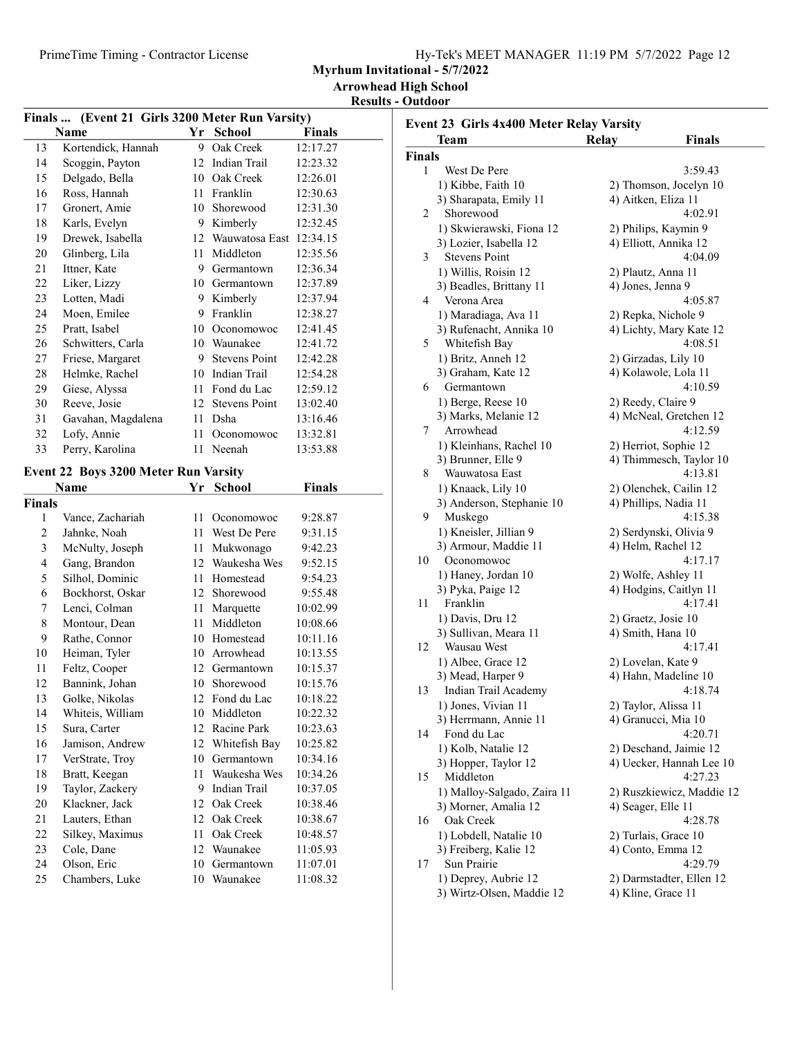| Hy-Tek's MEET MANAGER 11:19 PM 5/7/2022 Page 12 |  |  |  |  |
|-------------------------------------------------|--|--|--|--|
|-------------------------------------------------|--|--|--|--|

Myrhum Invitational - 5/7/2022

Arrowhead High School

Results - Outdoor

| Finals  (Event 21 Girls 3200 Meter Run Varsity) |                                       |                  |                      |          |  |  |
|-------------------------------------------------|---------------------------------------|------------------|----------------------|----------|--|--|
| Name<br>Yr<br><b>School</b><br><b>Finals</b>    |                                       |                  |                      |          |  |  |
| 13                                              | Kortendick, Hannah                    | 9                | Oak Creek            | 12:17.27 |  |  |
| 14                                              | Scoggin, Payton                       | 12               | Indian Trail         | 12:23.32 |  |  |
| 15                                              | Delgado, Bella                        | 10               | Oak Creek            | 12:26.01 |  |  |
| 16                                              | Ross, Hannah                          | 11               | Franklin             | 12:30.63 |  |  |
| 17                                              | Gronert, Amie                         | 10               | Shorewood            | 12:31.30 |  |  |
| 18                                              | Karls, Evelyn                         | 9                | Kimberly             | 12:32.45 |  |  |
| 19                                              | Drewek, Isabella                      | 12               | Wauwatosa East       | 12:34.15 |  |  |
| 20                                              | Glinberg, Lila                        | 11               | Middleton            | 12:35.56 |  |  |
| 21                                              | Ittner, Kate                          | 9                | Germantown           | 12:36.34 |  |  |
| 22                                              | Liker, Lizzy                          | 10               | Germantown           | 12:37.89 |  |  |
| 23                                              | Lotten, Madi                          | 9                | Kimberly             | 12:37.94 |  |  |
| 24                                              | Moen, Emilee                          | 9                | Franklin             | 12:38.27 |  |  |
| 25                                              | Pratt, Isabel                         | 10               | Oconomowoc           | 12:41.45 |  |  |
| 26                                              | Schwitters, Carla                     |                  | 10 Waunakee          | 12:41.72 |  |  |
| 27                                              | Friese, Margaret                      | 9                | <b>Stevens Point</b> | 12:42.28 |  |  |
| 28                                              | Helmke, Rachel                        | 10               | Indian Trail         | 12:54.28 |  |  |
| 29                                              | Giese, Alyssa                         | 11               | Fond du Lac          | 12:59.12 |  |  |
| 30                                              | Reeve, Josie                          | 12 <sup>12</sup> | <b>Stevens Point</b> | 13:02.40 |  |  |
| 31                                              | Gavahan, Magdalena                    | 11               | Dsha                 | 13:16.46 |  |  |
| 32                                              | Lofy, Annie                           | 11               | Oconomowoc           | 13:32.81 |  |  |
| 33                                              | Perry, Karolina                       | 11               | Neenah               | 13:53.88 |  |  |
|                                                 | Event 22 Boys 3200 Meter Run Varsity  |                  |                      |          |  |  |
|                                                 | School<br>Name<br>Yr<br><b>Finals</b> |                  |                      |          |  |  |
| <b>Finals</b>                                   |                                       |                  |                      |          |  |  |
| 1                                               | Vance, Zachariah                      | 11               | Oconomowoc           | 9:28.87  |  |  |
|                                                 |                                       |                  |                      |          |  |  |

| шаю            |                  |    |               |          |
|----------------|------------------|----|---------------|----------|
| 1              | Vance, Zachariah | 11 | Oconomowoc    | 9:28.87  |
| 2              | Jahnke, Noah     | 11 | West De Pere  | 9:31.15  |
| 3              | McNulty, Joseph  | 11 | Mukwonago     | 9:42.23  |
| $\overline{4}$ | Gang, Brandon    | 12 | Waukesha Wes  | 9:52.15  |
| 5              | Silhol, Dominic  | 11 | Homestead     | 9:54.23  |
| 6              | Bockhorst, Oskar | 12 | Shorewood     | 9:55.48  |
| 7              | Lenci, Colman    | 11 | Marquette     | 10:02.99 |
| 8              | Montour, Dean    | 11 | Middleton     | 10:08.66 |
| 9              | Rathe, Connor    | 10 | Homestead     | 10:11.16 |
| 10             | Heiman, Tyler    | 10 | Arrowhead     | 10:13.55 |
| 11             | Feltz, Cooper    | 12 | Germantown    | 10:15.37 |
| 12             | Bannink, Johan   | 10 | Shorewood     | 10:15.76 |
| 13             | Golke, Nikolas   | 12 | Fond du Lac   | 10:18.22 |
| 14             | Whiteis, William | 10 | Middleton     | 10:22.32 |
| 15             | Sura, Carter     | 12 | Racine Park   | 10:23.63 |
| 16             | Jamison, Andrew  | 12 | Whitefish Bay | 10:25.82 |
| 17             | VerStrate, Troy  | 10 | Germantown    | 10:34.16 |
| 18             | Bratt, Keegan    | 11 | Waukesha Wes  | 10:34.26 |
| 19             | Taylor, Zackery  | 9  | Indian Trail  | 10:37.05 |
| 20             | Klackner, Jack   | 12 | Oak Creek     | 10:38.46 |
| 21             | Lauters, Ethan   | 12 | Oak Creek     | 10:38.67 |
| 22             | Silkey, Maximus  | 11 | Oak Creek     | 10:48.57 |
| 23             | Cole, Dane       | 12 | Waunakee      | 11:05.93 |
| 24             | Olson, Eric      | 10 | Germantown    | 11:07.01 |
| 25             | Chambers, Luke   | 10 | Waunakee      | 11:08.32 |

| Event 23 Girls 4x400 Meter Relay Varsity |                                          |                                               |                           |  |  |
|------------------------------------------|------------------------------------------|-----------------------------------------------|---------------------------|--|--|
|                                          | Team                                     | Relay                                         | <b>Finals</b>             |  |  |
| Finals                                   |                                          |                                               |                           |  |  |
| 1                                        | West De Pere                             |                                               | 3:59.43                   |  |  |
|                                          | 1) Kibbe, Faith 10                       | 2) Thomson, Jocelyn 10                        |                           |  |  |
|                                          | 3) Sharapata, Emily 11                   | 4) Aitken, Eliza 11                           |                           |  |  |
| 2                                        | Shorewood                                |                                               | 4:02.91                   |  |  |
|                                          | 1) Skwierawski, Fiona 12                 | 2) Philips, Kaymin 9                          |                           |  |  |
|                                          | 3) Lozier, Isabella 12                   | 4) Elliott, Annika 12                         |                           |  |  |
| 3                                        | <b>Stevens Point</b>                     |                                               | 4:04.09                   |  |  |
|                                          | 1) Willis, Roisin 12                     | 2) Plautz, Anna 11                            |                           |  |  |
|                                          | 3) Beadles, Brittany 11                  | 4) Jones, Jenna 9                             |                           |  |  |
| 4                                        | Verona Area                              |                                               | 4:05.87                   |  |  |
|                                          | 1) Maradiaga, Ava 11                     | 2) Repka, Nichole 9                           |                           |  |  |
|                                          | 3) Rufenacht, Annika 10                  | 4) Lichty, Mary Kate 12                       |                           |  |  |
| 5                                        | Whitefish Bay                            |                                               | 4:08.51                   |  |  |
|                                          | 1) Britz, Anneh 12                       | 2) Girzadas, Lily 10                          |                           |  |  |
|                                          | 3) Graham, Kate 12                       | 4) Kolawole, Lola 11                          |                           |  |  |
| 6                                        | Germantown                               |                                               | 4:10.59                   |  |  |
|                                          | 1) Berge, Reese 10                       | 2) Reedy, Claire 9                            |                           |  |  |
|                                          | 3) Marks, Melanie 12                     | 4) McNeal, Gretchen 12                        |                           |  |  |
| 7                                        | Arrowhead                                |                                               | 4:12.59                   |  |  |
|                                          | 1) Kleinhans, Rachel 10                  | 2) Herriot, Sophie 12                         |                           |  |  |
|                                          | 3) Brunner, Elle 9                       | 4) Thimmesch, Taylor 10                       |                           |  |  |
| 8                                        | Wauwatosa East                           |                                               | 4:13.81                   |  |  |
|                                          | 1) Knaack, Lily 10                       | 2) Olenchek, Cailin 12                        |                           |  |  |
|                                          | 3) Anderson, Stephanie 10                | 4) Phillips, Nadia 11                         |                           |  |  |
| 9                                        | Muskego                                  |                                               | 4:15.38                   |  |  |
|                                          | 1) Kneisler, Jillian 9                   | 2) Serdynski, Olivia 9                        |                           |  |  |
| 10                                       | 3) Armour, Maddie 11                     | 4) Helm, Rachel 12                            |                           |  |  |
|                                          | Oconomowoc                               |                                               | 4:17.17                   |  |  |
|                                          | 1) Haney, Jordan 10<br>3) Pyka, Paige 12 | 2) Wolfe, Ashley 11<br>4) Hodgins, Caitlyn 11 |                           |  |  |
| 11                                       | Franklin                                 |                                               | 4:17.41                   |  |  |
|                                          | 1) Davis, Dru 12                         | 2) Graetz, Josie 10                           |                           |  |  |
|                                          | 3) Sullivan, Meara 11                    | 4) Smith, Hana 10                             |                           |  |  |
| 12                                       | Wausau West                              |                                               | 4:17.41                   |  |  |
|                                          | 1) Albee, Grace 12                       | 2) Lovelan, Kate 9                            |                           |  |  |
|                                          | 3) Mead, Harper 9                        | 4) Hahn, Madeline 10                          |                           |  |  |
| 13                                       | Indian Trail Academy                     |                                               | 4:18.74                   |  |  |
|                                          | 1) Jones, Vivian 11                      | 2) Taylor, Alissa 11                          |                           |  |  |
|                                          | 3) Herrmann, Annie 11                    | 4) Granucci, Mia 10                           |                           |  |  |
| 14                                       | Fond du Lac                              |                                               | 4:20.71                   |  |  |
|                                          | 1) Kolb, Natalie 12                      | 2) Deschand, Jaimie 12                        |                           |  |  |
|                                          | 3) Hopper, Taylor 12                     | 4) Uecker, Hannah Lee 10                      |                           |  |  |
| 15                                       | Middleton                                |                                               | 4:27.23                   |  |  |
|                                          | 1) Malloy-Salgado, Zaira 11              |                                               | 2) Ruszkiewicz, Maddie 12 |  |  |
|                                          | 3) Morner, Amalia 12                     | 4) Seager, Elle 11                            |                           |  |  |
| 16                                       | Oak Creek                                |                                               | 4:28.78                   |  |  |
|                                          | 1) Lobdell, Natalie 10                   | 2) Turlais, Grace 10                          |                           |  |  |
|                                          | 3) Freiberg, Kalie 12                    | 4) Conto, Emma 12                             |                           |  |  |
| 17                                       | Sun Prairie                              |                                               | 4:29.79                   |  |  |
|                                          | 1) Deprey, Aubrie 12                     | 2) Darmstadter, Ellen 12                      |                           |  |  |
|                                          | 3) Wirtz-Olsen, Maddie 12                | 4) Kline, Grace 11                            |                           |  |  |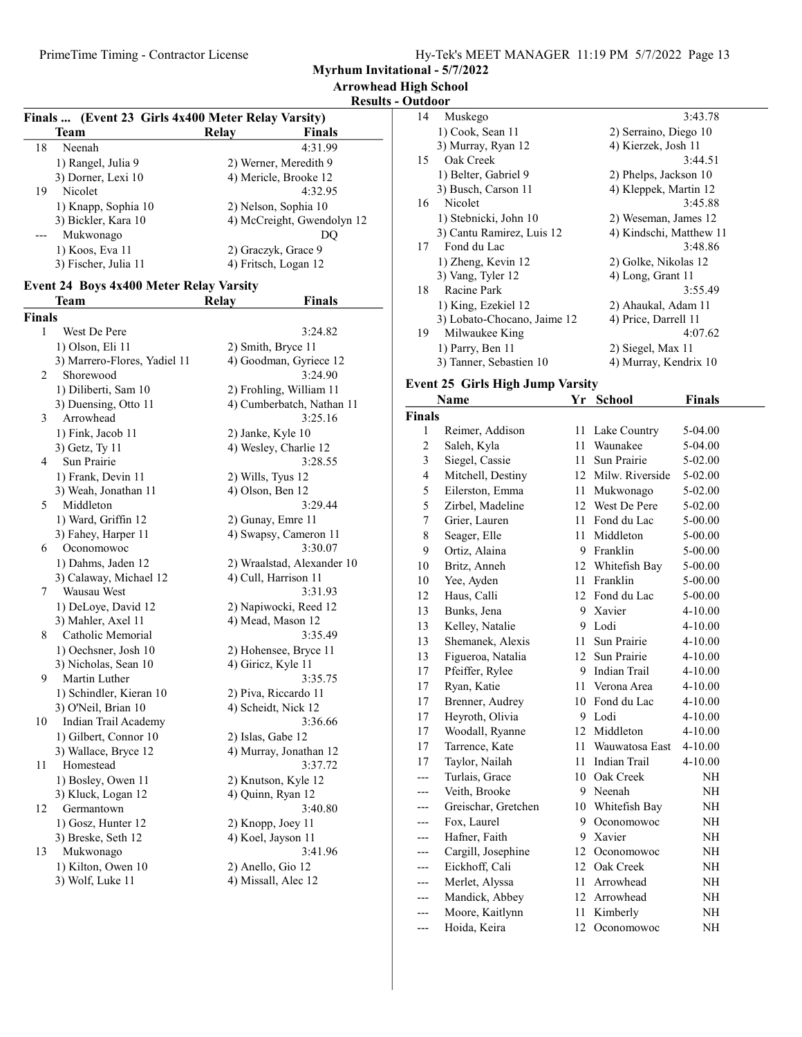Myrhum Invitational - 5/7/2022

## Results - Outdoor

| Finals  (Event 23 Girls 4x400 Meter Relay Varsity) |                      |                            |         |  |  |
|----------------------------------------------------|----------------------|----------------------------|---------|--|--|
|                                                    | Team                 | Relav                      | Finals  |  |  |
| 18                                                 | Neenah               |                            | 4:31.99 |  |  |
|                                                    | 1) Rangel, Julia 9   | 2) Werner, Meredith 9      |         |  |  |
|                                                    | 3) Dorner, Lexi 10   | 4) Mericle, Brooke 12      |         |  |  |
| 19                                                 | Nicolet              |                            | 4:32.95 |  |  |
|                                                    | 1) Knapp, Sophia 10  | 2) Nelson, Sophia 10       |         |  |  |
|                                                    | 3) Bickler, Kara 10  | 4) McCreight, Gwendolyn 12 |         |  |  |
|                                                    | Mukwonago            |                            | DO      |  |  |
|                                                    | 1) Koos, Eva 11      | 2) Graczyk, Grace 9        |         |  |  |
|                                                    | 3) Fischer, Julia 11 | 4) Fritsch, Logan 12       |         |  |  |

### Event 24 Boys 4x400 Meter Relay Varsity

|               | Team                         | Relay              | <b>Finals</b>              |
|---------------|------------------------------|--------------------|----------------------------|
| <b>Finals</b> |                              |                    |                            |
| 1             | West De Pere                 |                    | 3:24.82                    |
|               | 1) Olson, Eli 11             | 2) Smith, Bryce 11 |                            |
|               | 3) Marrero-Flores, Yadiel 11 |                    | 4) Goodman, Gyriece 12     |
| 2             | Shorewood                    |                    | 3:24.90                    |
|               | 1) Diliberti, Sam 10         |                    | 2) Frohling, William 11    |
|               | 3) Duensing, Otto 11         |                    | 4) Cumberbatch, Nathan 11  |
| 3             | Arrowhead                    |                    | 3:25.16                    |
|               | 1) Fink, Jacob 11            | 2) Janke, Kyle 10  |                            |
|               | 3) Getz, Ty 11               |                    | 4) Wesley, Charlie 12      |
| 4             | Sun Prairie                  |                    | 3:28.55                    |
|               | 1) Frank, Devin 11           | 2) Wills, Tyus 12  |                            |
|               | 3) Weah, Jonathan 11         | 4) Olson, Ben 12   |                            |
| 5             | Middleton                    |                    | 3:29.44                    |
|               | 1) Ward, Griffin 12          | 2) Gunay, Emre 11  |                            |
|               | 3) Fahey, Harper 11          |                    | 4) Swapsy, Cameron 11      |
| 6             | Oconomowoc                   |                    | 3:30.07                    |
|               | 1) Dahms, Jaden 12           |                    | 2) Wraalstad, Alexander 10 |
|               | 3) Calaway, Michael 12       |                    | 4) Cull, Harrison 11       |
| 7             | Wausau West                  |                    | 3:31.93                    |
|               | 1) DeLoye, David 12          |                    | 2) Napiwocki, Reed 12      |
|               | 3) Mahler, Axel 11           |                    | 4) Mead, Mason 12          |
| 8             | Catholic Memorial            |                    | 3:35.49                    |
|               | 1) Oechsner, Josh 10         |                    | 2) Hohensee, Bryce 11      |
|               | 3) Nicholas, Sean 10         | 4) Giricz, Kyle 11 |                            |
| 9             | Martin Luther                |                    | 3:35.75                    |
|               | 1) Schindler, Kieran 10      |                    | 2) Piva, Riccardo 11       |
|               | 3) O'Neil, Brian 10          |                    | 4) Scheidt, Nick 12        |
| 10            | Indian Trail Academy         |                    | 3:36.66                    |
|               | 1) Gilbert, Connor 10        | 2) Islas, Gabe 12  |                            |
|               | 3) Wallace, Bryce 12         |                    | 4) Murray, Jonathan 12     |
| 11            | Homestead                    |                    | 3:37.72                    |
|               | 1) Bosley, Owen 11           |                    | 2) Knutson, Kyle 12        |
|               | 3) Kluck, Logan 12           | 4) Quinn, Ryan 12  |                            |
| 12            | Germantown                   |                    | 3:40.80                    |
|               | 1) Gosz, Hunter 12           | 2) Knopp, Joey 11  |                            |
|               | 3) Breske, Seth 12           | 4) Koel, Jayson 11 |                            |
| 13            | Mukwonago                    |                    | 3:41.96                    |
|               | 1) Kilton, Owen 10           | 2) Anello, Gio 12  |                            |
|               | 3) Wolf, Luke 11             |                    | 4) Missall, Alec 12        |

| 14 | Muskego                     | 3:43.78                 |
|----|-----------------------------|-------------------------|
|    | 1) Cook, Sean 11            | 2) Serraino, Diego 10   |
|    | 3) Murray, Ryan 12          | 4) Kierzek, Josh 11     |
| 15 | Oak Creek                   | 3:44.51                 |
|    | 1) Belter, Gabriel 9        | 2) Phelps, Jackson 10   |
|    | 3) Busch, Carson 11         | 4) Kleppek, Martin 12   |
| 16 | Nicolet                     | 3:45.88                 |
|    | 1) Stebnicki, John 10       | 2) Weseman, James 12    |
|    | 3) Cantu Ramirez, Luis 12   | 4) Kindschi, Matthew 11 |
| 17 | Fond du Lac                 | 3:48.86                 |
|    | 1) Zheng, Kevin 12          | 2) Golke, Nikolas 12    |
|    | 3) Vang, Tyler 12           | 4) Long, Grant 11       |
| 18 | Racine Park                 | 3:55.49                 |
|    | 1) King, Ezekiel 12         | 2) Ahaukal, Adam 11     |
|    | 3) Lobato-Chocano, Jaime 12 | 4) Price, Darrell 11    |
| 19 | Milwaukee King              | 4:07.62                 |
|    | 1) Parry, Ben 11            | 2) Siegel, Max 11       |
|    | 3) Tanner, Sebastien 10     | 4) Murray, Kendrix 10   |
|    |                             |                         |

# Event 25 Girls High Jump Varsity

|                | Name                | Yr     | School             | <b>Finals</b> |
|----------------|---------------------|--------|--------------------|---------------|
| <b>Finals</b>  |                     |        |                    |               |
| 1              | Reimer, Addison     | 11     | Lake Country       | 5-04.00       |
| $\overline{2}$ | Saleh, Kyla         | 11     | Waunakee           | 5-04.00       |
| 3              | Siegel, Cassie      | 11     | Sun Prairie        | 5-02.00       |
| $\overline{4}$ | Mitchell, Destiny   |        | 12 Milw. Riverside | 5-02.00       |
| 5              | Eilerston, Emma     |        | 11 Mukwonago       | 5-02.00       |
| 5              | Zirbel, Madeline    |        | 12 West De Pere    | 5-02.00       |
| $\overline{7}$ | Grier, Lauren       |        | 11 Fond du Lac     | 5-00.00       |
| 8              | Seager, Elle        |        | 11 Middleton       | 5-00.00       |
| 9              | Ortiz, Alaina       |        | 9 Franklin         | 5-00.00       |
| 10             | Britz, Anneh        |        | 12 Whitefish Bay   | 5-00.00       |
| 10             | Yee, Ayden          | 11     | Franklin           | 5-00.00       |
| 12             | Haus, Calli         |        | 12 Fond du Lac     | 5-00.00       |
| 13             | Bunks, Jena         | 9.     | Xavier             | $4 - 10.00$   |
| 13             | Kelley, Natalie     | 9      | Lodi               | $4 - 10.00$   |
| 13             | Shemanek, Alexis    | 11     | Sun Prairie        | $4 - 10.00$   |
| 13             | Figueroa, Natalia   | 12     | Sun Prairie        | $4 - 10.00$   |
| 17             | Pfeiffer, Rylee     |        | 9 Indian Trail     | $4 - 10.00$   |
| 17             | Ryan, Katie         |        | 11 Verona Area     | 4-10.00       |
| 17             | Brenner, Audrey     |        | 10 Fond du Lac     | $4 - 10.00$   |
| 17             | Heyroth, Olivia     |        | 9 Lodi             | $4 - 10.00$   |
| 17             | Woodall, Ryanne     |        | 12 Middleton       | $4 - 10.00$   |
| 17             | Tarrence, Kate      | $11 -$ | Wauwatosa East     | $4 - 10.00$   |
| 17             | Taylor, Nailah      | 11     | Indian Trail       | 4-10.00       |
| ---            | Turlais, Grace      |        | 10 Oak Creek       | <b>NH</b>     |
|                | Veith, Brooke       |        | 9 Neenah           | NH            |
|                | Greischar, Gretchen |        | 10 Whitefish Bay   | NH            |
| ---            | Fox, Laurel         | 9      | Oconomowoc         | NH            |
|                | Hafner, Faith       | 9      | Xavier             | NH            |
| ---            | Cargill, Josephine  |        | 12 Oconomowoc      | NH            |
| ---            | Eickhoff, Cali      |        | 12 Oak Creek       | NH            |
| ---            | Merlet, Alyssa      |        | 11 Arrowhead       | NH            |
|                | Mandick, Abbey      |        | 12 Arrowhead       | NH            |
| ---            | Moore, Kaitlynn     | 11     | Kimberly           | NH            |
| ---            | Hoida, Keira        | 12     | Oconomowoc         | NH            |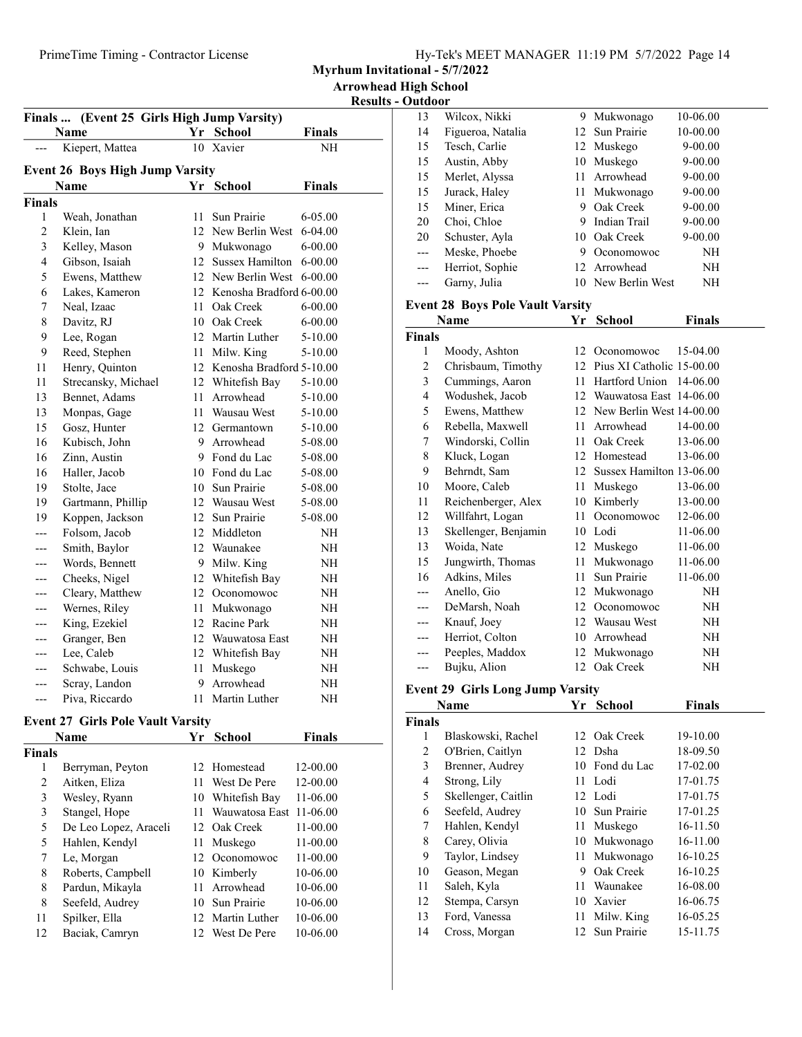Myrhum Invitational - 5/7/2022

| <b>Arrowhead High School</b> |
|------------------------------|
|------------------------------|

Results - Outdoor

| Finals  (Event 25 Girls High Jump Varsity) |                                        |      |                             |               |  |
|--------------------------------------------|----------------------------------------|------|-----------------------------|---------------|--|
|                                            | <b>Name</b>                            |      | Yr School                   | <b>Finals</b> |  |
|                                            | Kiepert, Mattea                        |      | 10 Xavier                   | NH            |  |
|                                            | <b>Event 26 Boys High Jump Varsity</b> |      |                             |               |  |
|                                            | Name                                   |      | Yr School                   | <b>Finals</b> |  |
| <b>Finals</b>                              |                                        |      |                             |               |  |
| 1                                          | Weah, Jonathan                         | 11   | Sun Prairie                 | $6 - 05.00$   |  |
| $\overline{c}$                             | Klein, Ian                             | 12   | New Berlin West             | $6 - 04.00$   |  |
| 3                                          | Kelley, Mason                          |      | 9 Mukwonago                 | 6-00.00       |  |
| $\overline{4}$                             | Gibson, Isaiah                         |      | 12 Sussex Hamilton          | $6 - 00.00$   |  |
| 5                                          | Ewens, Matthew                         |      | 12 New Berlin West          | $6 - 00.00$   |  |
| 6                                          | Lakes, Kameron                         |      | 12 Kenosha Bradford 6-00.00 |               |  |
| 7                                          | Neal, Izaac                            | 11   | Oak Creek                   | $6 - 00.00$   |  |
| 8                                          | Davitz, RJ                             |      | 10 Oak Creek                | $6 - 00.00$   |  |
| 9                                          | Lee, Rogan                             |      | 12 Martin Luther            | 5-10.00       |  |
| 9                                          | Reed, Stephen                          | 11 - | Milw. King                  | 5-10.00       |  |
| 11                                         |                                        |      | 12 Kenosha Bradford 5-10.00 |               |  |
|                                            | Henry, Quinton                         |      |                             |               |  |
| 11                                         | Strecansky, Michael                    |      | 12 Whitefish Bay            | 5-10.00       |  |
| 13                                         | Bennet, Adams                          | 11   | Arrowhead                   | 5-10.00       |  |
| 13                                         | Monpas, Gage                           |      | 11 Wausau West              | 5-10.00       |  |
| 15                                         | Gosz, Hunter                           |      | 12 Germantown               | 5-10.00       |  |
| 16                                         | Kubisch, John                          |      | 9 Arrowhead                 | 5-08.00       |  |
| 16                                         | Zinn, Austin                           |      | 9 Fond du Lac               | 5-08.00       |  |
| 16                                         | Haller, Jacob                          |      | 10 Fond du Lac              | 5-08.00       |  |
| 19                                         | Stolte, Jace                           |      | 10 Sun Prairie              | 5-08.00       |  |
| 19                                         | Gartmann, Phillip                      |      | 12 Wausau West              | 5-08.00       |  |
| 19                                         | Koppen, Jackson                        |      | 12 Sun Prairie              | 5-08.00       |  |
| ---                                        | Folsom, Jacob                          |      | 12 Middleton                | NΗ            |  |
|                                            | Smith, Baylor                          |      | 12 Waunakee                 | NΗ            |  |
| ---                                        | Words, Bennett                         |      | 9 Milw. King                | NΗ            |  |
| ---                                        | Cheeks, Nigel                          |      | 12 Whitefish Bay            | NΗ            |  |
|                                            | Cleary, Matthew                        |      | 12 Oconomowoc               | NΗ            |  |
| ---                                        | Wernes, Riley                          | 11   | Mukwonago                   | NΗ            |  |
|                                            | King, Ezekiel                          |      | 12 Racine Park              | NΗ            |  |
| ---                                        | Granger, Ben                           |      | 12 Wauwatosa East           | NH            |  |
| ---                                        | Lee, Caleb                             |      | 12 Whitefish Bay            | NH            |  |
| ---                                        | Schwabe, Louis                         | 11   | Muskego                     | NΗ            |  |
|                                            | Scray, Landon                          | 9    | Arrowhead                   | NΗ            |  |
| ---                                        | Piva, Riccardo                         | 11   | Martin Luther               | NH            |  |

## Event 27 Girls Pole Vault Varsity

|               | Name                  | Yr  | <b>School</b>    | <b>Finals</b> |
|---------------|-----------------------|-----|------------------|---------------|
| <b>Finals</b> |                       |     |                  |               |
| 1             | Berryman, Peyton      |     | 12 Homestead     | 12-00.00      |
| 2             | Aitken, Eliza         | 11  | West De Pere     | 12-00.00      |
| 3             | Wesley, Ryann         | 10  | Whitefish Bay    | 11-06.00      |
| 3             | Stangel, Hope         | 11  | Wauwatosa East   | 11-06.00      |
| 5             | De Leo Lopez, Araceli |     | 12 Oak Creek     | 11-00.00      |
| 5             | Hahlen, Kendyl        | 11. | Muskego          | 11-00.00      |
| 7             | Le, Morgan            | 12. | Oconomowoc       | 11-00.00      |
| 8             | Roberts, Campbell     | 10  | Kimberly         | 10-06.00      |
| 8             | Pardun, Mikayla       | 11  | Arrowhead        | 10-06.00      |
| 8             | Seefeld, Audrey       |     | 10 Sun Prairie   | 10-06.00      |
| 11            | Spilker, Ella         |     | 12 Martin Luther | 10-06.00      |
| 12            | Baciak, Camryn        | 12. | West De Pere     | 10-06.00      |

| 13                      | Wilcox, Nikki                           | 9.   | Mukwonago                    | 10-06.00      |  |
|-------------------------|-----------------------------------------|------|------------------------------|---------------|--|
| 14                      | Figueroa, Natalia                       | 12   | Sun Prairie                  | 10-00.00      |  |
| 15                      | Tesch, Carlie                           | 12   | Muskego                      | 9-00.00       |  |
| 15                      | Austin, Abby                            | 10   | Muskego                      | 9-00.00       |  |
| 15                      | Merlet, Alyssa                          | 11   | Arrowhead                    | 9-00.00       |  |
| 15                      | Jurack, Haley                           | 11   | Mukwonago                    | 9-00.00       |  |
| 15                      | Miner, Erica                            | 9    | Oak Creek                    | 9-00.00       |  |
| 20                      | Choi, Chloe                             | 9    | Indian Trail                 | 9-00.00       |  |
| 20                      | Schuster, Ayla                          | 10   | Oak Creek                    | 9-00.00       |  |
| ---                     | Meske, Phoebe                           | 9.   | Oconomowoc                   | NH            |  |
| ---                     | Herriot, Sophie                         | 12   | Arrowhead                    | NH            |  |
| ---                     | Garny, Julia                            |      | 10 New Berlin West           | NH            |  |
|                         | <b>Event 28 Boys Pole Vault Varsity</b> |      |                              |               |  |
|                         | Name                                    | Yr   | <b>School</b>                | <b>Finals</b> |  |
| <b>Finals</b>           |                                         |      |                              |               |  |
| 1                       | Moody, Ashton                           | 12   | Oconomowoc                   | 15-04.00      |  |
| $\overline{c}$          | Chrisbaum, Timothy                      |      | 12 Pius XI Catholic 15-00.00 |               |  |
| 3                       | Cummings, Aaron                         | 11 - | Hartford Union               | 14-06.00      |  |
| $\overline{\mathbf{4}}$ | Wodushek, Jacob                         |      | 12 Wauwatosa East 14-06.00   |               |  |
| 5                       | Ewens, Matthew                          |      | 12 New Berlin West 14-00.00  |               |  |
| 6                       | Rebella, Maxwell                        | 11   | Arrowhead                    | 14-00.00      |  |
| 7                       | Windorski, Collin                       | 11   | Oak Creek                    | 13-06.00      |  |
| 8                       | Kluck, Logan                            |      | 12 Homestead                 | 13-06.00      |  |
| 9                       | Behrndt, Sam                            | 12   | Sussex Hamilton 13-06.00     |               |  |
| 10                      | Moore, Caleb                            | 11   | Muskego                      | 13-06.00      |  |
| 11                      | Reichenberger, Alex                     |      | 10 Kimberly                  | 13-00.00      |  |
| 12                      | Willfahrt, Logan                        | 11   | Oconomowoc                   | 12-06.00      |  |
| 13                      | Skellenger, Benjamin                    |      | 10 Lodi                      | 11-06.00      |  |
| 13                      | Woida, Nate                             | 12   | Muskego                      | 11-06.00      |  |
| 15                      | Jungwirth, Thomas                       | 11   | Mukwonago                    | 11-06.00      |  |
| 16                      | Adkins, Miles                           | 11   | Sun Prairie                  | 11-06.00      |  |
| ---                     | Anello, Gio                             | 12   | Mukwonago                    | NH            |  |
| ---                     | DeMarsh, Noah                           | 12   | Oconomowoc                   | NH            |  |
| ---                     | Knauf, Joey                             |      | 12 Wausau West               | NH            |  |
| ---                     | Herriot, Colton                         | 10   | Arrowhead                    | NH            |  |
| ---                     | Peeples, Maddox                         | 12   | Mukwonago                    | NH            |  |
| ---                     | Bujku, Alion                            | 12   | Oak Creek                    | NH            |  |

# Event 29 Girls Long Jump Varsity

|        | Name                |    | Yr School      | <b>Finals</b> |
|--------|---------------------|----|----------------|---------------|
| Finals |                     |    |                |               |
| 1      | Blaskowski, Rachel  |    | 12 Oak Creek   | 19-10.00      |
| 2      | O'Brien, Caitlyn    |    | 12 Dsha        | 18-09.50      |
| 3      | Brenner, Audrey     |    | 10 Fond du Lac | 17-02.00      |
| 4      | Strong, Lily        | 11 | Lodi           | 17-01.75      |
| 5      | Skellenger, Caitlin |    | 12 Lodi        | 17-01.75      |
| 6      | Seefeld, Audrey     |    | 10 Sun Prairie | 17-01.25      |
| 7      | Hahlen, Kendyl      | 11 | Muskego        | 16-11.50      |
| 8      | Carey, Olivia       | 10 | Mukwonago      | 16-11.00      |
| 9      | Taylor, Lindsey     | 11 | Mukwonago      | 16-10.25      |
| 10     | Geason, Megan       | 9  | Oak Creek      | 16-10.25      |
| 11     | Saleh, Kyla         | 11 | Waunakee       | 16-08.00      |
| 12     | Stempa, Carsyn      | 10 | Xavier         | 16-06.75      |
| 13     | Ford, Vanessa       | 11 | Milw. King     | 16-05.25      |
| 14     | Cross, Morgan       | 12 | Sun Prairie    | 15-11.75      |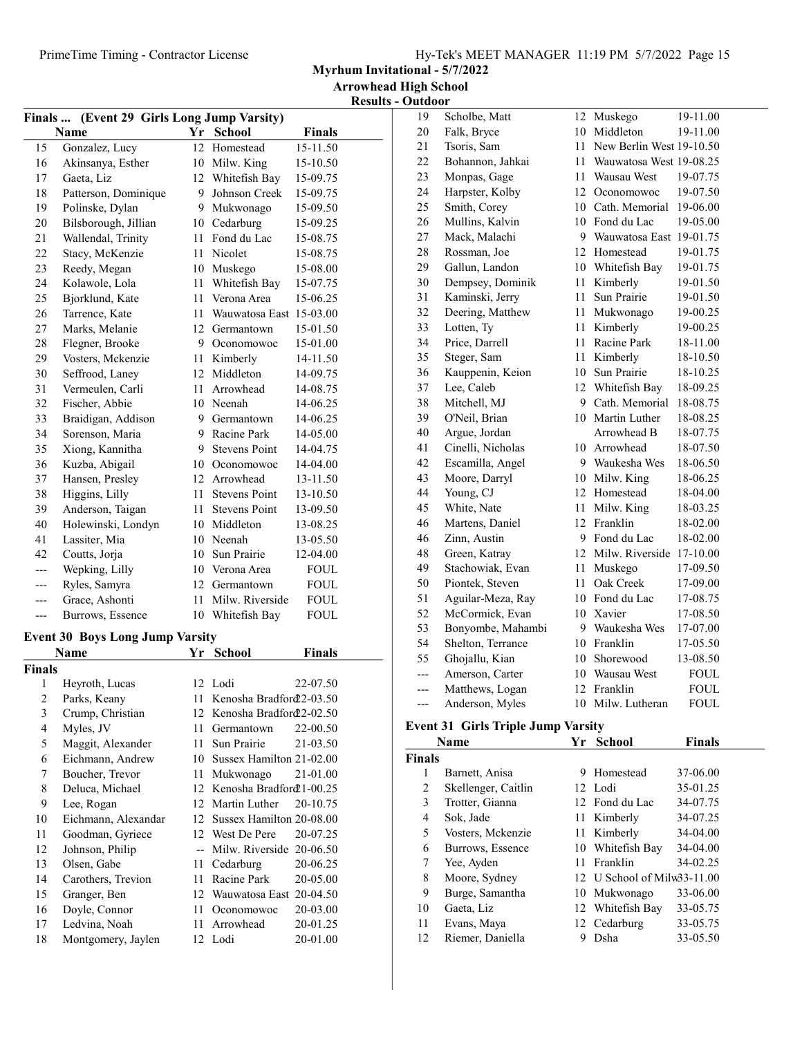Myrhum Invitational - 5/7/2022

Arrowhead High School  $\frac{\text{Results - Outdoor}}{19 \cdot \text{Sc}}$ 

| (Event 29 Girls Long Jump Varsity)<br>Finals |                      |        |                         |               |
|----------------------------------------------|----------------------|--------|-------------------------|---------------|
|                                              | <b>Name</b>          |        | Yr School               | <b>Finals</b> |
| 15                                           | Gonzalez, Lucy       | 12     | Homestead               | 15-11.50      |
| 16                                           | Akinsanya, Esther    |        | 10 Milw. King           | 15-10.50      |
| 17                                           | Gaeta, Liz           | 12     | Whitefish Bay           | 15-09.75      |
| 18                                           | Patterson, Dominique | 9      | Johnson Creek           | 15-09.75      |
| 19                                           | Polinske, Dylan      | 9      | Mukwonago               | 15-09.50      |
| 20                                           | Bilsborough, Jillian | 10     | Cedarburg               | 15-09.25      |
| 21                                           | Wallendal, Trinity   | 11     | Fond du Lac             | 15-08.75      |
| 22                                           | Stacy, McKenzie      | 11     | Nicolet                 | 15-08.75      |
| 23                                           | Reedy, Megan         | 10     | Muskego                 | 15-08.00      |
| 24                                           | Kolawole, Lola       | 11     | Whitefish Bay           | 15-07.75      |
| 25                                           | Bjorklund, Kate      | 11     | Verona Area             | 15-06.25      |
| 26                                           | Tarrence, Kate       | 11     | Wauwatosa East 15-03.00 |               |
| 27                                           | Marks, Melanie       |        | 12 Germantown           | 15-01.50      |
| 28                                           | Flegner, Brooke      | 9      | Oconomowoc              | 15-01.00      |
| 29                                           | Vosters, Mckenzie    | 11     | Kimberly                | 14-11.50      |
| 30                                           | Seffrood, Laney      | 12     | Middleton               | 14-09.75      |
| 31                                           | Vermeulen, Carli     | 11     | Arrowhead               | 14-08.75      |
| 32                                           | Fischer, Abbie       |        | 10 Neenah               | 14-06.25      |
| 33                                           | Braidigan, Addison   |        | 9 Germantown            | 14-06.25      |
| 34                                           | Sorenson, Maria      | 9      | Racine Park             | 14-05.00      |
| 35                                           | Xiong, Kannitha      | 9      | <b>Stevens Point</b>    | 14-04.75      |
| 36                                           | Kuzba, Abigail       | 10     | Oconomowoc              | 14-04.00      |
| 37                                           | Hansen, Presley      |        | 12 Arrowhead            | 13-11.50      |
| 38                                           | Higgins, Lilly       | $11 -$ | <b>Stevens Point</b>    | 13-10.50      |
| 39                                           | Anderson, Taigan     | 11     | <b>Stevens Point</b>    | 13-09.50      |
| 40                                           | Holewinski, Londyn   |        | 10 Middleton            | 13-08.25      |
| 41                                           | Lassiter, Mia        | 10     | Neenah                  | 13-05.50      |
| 42                                           | Coutts, Jorja        | 10     | Sun Prairie             | 12-04.00      |
| ---                                          | Wepking, Lilly       |        | 10 Verona Area          | <b>FOUL</b>   |
|                                              | Ryles, Samyra        |        | 12 Germantown           | <b>FOUL</b>   |
|                                              | Grace, Ashonti       | 11     | Milw. Riverside         | <b>FOUL</b>   |
| ---                                          | Burrows, Essence     | 10     | Whitefish Bay           | <b>FOUL</b>   |

### Event 30 Boys Long Jump Varsity

| Name          |                     |    | Yr School                | Finals   |
|---------------|---------------------|----|--------------------------|----------|
| <b>Finals</b> |                     |    |                          |          |
| 1             | Heyroth, Lucas      |    | 12 Lodi                  | 22-07.50 |
| 2             | Parks, Keany        | 11 | Kenosha Bradford 2-03.50 |          |
| 3             | Crump, Christian    | 12 | Kenosha Bradford 2-02.50 |          |
| 4             | Myles, JV           | 11 | Germantown               | 22-00.50 |
| 5             | Maggit, Alexander   | 11 | Sun Prairie              | 21-03.50 |
| 6             | Eichmann, Andrew    | 10 | Sussex Hamilton 21-02.00 |          |
| 7             | Boucher, Trevor     | 11 | Mukwonago                | 21-01.00 |
| 8             | Deluca, Michael     | 12 | Kenosha Bradford 1-00.25 |          |
| 9             | Lee, Rogan          | 12 | Martin Luther            | 20-10.75 |
| 10            | Eichmann, Alexandar | 12 | Sussex Hamilton 20-08.00 |          |
| 11            | Goodman, Gyriece    |    | 12 West De Pere          | 20-07.25 |
| 12            | Johnson, Philip     |    | Milw. Riverside 20-06.50 |          |
| 13            | Olsen, Gabe         | 11 | Cedarburg                | 20-06.25 |
| 14            | Carothers, Trevion  | 11 | Racine Park              | 20-05.00 |
| 15            | Granger, Ben        | 12 | Wauwatosa East 20-04.50  |          |
| 16            | Doyle, Connor       | 11 | Oconomowoc               | 20-03.00 |
| 17            | Ledvina, Noah       | 11 | Arrowhead                | 20-01.25 |
| 18            | Montgomery, Jaylen  |    | 12 Lodi                  | 20-01.00 |

| 19  | Scholbe, Matt     | 12 | Muskego                  | 19-11.00    |
|-----|-------------------|----|--------------------------|-------------|
| 20  | Falk, Bryce       | 10 | Middleton                | 19-11.00    |
| 21  | Tsoris, Sam       | 11 | New Berlin West 19-10.50 |             |
| 22  | Bohannon, Jahkai  | 11 | Wauwatosa West 19-08.25  |             |
| 23  | Monpas, Gage      | 11 | Wausau West              | 19-07.75    |
| 24  | Harpster, Kolby   | 12 | Oconomowoc               | 19-07.50    |
| 25  | Smith, Corey      | 10 | Cath. Memorial           | 19-06.00    |
| 26  | Mullins, Kalvin   | 10 | Fond du Lac              | 19-05.00    |
| 27  | Mack, Malachi     |    | 9 Wauwatosa East         | 19-01.75    |
| 28  | Rossman, Joe      |    | 12 Homestead             | 19-01.75    |
| 29  | Gallun, Landon    |    | 10 Whitefish Bay         | 19-01.75    |
| 30  | Dempsey, Dominik  | 11 | Kimberly                 | 19-01.50    |
| 31  | Kaminski, Jerry   | 11 | Sun Prairie              | 19-01.50    |
| 32  | Deering, Matthew  | 11 | Mukwonago                | 19-00.25    |
| 33  | Lotten, Ty        | 11 | Kimberly                 | 19-00.25    |
| 34  | Price, Darrell    | 11 | Racine Park              | 18-11.00    |
| 35  | Steger, Sam       | 11 | Kimberly                 | 18-10.50    |
| 36  | Kauppenin, Keion  | 10 | Sun Prairie              | 18-10.25    |
| 37  | Lee, Caleb        | 12 | Whitefish Bay            | 18-09.25    |
| 38  | Mitchell, MJ      | 9  | Cath. Memorial           | 18-08.75    |
| 39  | O'Neil, Brian     | 10 | Martin Luther            | 18-08.25    |
| 40  | Argue, Jordan     |    | Arrowhead B              | 18-07.75    |
| 41  | Cinelli, Nicholas |    | 10 Arrowhead             | 18-07.50    |
| 42  | Escamilla, Angel  |    | 9 Waukesha Wes           | 18-06.50    |
| 43  | Moore, Darryl     |    | 10 Milw. King            | 18-06.25    |
| 44  | Young, CJ         | 12 | Homestead                | 18-04.00    |
| 45  | White, Nate       | 11 | Milw. King               | 18-03.25    |
| 46  | Martens, Daniel   | 12 | Franklin                 | 18-02.00    |
| 46  | Zinn, Austin      | 9  | Fond du Lac              | 18-02.00    |
| 48  | Green, Katray     | 12 | Milw. Riverside          | 17-10.00    |
| 49  | Stachowiak, Evan  | 11 | Muskego                  | 17-09.50    |
| 50  | Piontek, Steven   | 11 | Oak Creek                | 17-09.00    |
| 51  | Aguilar-Meza, Ray |    | 10 Fond du Lac           | 17-08.75    |
| 52  | McCormick, Evan   |    | 10 Xavier                | 17-08.50    |
| 53  | Bonyombe, Mahambi |    | 9 Waukesha Wes           | 17-07.00    |
| 54  | Shelton, Terrance |    | 10 Franklin              | 17-05.50    |
| 55  | Ghojallu, Kian    | 10 | Shorewood                | 13-08.50    |
| --- | Amerson, Carter   |    | 10 Wausau West           | <b>FOUL</b> |
| --- | Matthews, Logan   | 12 | Franklin                 | <b>FOUL</b> |
| --- | Anderson, Myles   |    | 10 Milw. Lutheran        | <b>FOUL</b> |

#### Event 31 Girls Triple Jump Varsity

|               | Name                | Yr | <b>School</b>               | <b>Finals</b> |
|---------------|---------------------|----|-----------------------------|---------------|
| <b>Finals</b> |                     |    |                             |               |
| 1             | Barnett, Anisa      | 9  | Homestead                   | 37-06.00      |
| 2             | Skellenger, Caitlin |    | 12 Lodi                     | 35-01.25      |
| 3             | Trotter, Gianna     |    | 12 Fond du Lac              | 34-07.75      |
| 4             | Sok, Jade           | 11 | Kimberly                    | 34-07.25      |
| 5             | Vosters, Mckenzie   | 11 | Kimberly                    | 34-04.00      |
| 6             | Burrows, Essence    |    | 10 Whitefish Bay            | 34-04.00      |
| 7             | Yee, Ayden          | 11 | Franklin                    | 34-02.25      |
| 8             | Moore, Sydney       |    | 12 U School of Milw33-11.00 |               |
| 9             | Burge, Samantha     |    | 10 Mukwonago                | 33-06.00      |
| 10            | Gaeta, Liz          |    | 12 Whitefish Bay            | 33-05.75      |
| 11            | Evans, Maya         |    | 12 Cedarburg                | 33-05.75      |
| 12            | Riemer, Daniella    |    | Dsha                        | 33-05.50      |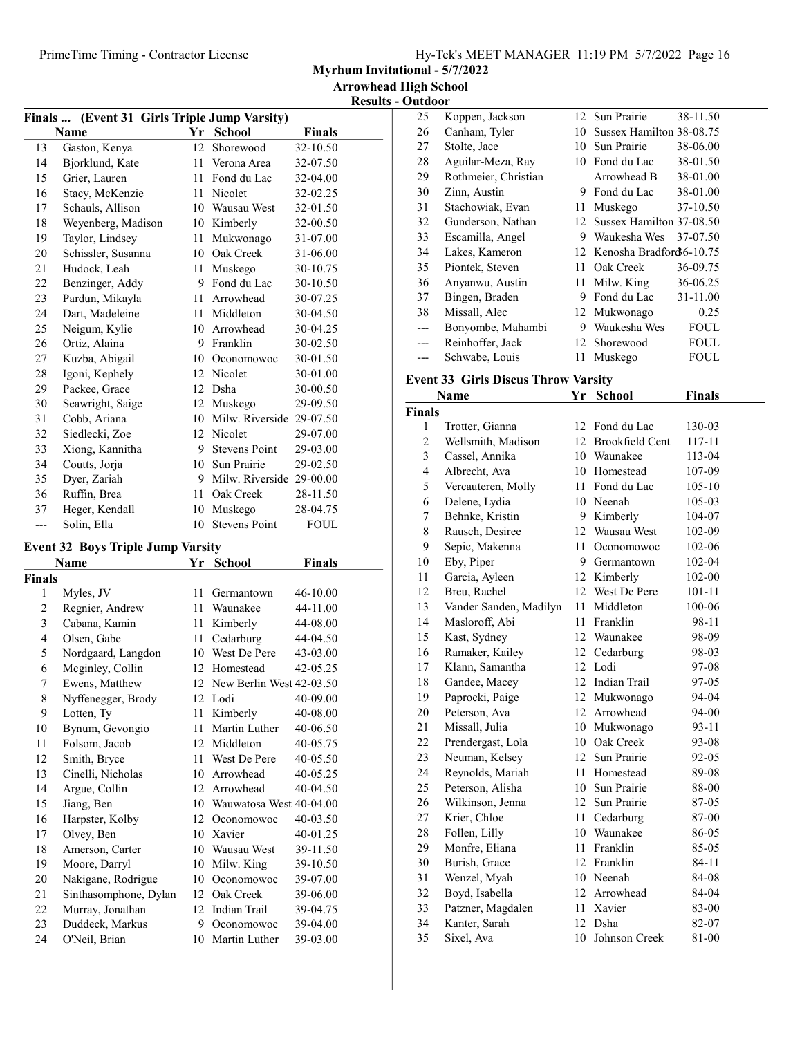Myrhum Invitational - 5/7/2022

Results - Outdoor

| Finals  (Event 31 Girls Triple Jump Varsity) |                    |    |                          |               |  |
|----------------------------------------------|--------------------|----|--------------------------|---------------|--|
|                                              | Name               |    | Yr School                | <b>Finals</b> |  |
| 13                                           | Gaston, Kenya      | 12 | Shorewood                | 32-10.50      |  |
| 14                                           | Bjorklund, Kate    | 11 | Verona Area              | 32-07.50      |  |
| 15                                           | Grier, Lauren      | 11 | Fond du Lac              | 32-04.00      |  |
| 16                                           | Stacy, McKenzie    | 11 | Nicolet                  | 32-02.25      |  |
| 17                                           | Schauls, Allison   | 10 | Wausau West              | 32-01.50      |  |
| 18                                           | Weyenberg, Madison | 10 | Kimberly                 | 32-00.50      |  |
| 19                                           | Taylor, Lindsey    | 11 | Mukwonago                | 31-07.00      |  |
| 20                                           | Schissler, Susanna | 10 | Oak Creek                | 31-06.00      |  |
| 21                                           | Hudock, Leah       | 11 | Muskego                  | 30-10.75      |  |
| 22                                           | Benzinger, Addy    | 9  | Fond du Lac              | 30-10.50      |  |
| 23                                           | Pardun, Mikayla    | 11 | Arrowhead                | 30-07.25      |  |
| 24                                           | Dart, Madeleine    | 11 | Middleton                | 30-04.50      |  |
| 25                                           | Neigum, Kylie      | 10 | Arrowhead                | 30-04.25      |  |
| 26                                           | Ortiz, Alaina      | 9  | Franklin                 | 30-02.50      |  |
| 27                                           | Kuzba, Abigail     | 10 | Oconomowoc               | 30-01.50      |  |
| 28                                           | Igoni, Kephely     | 12 | Nicolet                  | 30-01.00      |  |
| 29                                           | Packee, Grace      | 12 | Dsha                     | 30-00.50      |  |
| 30                                           | Seawright, Saige   | 12 | Muskego                  | 29-09.50      |  |
| 31                                           | Cobb, Ariana       | 10 | Milw. Riverside 29-07.50 |               |  |
| 32                                           | Siedlecki, Zoe     | 12 | Nicolet                  | 29-07.00      |  |
| 33                                           | Xiong, Kannitha    | 9  | <b>Stevens Point</b>     | 29-03.00      |  |
| 34                                           | Coutts, Jorja      | 10 | Sun Prairie              | 29-02.50      |  |
| 35                                           | Dyer, Zariah       | 9  | Milw. Riverside 29-00.00 |               |  |
| 36                                           | Ruffin, Brea       | 11 | Oak Creek                | 28-11.50      |  |
| 37                                           | Heger, Kendall     | 10 | Muskego                  | 28-04.75      |  |
| ---                                          | Solin, Ella        | 10 | <b>Stevens Point</b>     | FOUL          |  |

## Event 32 Boys Triple Jump Varsity

|               | Name                  | Yr | <b>School</b>            | <b>Finals</b> |
|---------------|-----------------------|----|--------------------------|---------------|
| <b>Finals</b> |                       |    |                          |               |
| 1             | Myles, JV             | 11 | Germantown               | 46-10.00      |
| 2             | Regnier, Andrew       | 11 | Waunakee                 | 44-11.00      |
| 3             | Cabana, Kamin         | 11 | Kimberly                 | 44-08.00      |
| 4             | Olsen, Gabe           | 11 | Cedarburg                | 44-04.50      |
| 5             | Nordgaard, Langdon    | 10 | West De Pere             | 43-03.00      |
| 6             | Meginley, Collin      | 12 | Homestead                | 42-05.25      |
| 7             | Ewens, Matthew        | 12 | New Berlin West 42-03.50 |               |
| 8             | Nyffenegger, Brody    |    | 12 Lodi                  | 40-09.00      |
| 9             | Lotten, Ty            | 11 | Kimberly                 | 40-08.00      |
| 10            | Bynum, Gevongio       | 11 | Martin Luther            | 40-06.50      |
| 11            | Folsom, Jacob         | 12 | Middleton                | 40-05.75      |
| 12            | Smith, Bryce          | 11 | West De Pere             | 40-05.50      |
| 13            | Cinelli, Nicholas     | 10 | Arrowhead                | 40-05.25      |
| 14            | Argue, Collin         | 12 | Arrowhead                | 40-04.50      |
| 15            | Jiang, Ben            | 10 | Wauwatosa West 40-04.00  |               |
| 16            | Harpster, Kolby       | 12 | Oconomowoc               | 40-03.50      |
| 17            | Olvey, Ben            | 10 | Xavier                   | 40-01.25      |
| 18            | Amerson, Carter       | 10 | Wausau West              | 39-11.50      |
| 19            | Moore, Darryl         | 10 | Milw. King               | 39-10.50      |
| 20            | Nakigane, Rodrigue    | 10 | Oconomowoc               | 39-07.00      |
| 21            | Sinthasomphone, Dylan | 12 | Oak Creek                | 39-06.00      |
| 22            | Murray, Jonathan      | 12 | Indian Trail             | 39-04.75      |
| 23            | Duddeck, Markus       | 9  | Oconomowoc               | 39-04.00      |
| 24            | O'Neil, Brian         | 10 | Martin Luther            | 39-03.00      |

| 25    | Koppen, Jackson      |    | 12 Sun Prairie             | 38-11.50    |
|-------|----------------------|----|----------------------------|-------------|
| 26    | Canham, Tyler        | 10 | Sussex Hamilton 38-08.75   |             |
| 27    | Stolte, Jace         | 10 | Sun Prairie                | 38-06.00    |
| 28    | Aguilar-Meza, Ray    | 10 | Fond du Lac                | 38-01.50    |
| 29    | Rothmeier, Christian |    | Arrowhead B                | 38-01.00    |
| 30    | Zinn, Austin         | 9  | Fond du Lac                | 38-01.00    |
| 31    | Stachowiak, Evan     | 11 | Muskego                    | 37-10.50    |
| 32    | Gunderson, Nathan    | 12 | Sussex Hamilton 37-08.50   |             |
| 33    | Escamilla, Angel     | 9  | Waukesha Wes               | 37-07.50    |
| 34    | Lakes, Kameron       |    | 12 Kenosha Bradford6-10.75 |             |
| 35    | Piontek, Steven      | 11 | Oak Creek                  | 36-09.75    |
| 36    | Anyanwu, Austin      | 11 | Milw. King                 | 36-06.25    |
| 37    | Bingen, Braden       | 9  | Fond du Lac                | 31-11.00    |
| 38    | Missall, Alec        | 12 | Mukwonago                  | 0.25        |
| $---$ | Bonyombe, Mahambi    | 9  | Waukesha Wes               | <b>FOUL</b> |
| ---   | Reinhoffer, Jack     | 12 | Shorewood                  | <b>FOUL</b> |
|       | Schwabe, Louis       | 11 | Muskego                    | FOUL        |

## Event 33 Girls Discus Throw Varsity

|                | Name                   | Yr | <b>School</b>          | <b>Finals</b> |
|----------------|------------------------|----|------------------------|---------------|
| <b>Finals</b>  |                        |    |                        |               |
| 1              | Trotter, Gianna        | 12 | Fond du Lac            | 130-03        |
| $\overline{c}$ | Wellsmith, Madison     | 12 | <b>Brookfield Cent</b> | 117-11        |
| 3              | Cassel, Annika         | 10 | Waunakee               | 113-04        |
| 4              | Albrecht, Ava          | 10 | Homestead              | 107-09        |
| 5              | Vercauteren, Molly     | 11 | Fond du Lac            | 105-10        |
| 6              | Delene, Lydia          | 10 | Neenah                 | 105-03        |
| 7              | Behnke, Kristin        | 9  | Kimberly               | 104-07        |
| 8              | Rausch, Desiree        | 12 | Wausau West            | 102-09        |
| 9              | Sepic, Makenna         | 11 | Oconomowoc             | 102-06        |
| 10             | Eby, Piper             | 9  | Germantown             | 102-04        |
| 11             | Garcia, Ayleen         | 12 | Kimberly               | 102-00        |
| 12             | Breu, Rachel           | 12 | West De Pere           | $101 - 11$    |
| 13             | Vander Sanden, Madilyn | 11 | Middleton              | 100-06        |
| 14             | Masloroff, Abi         | 11 | Franklin               | 98-11         |
| 15             | Kast, Sydney           | 12 | Waunakee               | 98-09         |
| 16             | Ramaker, Kailey        | 12 | Cedarburg              | 98-03         |
| 17             | Klann, Samantha        |    | 12 Lodi                | 97-08         |
| 18             | Gandee, Macey          | 12 | Indian Trail           | 97-05         |
| 19             | Paprocki, Paige        | 12 | Mukwonago              | 94-04         |
| 20             | Peterson, Ava          | 12 | Arrowhead              | 94-00         |
| 21             | Missall, Julia         | 10 | Mukwonago              | 93-11         |
| 22             | Prendergast, Lola      | 10 | Oak Creek              | 93-08         |
| 23             | Neuman, Kelsey         | 12 | Sun Prairie            | 92-05         |
| 24             | Reynolds, Mariah       | 11 | Homestead              | 89-08         |
| 25             | Peterson, Alisha       | 10 | Sun Prairie            | 88-00         |
| 26             | Wilkinson, Jenna       | 12 | Sun Prairie            | 87-05         |
| 27             | Krier, Chloe           | 11 | Cedarburg              | 87-00         |
| 28             | Follen, Lilly          |    | 10 Waunakee            | 86-05         |
| 29             | Monfre, Eliana         | 11 | Franklin               | 85-05         |
| 30             | Burish, Grace          | 12 | Franklin               | 84-11         |
| 31             | Wenzel, Myah           |    | 10 Neenah              | 84-08         |
| 32             | Boyd, Isabella         |    | 12 Arrowhead           | 84-04         |
| 33             | Patzner, Magdalen      | 11 | Xavier                 | 83-00         |
| 34             | Kanter, Sarah          | 12 | Dsha                   | 82-07         |
| 35             | Sixel, Ava             | 10 | Johnson Creek          | 81-00         |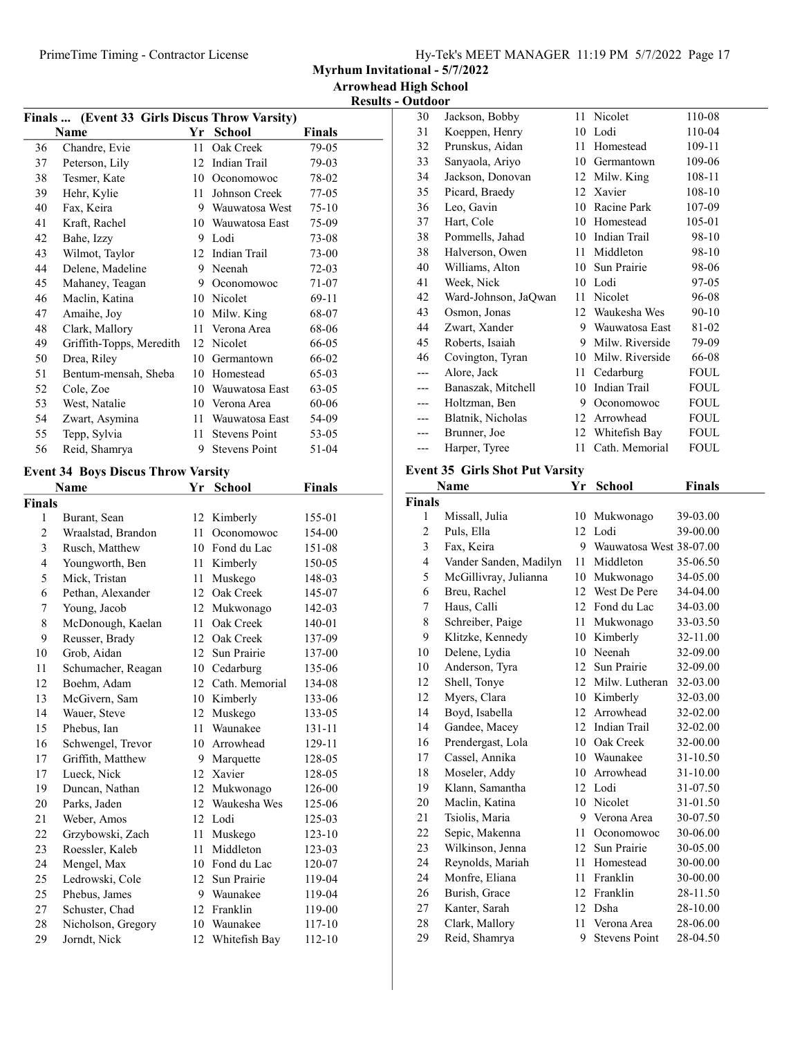Myrhum Invitational - 5/7/2022

Results - Outdoor

| Finals  (Event 33 Girls Discus Throw Varsity) |                          |    |                      |         |  |
|-----------------------------------------------|--------------------------|----|----------------------|---------|--|
|                                               | Name                     | Yr | <b>School</b>        | Finals  |  |
| 36                                            | Chandre, Evie            | 11 | Oak Creek            | 79-05   |  |
| 37                                            | Peterson, Lily           | 12 | Indian Trail         | 79-03   |  |
| 38                                            | Tesmer, Kate             | 10 | Oconomowoc           | 78-02   |  |
| 39                                            | Hehr, Kylie              | 11 | Johnson Creek        | 77-05   |  |
| 40                                            | Fax, Keira               | 9  | Wauwatosa West       | $75-10$ |  |
| 41                                            | Kraft, Rachel            | 10 | Wauwatosa East       | 75-09   |  |
| 42                                            | Bahe, Izzy               | 9  | Lodi                 | 73-08   |  |
| 43                                            | Wilmot, Taylor           | 12 | Indian Trail         | 73-00   |  |
| 44                                            | Delene, Madeline         | 9  | Neenah               | $72-03$ |  |
| 45                                            | Mahaney, Teagan          | 9  | Oconomowoc           | 71-07   |  |
| 46                                            | Maclin, Katina           | 10 | Nicolet              | 69-11   |  |
| 47                                            | Amaihe, Joy              | 10 | Milw. King           | 68-07   |  |
| 48                                            | Clark, Mallory           | 11 | Verona Area          | 68-06   |  |
| 49                                            | Griffith-Topps, Meredith | 12 | Nicolet              | 66-05   |  |
| 50                                            | Drea, Riley              | 10 | Germantown           | 66-02   |  |
| 51                                            | Bentum-mensah, Sheba     | 10 | Homestead            | 65-03   |  |
| 52                                            | Cole, Zoe                | 10 | Wauwatosa East       | 63-05   |  |
| 53                                            | West, Natalie            | 10 | Verona Area          | 60-06   |  |
| 54                                            | Zwart, Asymina           | 11 | Wauwatosa East       | 54-09   |  |
| 55                                            | Tepp, Sylvia             | 11 | <b>Stevens Point</b> | 53-05   |  |
| 56                                            | Reid, Shamrya            | 9  | Stevens Point        | 51-04   |  |
|                                               |                          |    |                      |         |  |

# Event 34 Boys Discus Throw Varsity

|                | Name               | Yr | <b>School</b>  | <b>Finals</b> |
|----------------|--------------------|----|----------------|---------------|
| <b>Finals</b>  |                    |    |                |               |
| 1              | Burant, Sean       | 12 | Kimberly       | 155-01        |
| $\overline{c}$ | Wraalstad, Brandon | 11 | Oconomowoc     | 154-00        |
| 3              | Rusch, Matthew     | 10 | Fond du Lac    | 151-08        |
| 4              | Youngworth, Ben    | 11 | Kimberly       | 150-05        |
| 5              | Mick, Tristan      | 11 | Muskego        | 148-03        |
| 6              | Pethan, Alexander  | 12 | Oak Creek      | 145-07        |
| 7              | Young, Jacob       | 12 | Mukwonago      | 142-03        |
| 8              | McDonough, Kaelan  | 11 | Oak Creek      | 140-01        |
| 9              | Reusser, Brady     | 12 | Oak Creek      | 137-09        |
| 10             | Grob, Aidan        | 12 | Sun Prairie    | 137-00        |
| 11             | Schumacher, Reagan | 10 | Cedarburg      | 135-06        |
| 12             | Boehm, Adam        | 12 | Cath. Memorial | 134-08        |
| 13             | McGivern, Sam      | 10 | Kimberly       | 133-06        |
| 14             | Wauer, Steve       | 12 | Muskego        | 133-05        |
| 15             | Phebus, Ian        | 11 | Waunakee       | 131-11        |
| 16             | Schwengel, Trevor  | 10 | Arrowhead      | 129-11        |
| 17             | Griffith, Matthew  | 9  | Marquette      | 128-05        |
| 17             | Lueck, Nick        | 12 | Xavier         | 128-05        |
| 19             | Duncan, Nathan     | 12 | Mukwonago      | 126-00        |
| 20             | Parks, Jaden       | 12 | Waukesha Wes   | 125-06        |
| 21             | Weber, Amos        | 12 | Lodi           | 125-03        |
| 22             | Grzybowski, Zach   | 11 | Muskego        | 123-10        |
| 23             | Roessler, Kaleb    | 11 | Middleton      | 123-03        |
| 24             | Mengel, Max        | 10 | Fond du Lac    | 120-07        |
| 25             | Ledrowski, Cole    | 12 | Sun Prairie    | 119-04        |
| 25             | Phebus, James      | 9  | Waunakee       | 119-04        |
| 27             | Schuster, Chad     | 12 | Franklin       | 119-00        |
| 28             | Nicholson, Gregory |    | 10 Waunakee    | 117-10        |
| 29             | Jorndt, Nick       | 12 | Whitefish Bay  | 112-10        |

| 30  | Jackson, Bobby       | 11. | Nicolet         | 110-08      |
|-----|----------------------|-----|-----------------|-------------|
| 31  | Koeppen, Henry       | 10  | Lodi            | 110-04      |
| 32  | Prunskus, Aidan      | 11  | Homestead       | 109-11      |
| 33  | Sanyaola, Ariyo      | 10  | Germantown      | 109-06      |
| 34  | Jackson, Donovan     | 12  | Milw. King      | 108-11      |
| 35  | Picard, Braedy       |     | 12 Xavier       | 108-10      |
| 36  | Leo, Gavin           | 10  | Racine Park     | 107-09      |
| 37  | Hart, Cole           | 10  | Homestead       | 105-01      |
| 38  | Pommells, Jahad      | 10  | Indian Trail    | 98-10       |
| 38  | Halverson, Owen      | 11  | Middleton       | 98-10       |
| 40  | Williams, Alton      | 10  | Sun Prairie     | 98-06       |
| 41  | Week, Nick           | 10  | Lodi            | 97-05       |
| 42  | Ward-Johnson, JaQwan | 11  | Nicolet         | 96-08       |
| 43  | Osmon, Jonas         |     | 12 Waukesha Wes | $90 - 10$   |
| 44  | Zwart, Xander        | 9   | Wauwatosa East  | 81-02       |
| 45  | Roberts, Isaiah      | 9   | Milw. Riverside | 79-09       |
| 46  | Covington, Tyran     | 10  | Milw. Riverside | 66-08       |
| --- | Alore, Jack          | 11  | Cedarburg       | <b>FOUL</b> |
| --- | Banaszak, Mitchell   | 10  | Indian Trail    | <b>FOUL</b> |
| --- | Holtzman, Ben        | 9   | Oconomowoc      | <b>FOUL</b> |
| --- | Blatnik, Nicholas    | 12  | Arrowhead       | <b>FOUL</b> |
| --- | Brunner, Joe         | 12  | Whitefish Bay   | FOUL        |
| --- | Harper, Tyree        | 11  | Cath. Memorial  | FOUL        |
|     |                      |     |                 |             |

## Event 35 Girls Shot Put Varsity

|                | Name                   | Yr | <b>School</b>           | <b>Finals</b> |
|----------------|------------------------|----|-------------------------|---------------|
| <b>Finals</b>  |                        |    |                         |               |
| 1              | Missall, Julia         | 10 | Mukwonago               | 39-03.00      |
| $\overline{c}$ | Puls, Ella             | 12 | Lodi                    | 39-00.00      |
| 3              | Fax, Keira             | 9  | Wauwatosa West 38-07.00 |               |
| 4              | Vander Sanden, Madilyn | 11 | Middleton               | 35-06.50      |
| 5              | McGillivray, Julianna  | 10 | Mukwonago               | 34-05.00      |
| 6              | Breu, Rachel           | 12 | West De Pere            | 34-04.00      |
| 7              | Haus, Calli            | 12 | Fond du Lac             | 34-03.00      |
| 8              | Schreiber, Paige       | 11 | Mukwonago               | 33-03.50      |
| 9              | Klitzke, Kennedy       | 10 | Kimberly                | 32-11.00      |
| 10             | Delene, Lydia          | 10 | Neenah                  | 32-09.00      |
| 10             | Anderson, Tyra         | 12 | Sun Prairie             | 32-09.00      |
| 12             | Shell, Tonye           | 12 | Milw. Lutheran          | 32-03.00      |
| 12             | Myers, Clara           | 10 | Kimberly                | 32-03.00      |
| 14             | Boyd, Isabella         | 12 | Arrowhead               | 32-02.00      |
| 14             | Gandee, Macey          |    | 12 Indian Trail         | 32-02.00      |
| 16             | Prendergast, Lola      | 10 | Oak Creek               | 32-00.00      |
| 17             | Cassel, Annika         |    | 10 Waunakee             | 31-10.50      |
| 18             | Moseler, Addy          | 10 | Arrowhead               | 31-10.00      |
| 19             | Klann, Samantha        |    | 12 Lodi                 | 31-07.50      |
| 20             | Maclin, Katina         | 10 | Nicolet                 | 31-01.50      |
| 21             | Tsiolis, Maria         | 9  | Verona Area             | 30-07.50      |
| 22             | Sepic, Makenna         | 11 | Oconomowoc              | 30-06.00      |
| 23             | Wilkinson, Jenna       | 12 | Sun Prairie             | 30-05.00      |
| 24             | Reynolds, Mariah       | 11 | Homestead               | 30-00.00      |
| 24             | Monfre, Eliana         | 11 | Franklin                | 30-00.00      |
| 26             | Burish, Grace          | 12 | Franklin                | 28-11.50      |
| 27             | Kanter, Sarah          |    | 12 Dsha                 | 28-10.00      |
| 28             | Clark, Mallory         | 11 | Verona Area             | 28-06.00      |
| 29             | Reid, Shamrya          | 9  | <b>Stevens Point</b>    | 28-04.50      |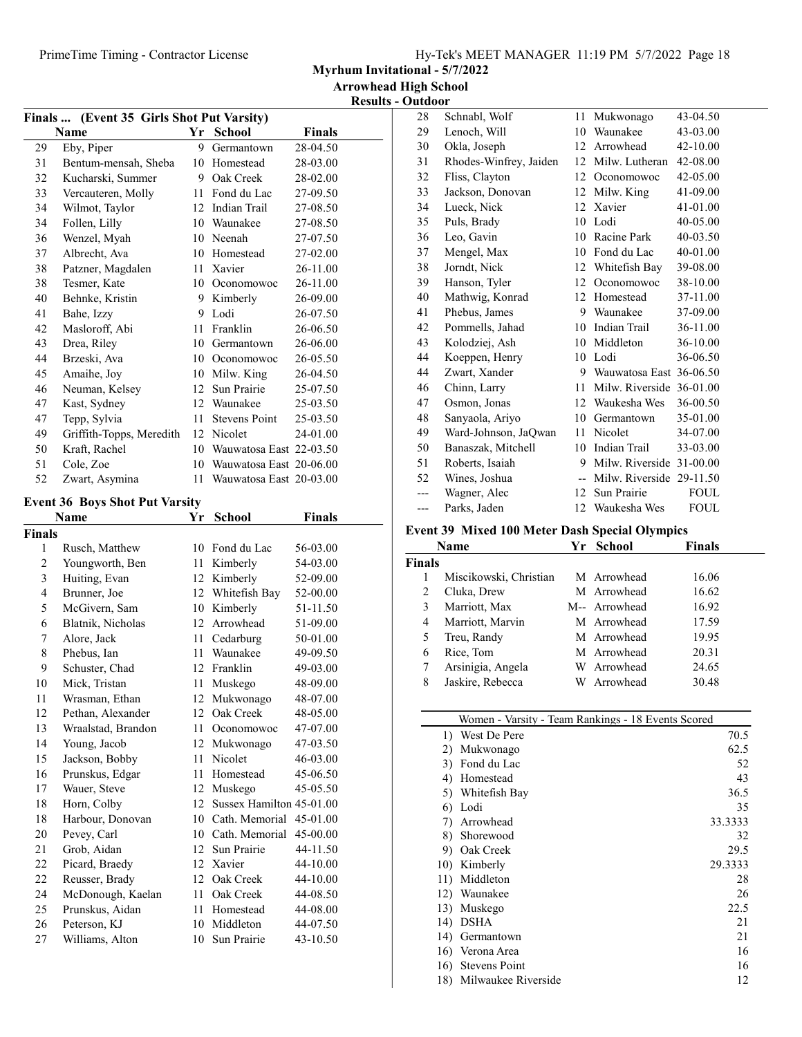| Hy-Tek's MEET MANAGER 11:19 PM 5/7/2022 Page 18 |  |  |
|-------------------------------------------------|--|--|
|                                                 |  |  |

Myrhum Invitational - 5/7/2022

Results - Outdoor

| Finals  (Event 35 Girls Shot Put Varsity) |                                       |    |                            |               |  |  |
|-------------------------------------------|---------------------------------------|----|----------------------------|---------------|--|--|
|                                           | Name                                  |    | Yr School                  | <b>Finals</b> |  |  |
| 29                                        | Eby, Piper                            | 9. | Germantown                 | 28-04.50      |  |  |
| 31                                        | Bentum-mensah, Sheba                  |    | 10 Homestead               | 28-03.00      |  |  |
| 32                                        | Kucharski, Summer                     |    | 9 Oak Creek                | 28-02.00      |  |  |
| 33                                        | Vercauteren, Molly                    |    | 11 Fond du Lac             | 27-09.50      |  |  |
| 34                                        | Wilmot, Taylor                        |    | 12 Indian Trail            | 27-08.50      |  |  |
| 34                                        | Follen, Lilly                         |    | 10 Waunakee                | 27-08.50      |  |  |
| 36                                        | Wenzel, Myah                          |    | 10 Neenah                  | 27-07.50      |  |  |
| 37                                        | Albrecht, Ava                         |    | 10 Homestead               | 27-02.00      |  |  |
| 38                                        | Patzner, Magdalen                     |    | 11 Xavier                  | 26-11.00      |  |  |
| 38                                        | Tesmer, Kate                          |    | 10 Oconomowoc              | 26-11.00      |  |  |
| 40                                        | Behnke, Kristin                       |    | 9 Kimberly                 | 26-09.00      |  |  |
| 41                                        | Bahe, Izzy                            |    | 9 Lodi                     | 26-07.50      |  |  |
| 42                                        | Masloroff, Abi                        | 11 | Franklin                   | 26-06.50      |  |  |
| 43                                        | Drea, Riley                           |    | 10 Germantown              | 26-06.00      |  |  |
| 44                                        | Brzeski, Ava                          |    | 10 Oconomowoc              | 26-05.50      |  |  |
| 45                                        | Amaihe, Joy                           |    | 10 Milw. King              | 26-04.50      |  |  |
| 46                                        | Neuman, Kelsey                        |    | 12 Sun Prairie             | 25-07.50      |  |  |
| 47                                        | Kast, Sydney                          |    | 12 Waunakee                | 25-03.50      |  |  |
| 47                                        | Tepp, Sylvia                          |    | 11 Stevens Point           | 25-03.50      |  |  |
| 49                                        | Griffith-Topps, Meredith              |    | 12 Nicolet                 | 24-01.00      |  |  |
| 50                                        | Kraft, Rachel                         |    | 10 Wauwatosa East 22-03.50 |               |  |  |
|                                           |                                       |    |                            |               |  |  |
| 51                                        | Cole, Zoe                             |    | 10 Wauwatosa East 20-06.00 |               |  |  |
| 52                                        | Zwart, Asymina                        | 11 | Wauwatosa East 20-03.00    |               |  |  |
|                                           | <b>Event 36 Boys Shot Put Varsity</b> |    |                            |               |  |  |
|                                           | Name                                  | Yr | <b>School</b>              | <b>Finals</b> |  |  |
| Finals                                    |                                       |    |                            |               |  |  |
| 1                                         | Rusch, Matthew                        |    | 10 Fond du Lac             | 56-03.00      |  |  |
| 2                                         | Youngworth, Ben                       | 11 | Kimberly                   | 54-03.00      |  |  |
| 3                                         | Huiting, Evan                         | 12 | Kimberly                   | 52-09.00      |  |  |
| $\overline{4}$                            | Brunner, Joe                          |    | 12 Whitefish Bay           | 52-00.00      |  |  |
| 5                                         | McGivern, Sam                         |    | 10 Kimberly                | 51-11.50      |  |  |
| 6                                         | Blatnik, Nicholas                     |    | 12 Arrowhead               | 51-09.00      |  |  |
| 7                                         | Alore, Jack                           |    | 11 Cedarburg               | 50-01.00      |  |  |
| $\,$ $\,$                                 | Phebus, Ian                           |    | 11 Waunakee                | 49-09.50      |  |  |
| 9                                         | Schuster, Chad                        |    | 12 Franklin                | 49-03.00      |  |  |
| 10                                        | Mick, Tristan                         |    | 11 Muskego                 | 48-09.00      |  |  |
| 11                                        | Wrasman, Ethan                        |    | 12 Mukwonago               | 48-07.00      |  |  |
| 12                                        | Pethan, Alexander                     |    | 12 Oak Creek               | 48-05.00      |  |  |
| 13                                        | Wraalstad, Brandon                    | 11 | Oconomowoc                 | 47-07.00      |  |  |
| 14                                        | Young, Jacob                          |    | 12 Mukwonago               | 47-03.50      |  |  |
| 15                                        | Jackson, Bobby                        | 11 | Nicolet                    | 46-03.00      |  |  |
| 16                                        | Prunskus, Edgar                       | 11 | Homestead                  | 45-06.50      |  |  |
| 17                                        | Wauer, Steve                          | 12 | Muskego                    | 45-05.50      |  |  |
| 18                                        | Horn, Colby                           | 12 | Sussex Hamilton 45-01.00   |               |  |  |
| 18                                        | Harbour, Donovan                      | 10 | Cath. Memorial             | 45-01.00      |  |  |
| 20                                        | Pevey, Carl                           | 10 | Cath. Memorial             | 45-00.00      |  |  |
| 21                                        | Grob, Aidan                           | 12 | Sun Prairie                | 44-11.50      |  |  |
| 22                                        | Picard, Braedy                        | 12 | Xavier                     | 44-10.00      |  |  |
| 22                                        | Reusser, Brady                        |    | 12 Oak Creek               | 44-10.00      |  |  |
| 24                                        | McDonough, Kaelan                     | 11 | Oak Creek                  | 44-08.50      |  |  |
| 25                                        | Prunskus, Aidan                       | 11 | Homestead                  | 44-08.00      |  |  |
| 26                                        | Peterson, KJ                          |    | 10 Middleton               | 44-07.50      |  |  |
|                                           |                                       |    |                            |               |  |  |
| 27                                        | Williams, Alton                       | 10 | Sun Prairie                | 43-10.50      |  |  |

| 28  | Schnabl, Wolf          | 11 | Mukwonago                | 43-04.50 |
|-----|------------------------|----|--------------------------|----------|
| 29  | Lenoch, Will           | 10 | Waunakee                 | 43-03.00 |
| 30  | Okla, Joseph           | 12 | Arrowhead                | 42-10.00 |
| 31  | Rhodes-Winfrey, Jaiden | 12 | Milw. Lutheran           | 42-08.00 |
| 32  | Fliss, Clayton         | 12 | Oconomowoc               | 42-05.00 |
| 33  | Jackson, Donovan       | 12 | Milw. King               | 41-09.00 |
| 34  | Lueck, Nick            | 12 | Xavier                   | 41-01.00 |
| 35  | Puls, Brady            | 10 | Lodi                     | 40-05.00 |
| 36  | Leo, Gavin             | 10 | Racine Park              | 40-03.50 |
| 37  | Mengel, Max            | 10 | Fond du Lac              | 40-01.00 |
| 38  | Jorndt, Nick           | 12 | Whitefish Bay            | 39-08.00 |
| 39  | Hanson, Tyler          | 12 | Oconomowoc               | 38-10.00 |
| 40  | Mathwig, Konrad        |    | 12 Homestead             | 37-11.00 |
| 41  | Phebus, James          | 9  | Waunakee                 | 37-09.00 |
| 42  | Pommells, Jahad        | 10 | Indian Trail             | 36-11.00 |
| 43  | Kolodziej, Ash         | 10 | Middleton                | 36-10.00 |
| 44  | Koeppen, Henry         | 10 | Lodi                     | 36-06.50 |
| 44  | Zwart, Xander          | 9  | Wauwatosa East 36-06.50  |          |
| 46  | Chinn, Larry           | 11 | Milw. Riverside 36-01.00 |          |
| 47  | Osmon, Jonas           | 12 | Waukesha Wes             | 36-00.50 |
| 48  | Sanyaola, Ariyo        | 10 | Germantown               | 35-01.00 |
| 49  | Ward-Johnson, JaQwan   | 11 | Nicolet                  | 34-07.00 |
| 50  | Banaszak, Mitchell     | 10 | Indian Trail             | 33-03.00 |
| 51  | Roberts, Isaiah        | 9  | Milw. Riverside 31-00.00 |          |
| 52  | Wines, Joshua          | -- | Milw. Riverside 29-11.50 |          |
| --- | Wagner, Alec           | 12 | Sun Prairie              | FOUL     |
| --- | Parks, Jaden           | 12 | Waukesha Wes             | FOUL     |

#### Event 39 Mixed 100 Meter Dash Special Olympics

| <b>Name</b>   |                        | Yr | <b>School</b> | Finals |
|---------------|------------------------|----|---------------|--------|
| <b>Finals</b> |                        |    |               |        |
|               | Miscikowski, Christian |    | M Arrowhead   | 16.06  |
| 2             | Cluka, Drew            |    | M Arrowhead   | 16.62  |
| 3             | Marriott, Max          |    | M-- Arrowhead | 16.92  |
| 4             | Marriott, Marvin       |    | M Arrowhead   | 17.59  |
| 5             | Treu, Randy            |    | M Arrowhead   | 19.95  |
| 6             | Rice, Tom              |    | M Arrowhead   | 20.31  |
| 7             | Arsinigia, Angela      |    | W Arrowhead   | 24.65  |
| 8             | Jaskire, Rebecca       |    | W Arrowhead   | 30.48  |
|               |                        |    |               |        |

|     | Women - Varsity - Team Rankings - 18 Events Scored |         |
|-----|----------------------------------------------------|---------|
| 1)  | West De Pere                                       | 70.5    |
| 2)  | Mukwonago                                          | 62.5    |
| 3)  | Fond du Lac                                        | 52      |
| 4)  | Homestead                                          | 43      |
| 5)  | Whitefish Bay                                      | 36.5    |
| 6)  | Lodi                                               | 35      |
| 7)  | Arrowhead                                          | 33.3333 |
| 8)  | Shorewood                                          | 32      |
| 9)  | Oak Creek                                          | 29.5    |
| 10) | Kimberly                                           | 29.3333 |
| 11) | Middleton                                          | 28      |
| 12) | Waunakee                                           | 26      |
| 13) | Muskego                                            | 22.5    |
| 14) | DSHA                                               | 21      |
| 14) | Germantown                                         | 21      |
| 16) | Verona Area                                        | 16      |
| 16) | <b>Stevens Point</b>                               | 16      |
| 18) | Milwaukee Riverside                                | 12      |